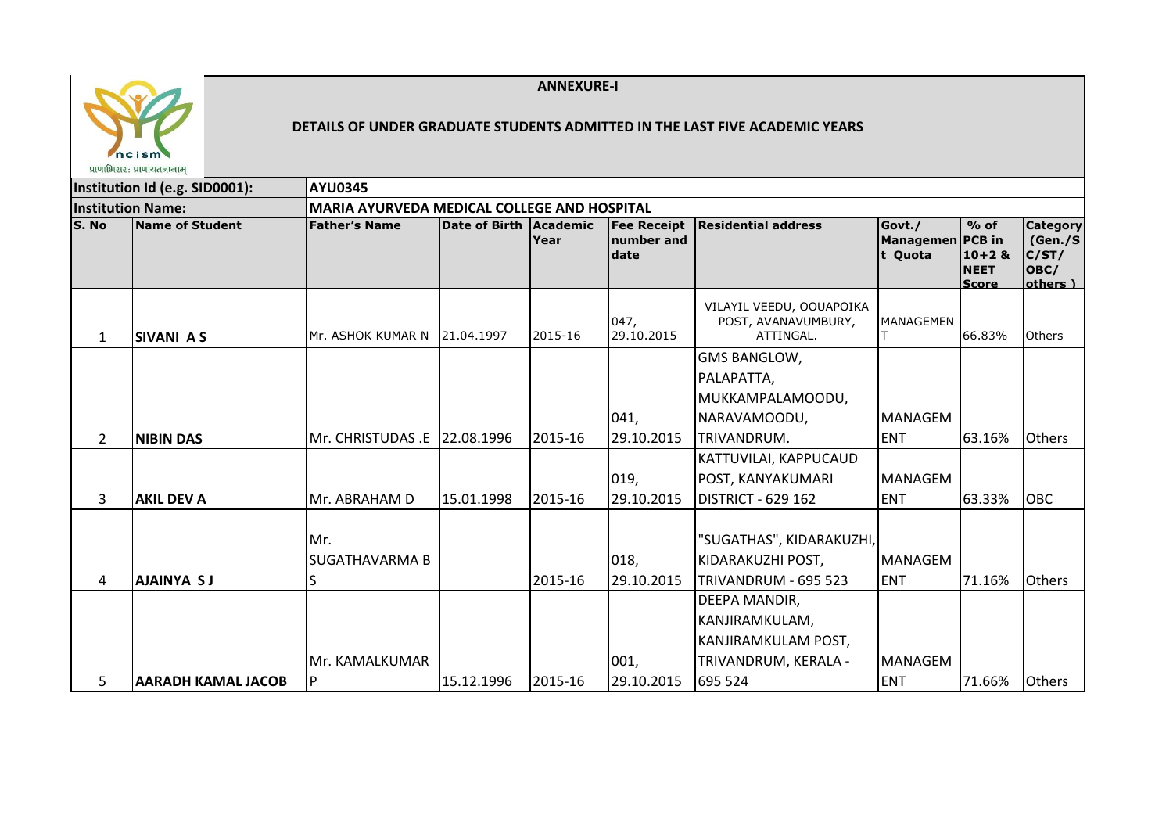



## **DETAILS OF UNDER GRADUATE STUDENTS ADMITTED IN THE LAST FIVE ACADEMIC YEARS**

|                | प्राणाभिसर: प्राणायतनानाम      |                                                    |                        |         |                                          |                                                                                |                                |                                                                    |                                                          |
|----------------|--------------------------------|----------------------------------------------------|------------------------|---------|------------------------------------------|--------------------------------------------------------------------------------|--------------------------------|--------------------------------------------------------------------|----------------------------------------------------------|
|                | Institution Id (e.g. SID0001): | <b>AYU0345</b>                                     |                        |         |                                          |                                                                                |                                |                                                                    |                                                          |
|                | <b>Institution Name:</b>       | <b>MARIA AYURVEDA MEDICAL COLLEGE AND HOSPITAL</b> |                        |         |                                          |                                                                                |                                |                                                                    |                                                          |
| S. No          | Name of Student                | <b>Father's Name</b>                               | Date of Birth Academic | Year    | <b>Fee Receipt</b><br>number and<br>date | Residential address                                                            | Govt./<br>Managemen<br>t Quota | $%$ of<br><b>PCB</b> in<br>$10+2$ &<br><b>NEET</b><br><b>Score</b> | <b>Category</b><br>(Gen./S)<br>C/ST/<br>OBC/<br>others ) |
| 1              | <b>SIVANI AS</b>               | Mr. ASHOK KUMAR N                                  | 21.04.1997             | 2015-16 | 047,<br>29.10.2015                       | VILAYIL VEEDU, OOUAPOIKA<br>POST, AVANAVUMBURY,<br>ATTINGAL.                   | <b>MANAGEMEN</b>               | 66.83%                                                             | <b>Others</b>                                            |
|                |                                |                                                    |                        |         | 041,                                     | <b>GMS BANGLOW,</b><br>PALAPATTA,<br>MUKKAMPALAMOODU,<br>NARAVAMOODU,          | <b>MANAGEM</b>                 |                                                                    |                                                          |
| $\overline{2}$ | <b>NIBIN DAS</b>               | Mr. CHRISTUDAS .E 22.08.1996                       |                        | 2015-16 | 29.10.2015                               | TRIVANDRUM.                                                                    | <b>ENT</b>                     | 63.16%                                                             | <b>Others</b>                                            |
| 3              | <b>AKIL DEV A</b>              | Mr. ABRAHAM D                                      | 15.01.1998             | 2015-16 | 019,<br>29.10.2015                       | KATTUVILAI, KAPPUCAUD<br><b>POST, KANYAKUMARI</b><br><b>DISTRICT - 629 162</b> | <b>MANAGEM</b><br><b>ENT</b>   | 63.33%                                                             | <b>OBC</b>                                               |
| 4              | <b>AJAINYA SJ</b>              | Mr.<br>SUGATHAVARMA B                              |                        | 2015-16 | 018,<br>29.10.2015                       | "SUGATHAS", KIDARAKUZHI,<br>KIDARAKUZHI POST,<br>TRIVANDRUM - 695 523          | <b>MANAGEM</b><br><b>ENT</b>   | 71.16%                                                             | <b>Others</b>                                            |
|                |                                | Mr. KAMALKUMAR                                     |                        |         | 001,                                     | DEEPA MANDIR,<br>KANJIRAMKULAM,<br>KANJIRAMKULAM POST,<br>TRIVANDRUM, KERALA - | <b>MANAGEM</b>                 |                                                                    | <b>Others</b>                                            |
| 5              | AARADH KAMAL JACOB             | P                                                  | 15.12.1996             | 2015-16 | 29.10.2015                               | 695 524                                                                        | <b>ENT</b>                     | 71.66%                                                             |                                                          |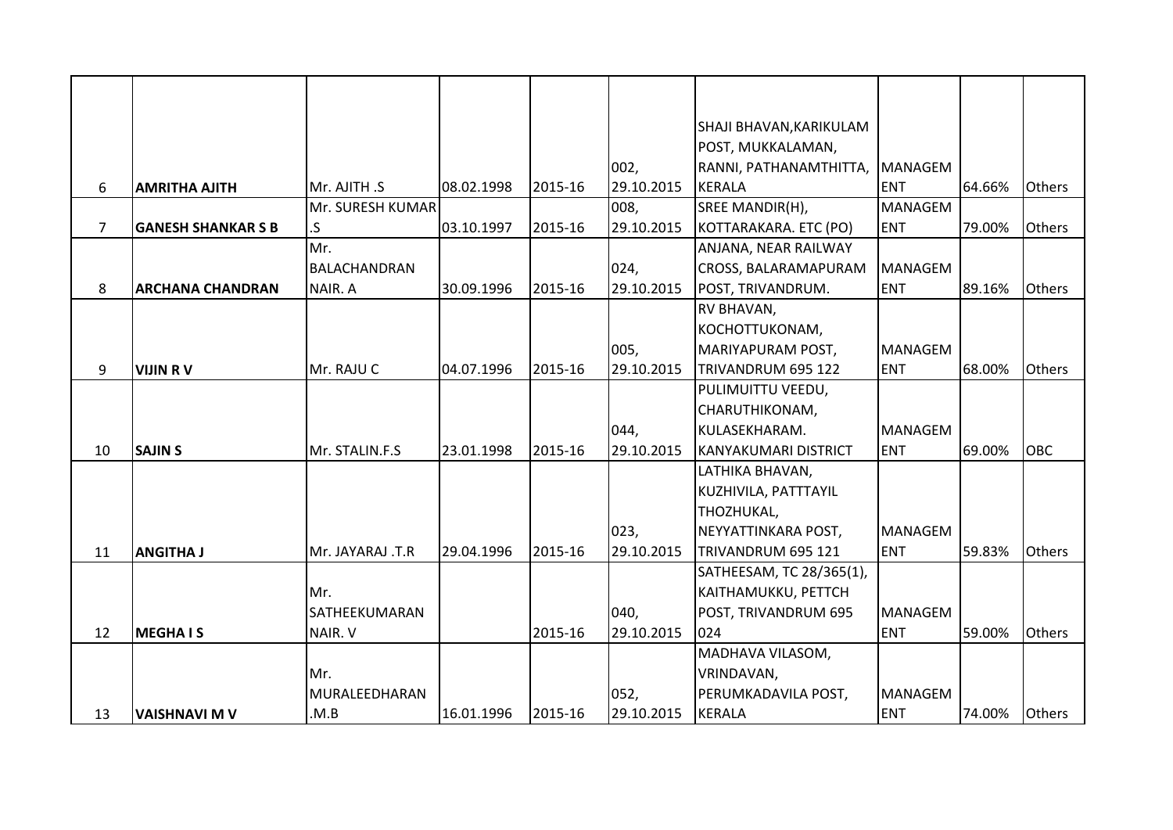|                |                           |                     |            |         |            | SHAJI BHAVAN, KARIKULAM     |                |        |               |
|----------------|---------------------------|---------------------|------------|---------|------------|-----------------------------|----------------|--------|---------------|
|                |                           |                     |            |         |            | POST, MUKKALAMAN,           |                |        |               |
|                |                           |                     |            |         | 002,       | RANNI, PATHANAMTHITTA,      | <b>MANAGEM</b> |        |               |
| 6              | <b>AMRITHA AJITH</b>      | Mr. AJITH .S        | 08.02.1998 | 2015-16 | 29.10.2015 | <b>KERALA</b>               | <b>ENT</b>     | 64.66% | Others        |
|                |                           | Mr. SURESH KUMAR    |            |         | 008,       | SREE MANDIR(H),             | <b>MANAGEM</b> |        |               |
| $\overline{7}$ | <b>GANESH SHANKAR S B</b> | .S                  | 03.10.1997 | 2015-16 | 29.10.2015 | KOTTARAKARA. ETC (PO)       | <b>ENT</b>     | 79.00% | Others        |
|                |                           | Mr.                 |            |         |            | ANJANA, NEAR RAILWAY        |                |        |               |
|                |                           | <b>BALACHANDRAN</b> |            |         | 024,       | CROSS, BALARAMAPURAM        | <b>MANAGEM</b> |        |               |
| 8              | <b>ARCHANA CHANDRAN</b>   | NAIR. A             | 30.09.1996 | 2015-16 | 29.10.2015 | POST, TRIVANDRUM.           | <b>ENT</b>     | 89.16% | <b>Others</b> |
|                |                           |                     |            |         |            | RV BHAVAN,                  |                |        |               |
|                |                           |                     |            |         |            | KOCHOTTUKONAM,              |                |        |               |
|                |                           |                     |            |         | 005,       | MARIYAPURAM POST,           | <b>MANAGEM</b> |        |               |
| 9              | <b>VIJIN RV</b>           | Mr. RAJU C          | 04.07.1996 | 2015-16 | 29.10.2015 | TRIVANDRUM 695 122          | <b>ENT</b>     | 68.00% | Others        |
|                |                           |                     |            |         |            | PULIMUITTU VEEDU,           |                |        |               |
|                |                           |                     |            |         |            | CHARUTHIKONAM,              |                |        |               |
|                |                           |                     |            |         | 044,       | KULASEKHARAM.               | <b>MANAGEM</b> |        |               |
| 10             | <b>SAJIN S</b>            | Mr. STALIN.F.S      | 23.01.1998 | 2015-16 | 29.10.2015 | <b>KANYAKUMARI DISTRICT</b> | <b>ENT</b>     | 69.00% | OBC           |
|                |                           |                     |            |         |            | LATHIKA BHAVAN,             |                |        |               |
|                |                           |                     |            |         |            | KUZHIVILA, PATTTAYIL        |                |        |               |
|                |                           |                     |            |         |            | THOZHUKAL,                  |                |        |               |
|                |                           |                     |            |         | 023,       | NEYYATTINKARA POST,         | <b>MANAGEM</b> |        |               |
| 11             | <b>ANGITHA J</b>          | Mr. JAYARAJ .T.R    | 29.04.1996 | 2015-16 | 29.10.2015 | TRIVANDRUM 695 121          | <b>ENT</b>     | 59.83% | <b>Others</b> |
|                |                           |                     |            |         |            | SATHEESAM, TC 28/365(1),    |                |        |               |
|                |                           | Mr.                 |            |         |            | KAITHAMUKKU, PETTCH         |                |        |               |
|                |                           | SATHEEKUMARAN       |            |         | 040,       | POST, TRIVANDRUM 695        | <b>MANAGEM</b> |        |               |
| 12             | <b>MEGHAIS</b>            | NAIR. V             |            | 2015-16 | 29.10.2015 | 024                         | <b>ENT</b>     | 59.00% | Others        |
|                |                           |                     |            |         |            | MADHAVA VILASOM,            |                |        |               |
|                |                           | Mr.                 |            |         |            | VRINDAVAN,                  |                |        |               |
|                |                           | MURALEEDHARAN       |            |         | 052,       | PERUMKADAVILA POST,         | <b>MANAGEM</b> |        |               |
| 13             | <b>VAISHNAVI M V</b>      | .M.B                | 16.01.1996 | 2015-16 | 29.10.2015 | <b>KERALA</b>               | <b>ENT</b>     | 74.00% | <b>Others</b> |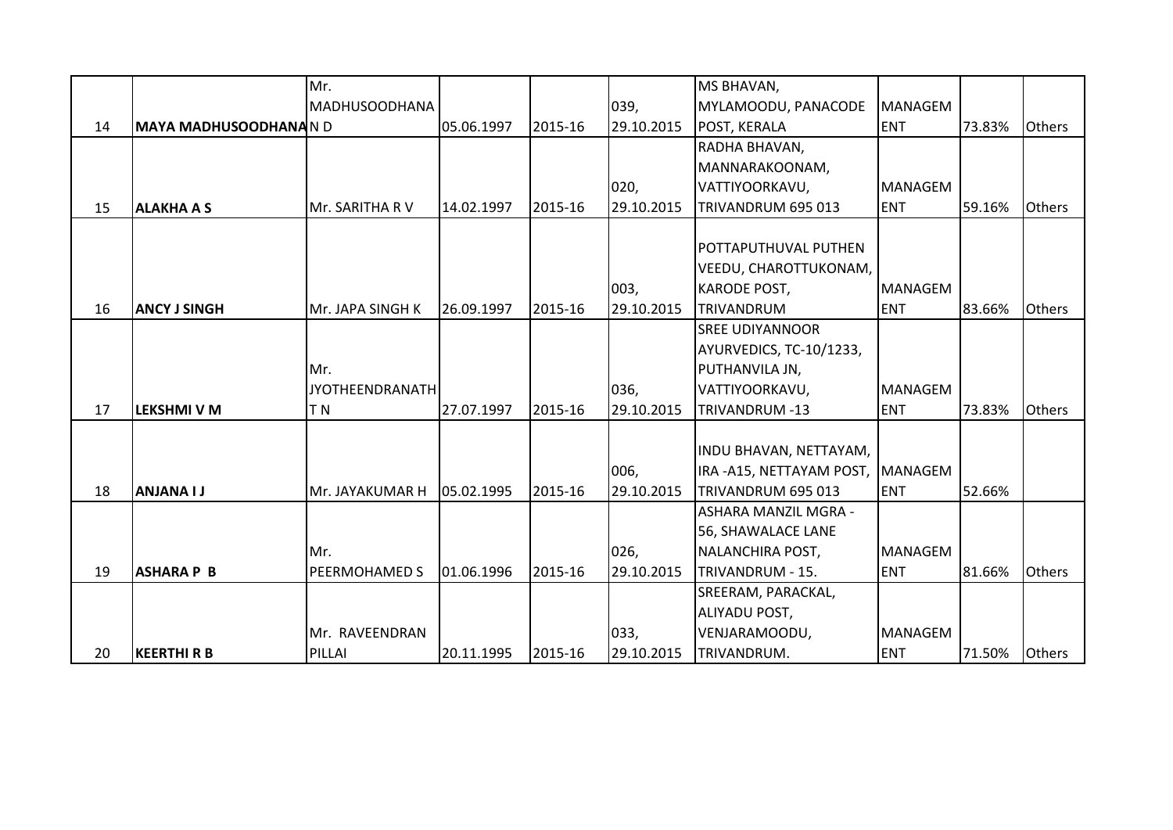|    |                             | Mr.                    |            |         |            | MS BHAVAN,              |                |        |               |
|----|-----------------------------|------------------------|------------|---------|------------|-------------------------|----------------|--------|---------------|
|    |                             | <b>MADHUSOODHANA</b>   |            |         | 039,       | MYLAMOODU, PANACODE     | <b>MANAGEM</b> |        |               |
| 14 | <b>MAYA MADHUSOODHANAND</b> |                        | 05.06.1997 | 2015-16 | 29.10.2015 | POST, KERALA            | <b>ENT</b>     | 73.83% | <b>Others</b> |
|    |                             |                        |            |         |            | RADHA BHAVAN,           |                |        |               |
|    |                             |                        |            |         |            | MANNARAKOONAM,          |                |        |               |
|    |                             |                        |            |         | 020,       | VATTIYOORKAVU,          | <b>MANAGEM</b> |        |               |
| 15 | <b>ALAKHA A S</b>           | Mr. SARITHA RV         | 14.02.1997 | 2015-16 | 29.10.2015 | TRIVANDRUM 695 013      | <b>ENT</b>     | 59.16% | <b>Others</b> |
|    |                             |                        |            |         |            |                         |                |        |               |
|    |                             |                        |            |         |            | POTTAPUTHUVAL PUTHEN    |                |        |               |
|    |                             |                        |            |         |            | VEEDU, CHAROTTUKONAM,   |                |        |               |
|    |                             |                        |            |         | 003,       | <b>KARODE POST,</b>     | <b>MANAGEM</b> |        |               |
| 16 | <b>ANCY J SINGH</b>         | Mr. JAPA SINGH K       | 26.09.1997 | 2015-16 | 29.10.2015 | TRIVANDRUM              | <b>ENT</b>     | 83.66% | <b>Others</b> |
|    |                             |                        |            |         |            | <b>SREE UDIYANNOOR</b>  |                |        |               |
|    |                             |                        |            |         |            | AYURVEDICS, TC-10/1233, |                |        |               |
|    |                             | Mr.                    |            |         |            | PUTHANVILA JN,          |                |        |               |
|    |                             | <b>JYOTHEENDRANATH</b> |            |         | 036,       | VATTIYOORKAVU,          | <b>MANAGEM</b> |        |               |
| 17 | <b>LEKSHMI V M</b>          | T <sub>N</sub>         | 27.07.1997 | 2015-16 | 29.10.2015 | TRIVANDRUM -13          | <b>ENT</b>     | 73.83% | <b>Others</b> |
|    |                             |                        |            |         |            |                         |                |        |               |
|    |                             |                        |            |         |            | INDU BHAVAN, NETTAYAM,  |                |        |               |
|    |                             |                        |            |         | 006,       | IRA-A15, NETTAYAM POST, | MANAGEM        |        |               |
| 18 | <b>ANJANA I J</b>           | Mr. JAYAKUMAR H        | 05.02.1995 | 2015-16 | 29.10.2015 | TRIVANDRUM 695 013      | <b>ENT</b>     | 52.66% |               |
|    |                             |                        |            |         |            | ASHARA MANZIL MGRA -    |                |        |               |
|    |                             |                        |            |         |            | 56, SHAWALACE LANE      |                |        |               |
|    |                             | Mr.                    |            |         | 026,       | NALANCHIRA POST,        | <b>MANAGEM</b> |        |               |
| 19 | <b>ASHARA P B</b>           | <b>PEERMOHAMED S</b>   | 01.06.1996 | 2015-16 | 29.10.2015 | TRIVANDRUM - 15.        | <b>ENT</b>     | 81.66% | Others        |
|    |                             |                        |            |         |            | SREERAM, PARACKAL,      |                |        |               |
|    |                             |                        |            |         |            | ALIYADU POST,           |                |        |               |
|    |                             | Mr. RAVEENDRAN         |            |         | 033,       | VENJARAMOODU,           | <b>MANAGEM</b> |        |               |
| 20 | <b>KEERTHI R B</b>          | PILLAI                 | 20.11.1995 | 2015-16 | 29.10.2015 | TRIVANDRUM.             | <b>ENT</b>     | 71.50% | <b>Others</b> |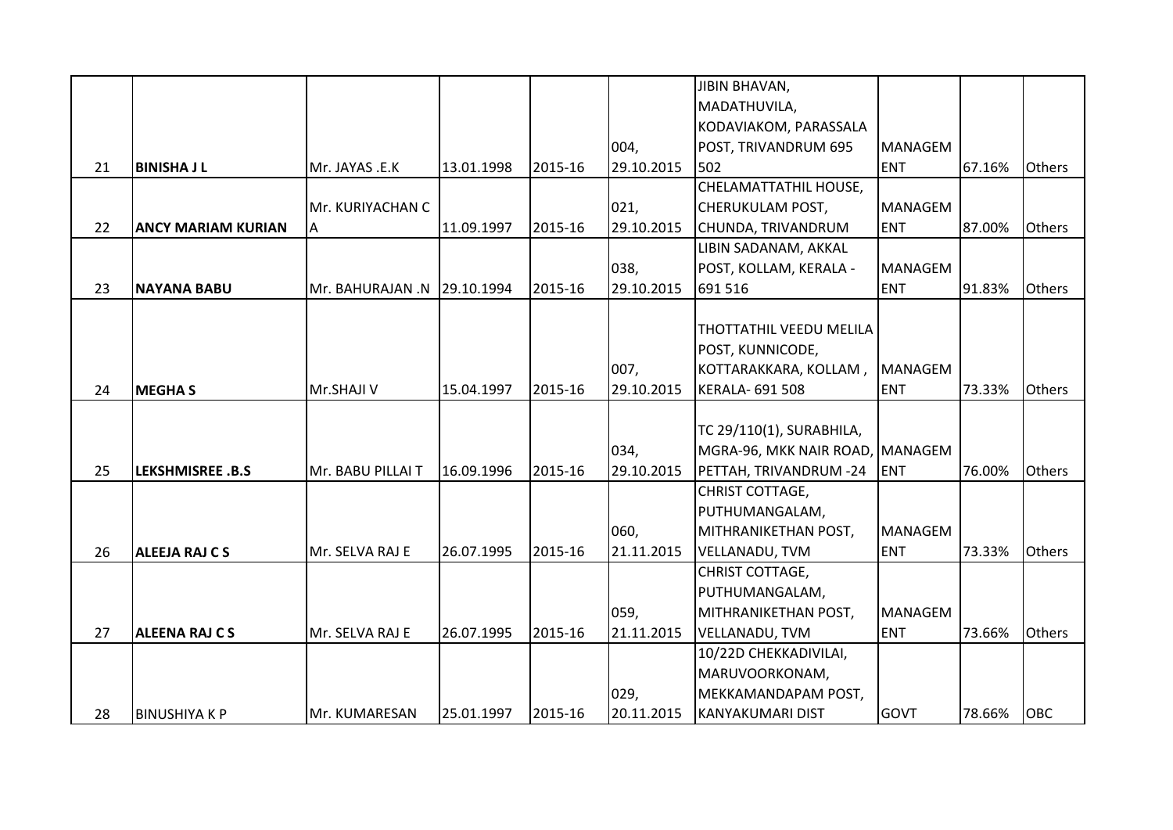|    |                           |                             |            |         |            | <b>JIBIN BHAVAN,</b>            |                |        |               |
|----|---------------------------|-----------------------------|------------|---------|------------|---------------------------------|----------------|--------|---------------|
|    |                           |                             |            |         |            | MADATHUVILA,                    |                |        |               |
|    |                           |                             |            |         |            | KODAVIAKOM, PARASSALA           |                |        |               |
|    |                           |                             |            |         | 004,       | POST, TRIVANDRUM 695            | <b>MANAGEM</b> |        |               |
| 21 | <b>BINISHA J L</b>        | Mr. JAYAS .E.K              | 13.01.1998 | 2015-16 | 29.10.2015 | 502                             | <b>ENT</b>     | 67.16% | <b>Others</b> |
|    |                           |                             |            |         |            | CHELAMATTATHIL HOUSE,           |                |        |               |
|    |                           | Mr. KURIYACHAN C            |            |         | 021,       | <b>CHERUKULAM POST,</b>         | <b>MANAGEM</b> |        |               |
| 22 | <b>ANCY MARIAM KURIAN</b> | Α                           | 11.09.1997 | 2015-16 | 29.10.2015 | CHUNDA, TRIVANDRUM              | <b>ENT</b>     | 87.00% | <b>Others</b> |
|    |                           |                             |            |         |            | LIBIN SADANAM, AKKAL            |                |        |               |
|    |                           |                             |            |         | 038,       | POST, KOLLAM, KERALA -          | <b>MANAGEM</b> |        |               |
| 23 | <b>NAYANA BABU</b>        | Mr. BAHURAJAN .N 29.10.1994 |            | 2015-16 | 29.10.2015 | 691 516                         | <b>ENT</b>     | 91.83% | <b>Others</b> |
|    |                           |                             |            |         |            |                                 |                |        |               |
|    |                           |                             |            |         |            | <b>THOTTATHIL VEEDU MELILA</b>  |                |        |               |
|    |                           |                             |            |         |            | POST, KUNNICODE,                |                |        |               |
|    |                           |                             |            |         | 007,       | KOTTARAKKARA, KOLLAM,           | <b>MANAGEM</b> |        |               |
| 24 | <b>MEGHAS</b>             | Mr.SHAJI V                  | 15.04.1997 | 2015-16 | 29.10.2015 | <b>KERALA- 691 508</b>          | <b>ENT</b>     | 73.33% | <b>Others</b> |
|    |                           |                             |            |         |            |                                 |                |        |               |
|    |                           |                             |            |         |            | TC 29/110(1), SURABHILA,        |                |        |               |
|    |                           |                             |            |         | 034,       | MGRA-96, MKK NAIR ROAD, MANAGEM |                |        |               |
| 25 | <b>LEKSHMISREE .B.S</b>   | Mr. BABU PILLAI T           | 16.09.1996 | 2015-16 | 29.10.2015 | PETTAH, TRIVANDRUM -24          | <b>ENT</b>     | 76.00% | Others        |
|    |                           |                             |            |         |            | CHRIST COTTAGE,                 |                |        |               |
|    |                           |                             |            |         |            | PUTHUMANGALAM,                  |                |        |               |
|    |                           |                             |            |         | 060,       | MITHRANIKETHAN POST,            | <b>MANAGEM</b> |        |               |
| 26 | <b>ALEEJA RAJ C S</b>     | Mr. SELVA RAJ E             | 26.07.1995 | 2015-16 | 21.11.2015 | <b>VELLANADU, TVM</b>           | <b>ENT</b>     | 73.33% | <b>Others</b> |
|    |                           |                             |            |         |            | CHRIST COTTAGE,                 |                |        |               |
|    |                           |                             |            |         |            | PUTHUMANGALAM,                  |                |        |               |
|    |                           |                             |            |         | 059,       | MITHRANIKETHAN POST,            | <b>MANAGEM</b> |        |               |
| 27 | <b>ALEENA RAJ CS</b>      | Mr. SELVA RAJ E             | 26.07.1995 | 2015-16 | 21.11.2015 | <b>VELLANADU, TVM</b>           | <b>ENT</b>     | 73.66% | Others        |
|    |                           |                             |            |         |            | 10/22D CHEKKADIVILAI,           |                |        |               |
|    |                           |                             |            |         |            | MARUVOORKONAM,                  |                |        |               |
|    |                           |                             |            |         | 029,       | MEKKAMANDAPAM POST,             |                |        |               |
| 28 | <b>BINUSHIYAKP</b>        | Mr. KUMARESAN               | 25.01.1997 | 2015-16 | 20.11.2015 | <b>KANYAKUMARI DIST</b>         | <b>GOVT</b>    | 78.66% | <b>OBC</b>    |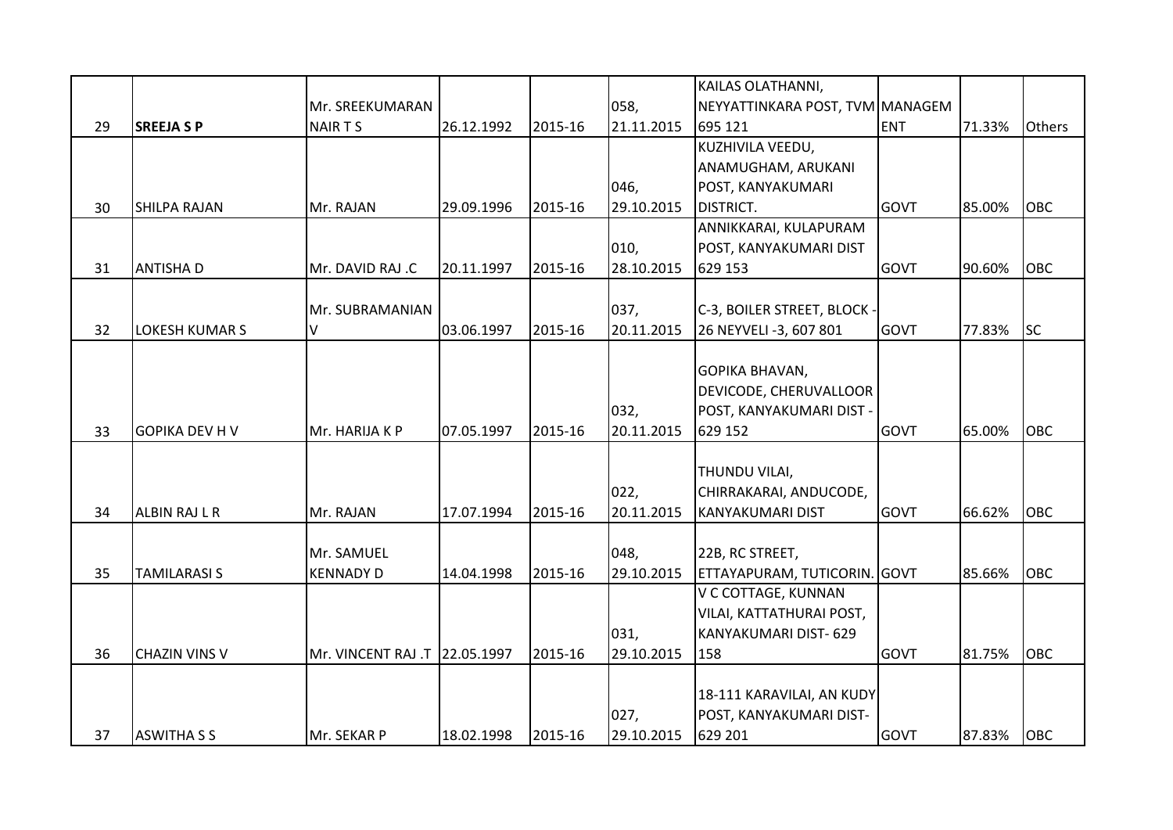|    |                       |                               |            |         |            | KAILAS OLATHANNI,               |             |        |            |
|----|-----------------------|-------------------------------|------------|---------|------------|---------------------------------|-------------|--------|------------|
|    |                       | Mr. SREEKUMARAN               |            |         | 058,       | NEYYATTINKARA POST, TVM MANAGEM |             |        |            |
| 29 | <b>SREEJA SP</b>      | NAIR T S                      | 26.12.1992 | 2015-16 | 21.11.2015 | 695 121                         | <b>ENT</b>  | 71.33% | Others     |
|    |                       |                               |            |         |            | KUZHIVILA VEEDU,                |             |        |            |
|    |                       |                               |            |         |            | ANAMUGHAM, ARUKANI              |             |        |            |
|    |                       |                               |            |         | 046,       | POST, KANYAKUMARI               |             |        |            |
| 30 | <b>SHILPA RAJAN</b>   | Mr. RAJAN                     | 29.09.1996 | 2015-16 | 29.10.2015 | <b>DISTRICT.</b>                | <b>GOVT</b> | 85.00% | <b>OBC</b> |
|    |                       |                               |            |         |            | ANNIKKARAI, KULAPURAM           |             |        |            |
|    |                       |                               |            |         | 010,       | POST, KANYAKUMARI DIST          |             |        |            |
| 31 | <b>ANTISHAD</b>       | Mr. DAVID RAJ .C              | 20.11.1997 | 2015-16 | 28.10.2015 | 629 153                         | GOVT        | 90.60% | OBC        |
|    |                       |                               |            |         |            |                                 |             |        |            |
|    |                       | Mr. SUBRAMANIAN               |            |         | 037,       | C-3, BOILER STREET, BLOCK -     |             |        |            |
| 32 | <b>LOKESH KUMAR S</b> | V                             | 03.06.1997 | 2015-16 | 20.11.2015 | 26 NEYVELI -3, 607 801          | <b>GOVT</b> | 77.83% | <b>SC</b>  |
|    |                       |                               |            |         |            |                                 |             |        |            |
|    |                       |                               |            |         |            | <b>GOPIKA BHAVAN,</b>           |             |        |            |
|    |                       |                               |            |         |            | DEVICODE, CHERUVALLOOR          |             |        |            |
|    |                       |                               |            |         | 032,       | POST, KANYAKUMARI DIST -        |             |        |            |
| 33 | <b>GOPIKA DEV H V</b> | Mr. HARIJA K P                | 07.05.1997 | 2015-16 | 20.11.2015 | 629 152                         | <b>GOVT</b> | 65.00% | <b>OBC</b> |
|    |                       |                               |            |         |            |                                 |             |        |            |
|    |                       |                               |            |         |            | THUNDU VILAI,                   |             |        |            |
|    |                       |                               |            |         | 022,       | CHIRRAKARAI, ANDUCODE,          |             |        |            |
| 34 | <b>ALBIN RAJ L R</b>  | Mr. RAJAN                     | 17.07.1994 | 2015-16 | 20.11.2015 | <b>KANYAKUMARI DIST</b>         | <b>GOVT</b> | 66.62% | <b>OBC</b> |
|    |                       |                               |            |         |            |                                 |             |        |            |
|    |                       | Mr. SAMUEL                    |            |         | 048,       | 22B, RC STREET,                 |             |        |            |
| 35 | <b>TAMILARASI S</b>   | <b>KENNADY D</b>              | 14.04.1998 | 2015-16 | 29.10.2015 | ETTAYAPURAM, TUTICORIN. GOVT    |             | 85.66% | <b>OBC</b> |
|    |                       |                               |            |         |            | V C COTTAGE, KUNNAN             |             |        |            |
|    |                       |                               |            |         |            | VILAI, KATTATHURAI POST,        |             |        |            |
|    |                       |                               |            |         | 031,       | KANYAKUMARI DIST- 629           |             |        |            |
| 36 | <b>CHAZIN VINS V</b>  | Mr. VINCENT RAJ .T 22.05.1997 |            | 2015-16 | 29.10.2015 | 158                             | GOVT        | 81.75% | <b>OBC</b> |
|    |                       |                               |            |         |            |                                 |             |        |            |
|    |                       |                               |            |         |            | 18-111 KARAVILAI, AN KUDY       |             |        |            |
|    |                       |                               |            |         | 027,       | POST, KANYAKUMARI DIST-         |             |        |            |
| 37 | <b>ASWITHA S S</b>    | Mr. SEKAR P                   | 18.02.1998 | 2015-16 | 29.10.2015 | 629 201                         | <b>GOVT</b> | 87.83% | <b>OBC</b> |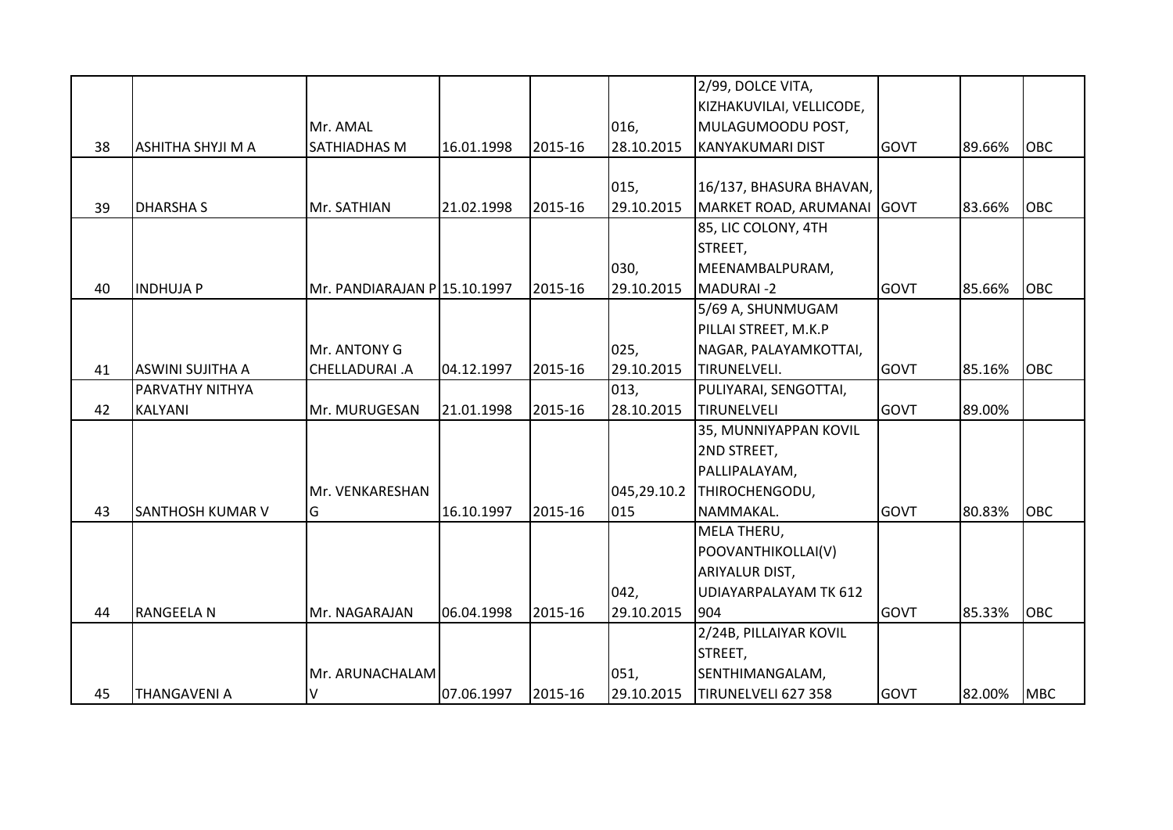|    |                          |                              |            |         |            | 2/99, DOLCE VITA,            |             |        |            |
|----|--------------------------|------------------------------|------------|---------|------------|------------------------------|-------------|--------|------------|
|    |                          |                              |            |         |            | KIZHAKUVILAI, VELLICODE,     |             |        |            |
|    |                          | Mr. AMAL                     |            |         | 016,       | MULAGUMOODU POST,            |             |        |            |
| 38 | <b>ASHITHA SHYJI M A</b> | <b>SATHIADHAS M</b>          | 16.01.1998 | 2015-16 | 28.10.2015 | <b>KANYAKUMARI DIST</b>      | GOVT        | 89.66% | <b>OBC</b> |
|    |                          |                              |            |         |            |                              |             |        |            |
|    |                          |                              |            |         | 015,       | 16/137, BHASURA BHAVAN,      |             |        |            |
| 39 | <b>DHARSHAS</b>          | Mr. SATHIAN                  | 21.02.1998 | 2015-16 | 29.10.2015 | MARKET ROAD, ARUMANAI GOVT   |             | 83.66% | OBC        |
|    |                          |                              |            |         |            | 85, LIC COLONY, 4TH          |             |        |            |
|    |                          |                              |            |         |            | STREET,                      |             |        |            |
|    |                          |                              |            |         | 030,       | MEENAMBALPURAM,              |             |        |            |
| 40 | <b>INDHUJAP</b>          | Mr. PANDIARAJAN P 15.10.1997 |            | 2015-16 | 29.10.2015 | <b>MADURAI-2</b>             | <b>GOVT</b> | 85.66% | <b>OBC</b> |
|    |                          |                              |            |         |            | 5/69 A, SHUNMUGAM            |             |        |            |
|    |                          |                              |            |         |            | PILLAI STREET, M.K.P         |             |        |            |
|    |                          | Mr. ANTONY G                 |            |         | 025,       | NAGAR, PALAYAMKOTTAI,        |             |        |            |
| 41 | ASWINI SUJITHA A         | CHELLADURAI.A                | 04.12.1997 | 2015-16 | 29.10.2015 | TIRUNELVELI.                 | <b>GOVT</b> | 85.16% | OBC        |
|    | PARVATHY NITHYA          |                              |            |         | 013,       | PULIYARAI, SENGOTTAI,        |             |        |            |
| 42 | <b>KALYANI</b>           | Mr. MURUGESAN                | 21.01.1998 | 2015-16 | 28.10.2015 | TIRUNELVELI                  | <b>GOVT</b> | 89.00% |            |
|    |                          |                              |            |         |            | 35, MUNNIYAPPAN KOVIL        |             |        |            |
|    |                          |                              |            |         |            | 2ND STREET,                  |             |        |            |
|    |                          |                              |            |         |            | PALLIPALAYAM,                |             |        |            |
|    |                          | Mr. VENKARESHAN              |            |         |            | 045,29.10.2 THIROCHENGODU,   |             |        |            |
| 43 | <b>SANTHOSH KUMAR V</b>  | lG.                          | 16.10.1997 | 2015-16 | 015        | NAMMAKAL.                    | <b>GOVT</b> | 80.83% | <b>OBC</b> |
|    |                          |                              |            |         |            | MELA THERU,                  |             |        |            |
|    |                          |                              |            |         |            | POOVANTHIKOLLAI(V)           |             |        |            |
|    |                          |                              |            |         |            | ARIYALUR DIST,               |             |        |            |
|    |                          |                              |            |         | 042,       | <b>UDIAYARPALAYAM TK 612</b> |             |        |            |
| 44 | <b>RANGEELA N</b>        | Mr. NAGARAJAN                | 06.04.1998 | 2015-16 | 29.10.2015 | 904                          | <b>GOVT</b> | 85.33% | <b>OBC</b> |
|    |                          |                              |            |         |            | 2/24B, PILLAIYAR KOVIL       |             |        |            |
|    |                          |                              |            |         |            | STREET,                      |             |        |            |
|    |                          | Mr. ARUNACHALAM              |            |         | 051,       | SENTHIMANGALAM,              |             |        |            |
| 45 | <b>THANGAVENI A</b>      | V                            | 07.06.1997 | 2015-16 | 29.10.2015 | TIRUNELVELI 627 358          | <b>GOVT</b> | 82.00% | <b>MBC</b> |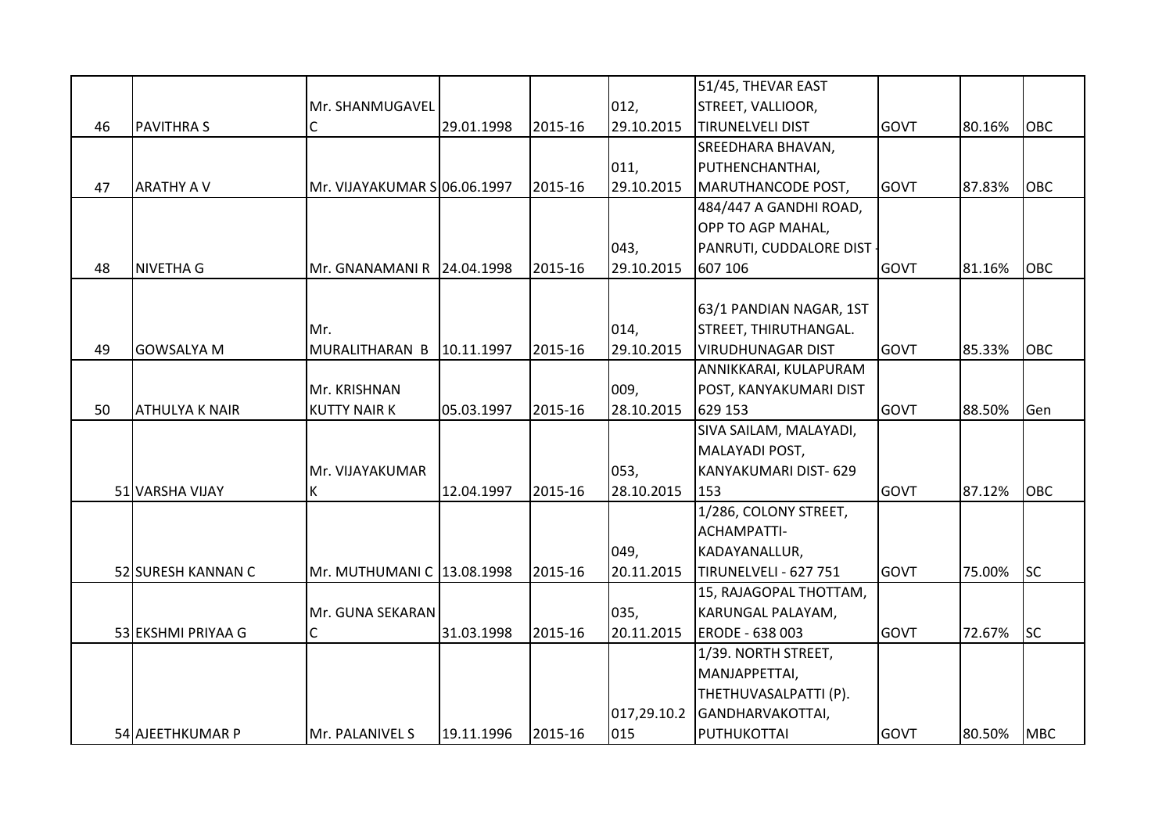|    |                       |                              |            |         |             | 51/45, THEVAR EAST       |             |        |            |
|----|-----------------------|------------------------------|------------|---------|-------------|--------------------------|-------------|--------|------------|
|    |                       | Mr. SHANMUGAVEL              |            |         | 012,        | STREET, VALLIOOR,        |             |        |            |
| 46 | <b>PAVITHRA S</b>     | С                            | 29.01.1998 | 2015-16 | 29.10.2015  | <b>TIRUNELVELI DIST</b>  | <b>GOVT</b> | 80.16% | <b>OBC</b> |
|    |                       |                              |            |         |             | SREEDHARA BHAVAN,        |             |        |            |
|    |                       |                              |            |         | 011,        | PUTHENCHANTHAI,          |             |        |            |
| 47 | <b>ARATHY A V</b>     | Mr. VIJAYAKUMAR S 06.06.1997 |            | 2015-16 | 29.10.2015  | MARUTHANCODE POST,       | <b>GOVT</b> | 87.83% | <b>OBC</b> |
|    |                       |                              |            |         |             | 484/447 A GANDHI ROAD,   |             |        |            |
|    |                       |                              |            |         |             | OPP TO AGP MAHAL,        |             |        |            |
|    |                       |                              |            |         | 043,        | PANRUTI, CUDDALORE DIST  |             |        |            |
| 48 | <b>NIVETHA G</b>      | Mr. GNANAMANI R 24.04.1998   |            | 2015-16 | 29.10.2015  | 607 106                  | <b>GOVT</b> | 81.16% | OBC        |
|    |                       |                              |            |         |             |                          |             |        |            |
|    |                       |                              |            |         |             | 63/1 PANDIAN NAGAR, 1ST  |             |        |            |
|    |                       | Mr.                          |            |         | 014,        | STREET, THIRUTHANGAL.    |             |        |            |
| 49 | <b>GOWSALYA M</b>     | MURALITHARAN B               | 10.11.1997 | 2015-16 | 29.10.2015  | <b>VIRUDHUNAGAR DIST</b> | <b>GOVT</b> | 85.33% | OBC        |
|    |                       |                              |            |         |             | ANNIKKARAI, KULAPURAM    |             |        |            |
|    |                       | Mr. KRISHNAN                 |            |         | 009,        | POST, KANYAKUMARI DIST   |             |        |            |
| 50 | <b>ATHULYA K NAIR</b> | <b>KUTTY NAIR K</b>          | 05.03.1997 | 2015-16 | 28.10.2015  | 629 153                  | <b>GOVT</b> | 88.50% | Gen        |
|    |                       |                              |            |         |             | SIVA SAILAM, MALAYADI,   |             |        |            |
|    |                       |                              |            |         |             | MALAYADI POST,           |             |        |            |
|    |                       | Mr. VIJAYAKUMAR              |            |         | 053,        | KANYAKUMARI DIST- 629    |             |        |            |
|    | 51 VARSHA VIJAY       | K                            | 12.04.1997 | 2015-16 | 28.10.2015  | 153                      | <b>GOVT</b> | 87.12% | <b>OBC</b> |
|    |                       |                              |            |         |             | 1/286, COLONY STREET,    |             |        |            |
|    |                       |                              |            |         |             | ACHAMPATTI-              |             |        |            |
|    |                       |                              |            |         | 049,        | KADAYANALLUR,            |             |        |            |
|    | 52 SURESH KANNAN C    | Mr. MUTHUMANI C 13.08.1998   |            | 2015-16 | 20.11.2015  | TIRUNELVELI - 627 751    | <b>GOVT</b> | 75.00% | lsc        |
|    |                       |                              |            |         |             | 15, RAJAGOPAL THOTTAM,   |             |        |            |
|    |                       | Mr. GUNA SEKARAN             |            |         | 035,        | KARUNGAL PALAYAM,        |             |        |            |
|    | 53 EKSHMI PRIYAA G    | $\mathsf{C}$                 | 31.03.1998 | 2015-16 | 20.11.2015  | ERODE - 638 003          | <b>GOVT</b> | 72.67% | lsc        |
|    |                       |                              |            |         |             | 1/39. NORTH STREET,      |             |        |            |
|    |                       |                              |            |         |             | MANJAPPETTAI,            |             |        |            |
|    |                       |                              |            |         |             | THETHUVASALPATTI (P).    |             |        |            |
|    |                       |                              |            |         | 017,29.10.2 | GANDHARVAKOTTAI,         |             |        |            |
|    | 54 AJEETHKUMAR P      | Mr. PALANIVEL S              | 19.11.1996 | 2015-16 | 015         | PUTHUKOTTAI              | <b>GOVT</b> | 80.50% | <b>MBC</b> |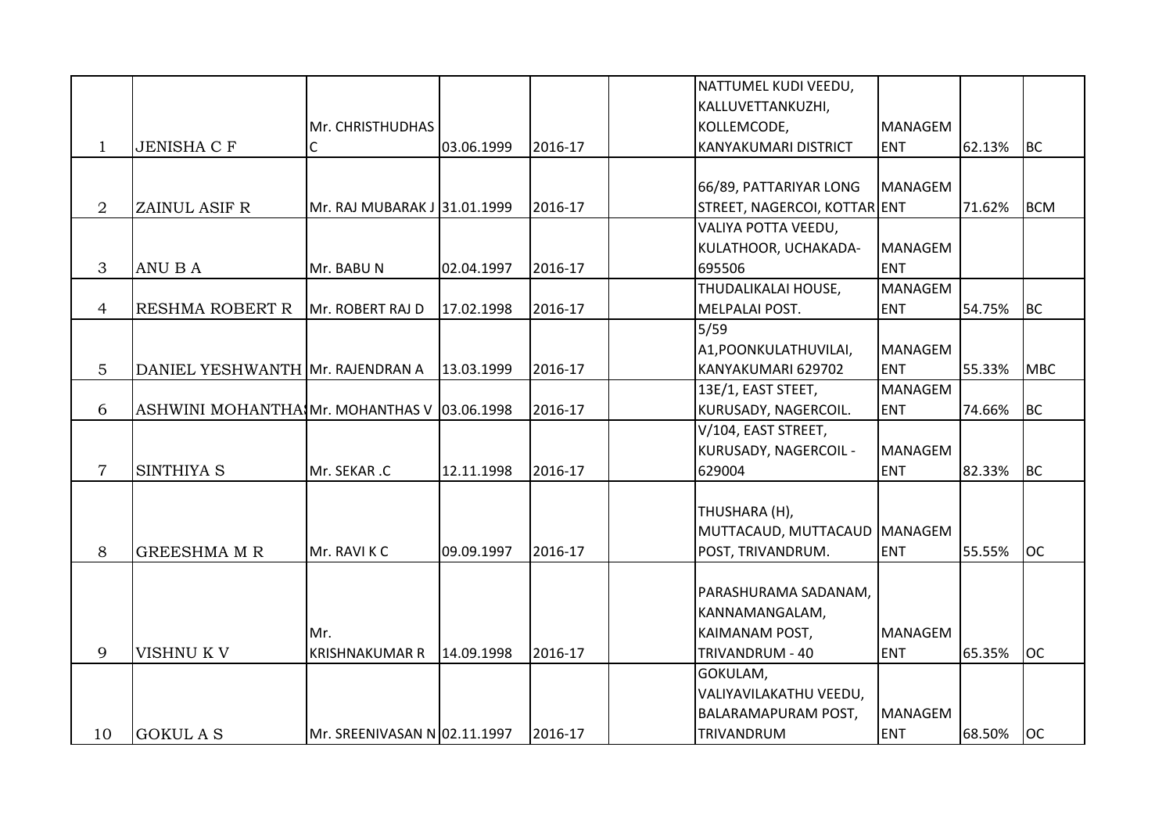|                |                                  |                              |            |         | NATTUMEL KUDI VEEDU,         |                |        |            |
|----------------|----------------------------------|------------------------------|------------|---------|------------------------------|----------------|--------|------------|
|                |                                  |                              |            |         | KALLUVETTANKUZHI,            |                |        |            |
|                |                                  | Mr. CHRISTHUDHAS             |            |         | KOLLEMCODE,                  | <b>MANAGEM</b> |        |            |
| $\mathbf{1}$   | <b>JENISHA C F</b>               | С                            | 03.06.1999 | 2016-17 | <b>KANYAKUMARI DISTRICT</b>  | <b>ENT</b>     | 62.13% | <b>BC</b>  |
|                |                                  |                              |            |         |                              |                |        |            |
|                |                                  |                              |            |         | 66/89, PATTARIYAR LONG       | <b>MANAGEM</b> |        |            |
| $\overline{2}$ | ZAINUL ASIF R                    | Mr. RAJ MUBARAK J 31.01.1999 |            | 2016-17 | STREET, NAGERCOI, KOTTAR ENT |                | 71.62% | Івсм       |
|                |                                  |                              |            |         | VALIYA POTTA VEEDU,          |                |        |            |
|                |                                  |                              |            |         | KULATHOOR, UCHAKADA-         | <b>MANAGEM</b> |        |            |
| 3              | ANU B A                          | Mr. BABUN                    | 02.04.1997 | 2016-17 | 695506                       | <b>ENT</b>     |        |            |
|                |                                  |                              |            |         | THUDALIKALAI HOUSE,          | <b>MANAGEM</b> |        |            |
| $\overline{4}$ | <b>RESHMA ROBERT R</b>           | Mr. ROBERT RAJ D             | 17.02.1998 | 2016-17 | MELPALAI POST.               | <b>ENT</b>     | 54.75% | BC         |
|                |                                  |                              |            |         | $5/59$                       |                |        |            |
|                |                                  |                              |            |         | A1, POONKULATHUVILAI,        | <b>MANAGEM</b> |        |            |
| 5              | DANIEL YESHWANTH Mr. RAJENDRAN A |                              | 13.03.1999 | 2016-17 | KANYAKUMARI 629702           | <b>ENT</b>     | 55.33% | <b>MBC</b> |
|                |                                  |                              |            |         | 13E/1, EAST STEET,           | <b>MANAGEM</b> |        |            |
| 6              | ASHWINI MOHANTHA Mr. MOHANTHAS V |                              | 03.06.1998 | 2016-17 | KURUSADY, NAGERCOIL.         | <b>ENT</b>     | 74.66% | <b>BC</b>  |
|                |                                  |                              |            |         | V/104, EAST STREET,          |                |        |            |
|                |                                  |                              |            |         | KURUSADY, NAGERCOIL -        | <b>MANAGEM</b> |        |            |
| $\overline{7}$ | SINTHIYA S                       | Mr. SEKAR .C                 | 12.11.1998 | 2016-17 | 629004                       | <b>ENT</b>     | 82.33% | BC         |
|                |                                  |                              |            |         |                              |                |        |            |
|                |                                  |                              |            |         | THUSHARA (H),                |                |        |            |
|                |                                  |                              |            |         | MUTTACAUD, MUTTACAUD MANAGEM |                |        |            |
|                | <b>GREESHMA M R</b>              |                              |            |         |                              |                |        |            |
| 8              |                                  | Mr. RAVI K C                 | 09.09.1997 | 2016-17 | POST, TRIVANDRUM.            | <b>ENT</b>     | 55.55% | <b>OC</b>  |
|                |                                  |                              |            |         |                              |                |        |            |
|                |                                  |                              |            |         | PARASHURAMA SADANAM,         |                |        |            |
|                |                                  |                              |            |         | KANNAMANGALAM,               |                |        |            |
|                |                                  | Mr.                          |            |         | <b>KAIMANAM POST,</b>        | <b>MANAGEM</b> |        |            |
| 9              | VISHNU K V                       | <b>KRISHNAKUMAR R</b>        | 14.09.1998 | 2016-17 | TRIVANDRUM - 40              | <b>ENT</b>     | 65.35% | loc        |
|                |                                  |                              |            |         | GOKULAM,                     |                |        |            |
|                |                                  |                              |            |         | VALIYAVILAKATHU VEEDU,       |                |        |            |
|                |                                  |                              |            |         | <b>BALARAMAPURAM POST,</b>   | <b>MANAGEM</b> |        |            |
| 10             | <b>GOKUL A S</b>                 | Mr. SREENIVASAN N 02.11.1997 |            | 2016-17 | TRIVANDRUM                   | <b>ENT</b>     | 68.50% | loc        |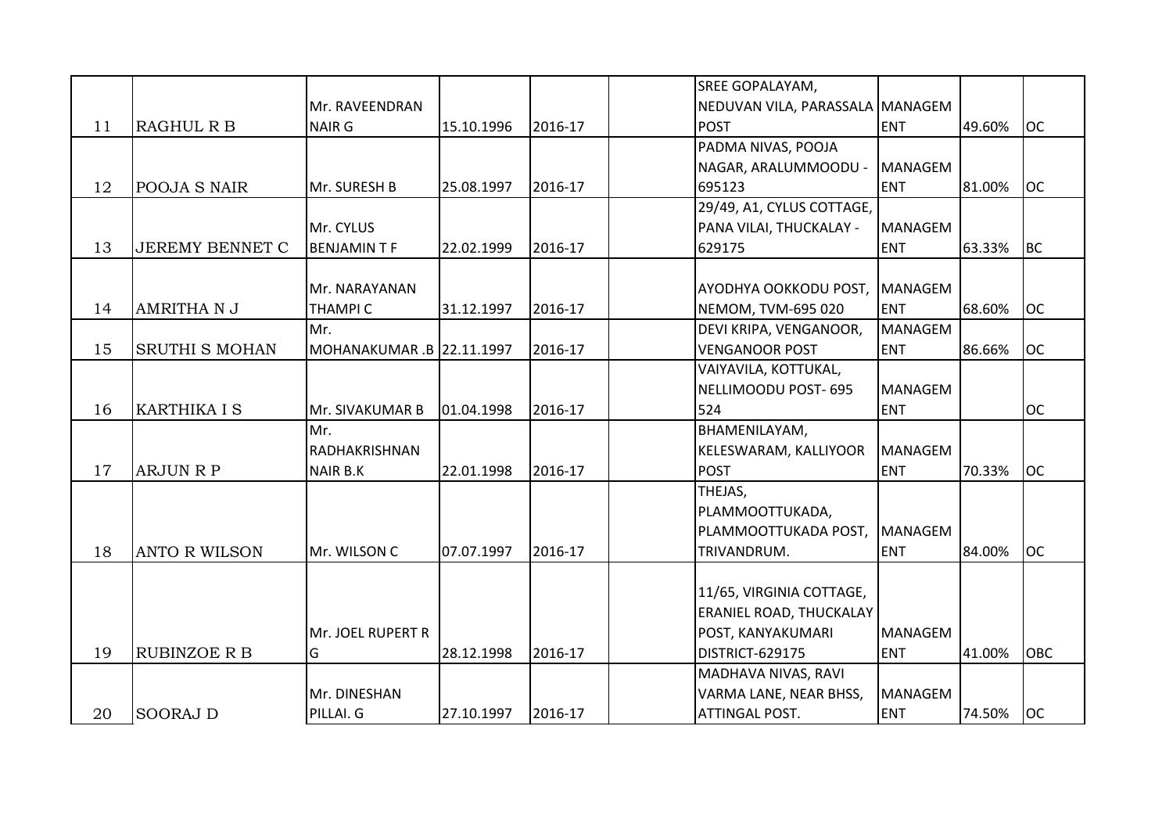|    |                        |                           |            |         | SREE GOPALAYAM,                 |                |        |           |
|----|------------------------|---------------------------|------------|---------|---------------------------------|----------------|--------|-----------|
|    |                        | Mr. RAVEENDRAN            |            |         | NEDUVAN VILA, PARASSALA MANAGEM |                |        |           |
| 11 | <b>RAGHUL R B</b>      | <b>NAIR G</b>             | 15.10.1996 | 2016-17 | <b>POST</b>                     | <b>ENT</b>     | 49.60% | loc       |
|    |                        |                           |            |         | PADMA NIVAS, POOJA              |                |        |           |
|    |                        |                           |            |         | NAGAR, ARALUMMOODU -            | <b>MANAGEM</b> |        |           |
| 12 | POOJA S NAIR           | Mr. SURESH B              | 25.08.1997 | 2016-17 | 695123                          | <b>ENT</b>     | 81.00% | loc       |
|    |                        |                           |            |         | 29/49, A1, CYLUS COTTAGE,       |                |        |           |
|    |                        | Mr. CYLUS                 |            |         | PANA VILAI, THUCKALAY -         | <b>MANAGEM</b> |        |           |
| 13 | <b>JEREMY BENNET C</b> | <b>BENJAMINTF</b>         | 22.02.1999 | 2016-17 | 629175                          | <b>ENT</b>     | 63.33% | <b>BC</b> |
|    |                        |                           |            |         |                                 |                |        |           |
|    |                        | Mr. NARAYANAN             |            |         | AYODHYA OOKKODU POST,           | <b>MANAGEM</b> |        |           |
| 14 | <b>AMRITHA N J</b>     | <b>THAMPIC</b>            | 31.12.1997 | 2016-17 | NEMOM, TVM-695 020              | <b>ENT</b>     | 68.60% | loc       |
|    |                        | Mr.                       |            |         | DEVI KRIPA, VENGANOOR,          | <b>MANAGEM</b> |        |           |
| 15 | <b>SRUTHI S MOHAN</b>  | MOHANAKUMAR .B 22.11.1997 |            | 2016-17 | <b>VENGANOOR POST</b>           | <b>ENT</b>     | 86.66% | loc       |
|    |                        |                           |            |         | VAIYAVILA, KOTTUKAL,            |                |        |           |
|    |                        |                           |            |         | NELLIMOODU POST- 695            | <b>MANAGEM</b> |        |           |
| 16 | <b>KARTHIKA I S</b>    | Mr. SIVAKUMAR B           | 01.04.1998 | 2016-17 | 524                             | <b>ENT</b>     |        | <b>OC</b> |
|    |                        | Mr.                       |            |         | BHAMENILAYAM,                   |                |        |           |
|    |                        | RADHAKRISHNAN             |            |         | KELESWARAM, KALLIYOOR           | <b>MANAGEM</b> |        |           |
| 17 | <b>ARJUN R P</b>       | <b>NAIR B.K</b>           | 22.01.1998 | 2016-17 | <b>POST</b>                     | <b>ENT</b>     | 70.33% | loc       |
|    |                        |                           |            |         | THEJAS,                         |                |        |           |
|    |                        |                           |            |         | PLAMMOOTTUKADA,                 |                |        |           |
|    |                        |                           |            |         | PLAMMOOTTUKADA POST,            | <b>MANAGEM</b> |        |           |
| 18 | <b>ANTO R WILSON</b>   | Mr. WILSON C              | 07.07.1997 | 2016-17 | TRIVANDRUM.                     | <b>ENT</b>     | 84.00% | loc       |
|    |                        |                           |            |         |                                 |                |        |           |
|    |                        |                           |            |         | 11/65, VIRGINIA COTTAGE,        |                |        |           |
|    |                        |                           |            |         | <b>ERANIEL ROAD, THUCKALAY</b>  |                |        |           |
|    |                        | Mr. JOEL RUPERT R         |            |         | POST, KANYAKUMARI               | <b>MANAGEM</b> |        |           |
| 19 | <b>RUBINZOE R B</b>    | G                         | 28.12.1998 | 2016-17 | DISTRICT-629175                 | <b>ENT</b>     | 41.00% | OBC       |
|    |                        |                           |            |         | MADHAVA NIVAS, RAVI             |                |        |           |
|    |                        | Mr. DINESHAN              |            |         | VARMA LANE, NEAR BHSS,          | <b>MANAGEM</b> |        |           |
| 20 | <b>SOORAJ D</b>        | PILLAI. G                 | 27.10.1997 | 2016-17 | ATTINGAL POST.                  | <b>ENT</b>     | 74.50% | OC        |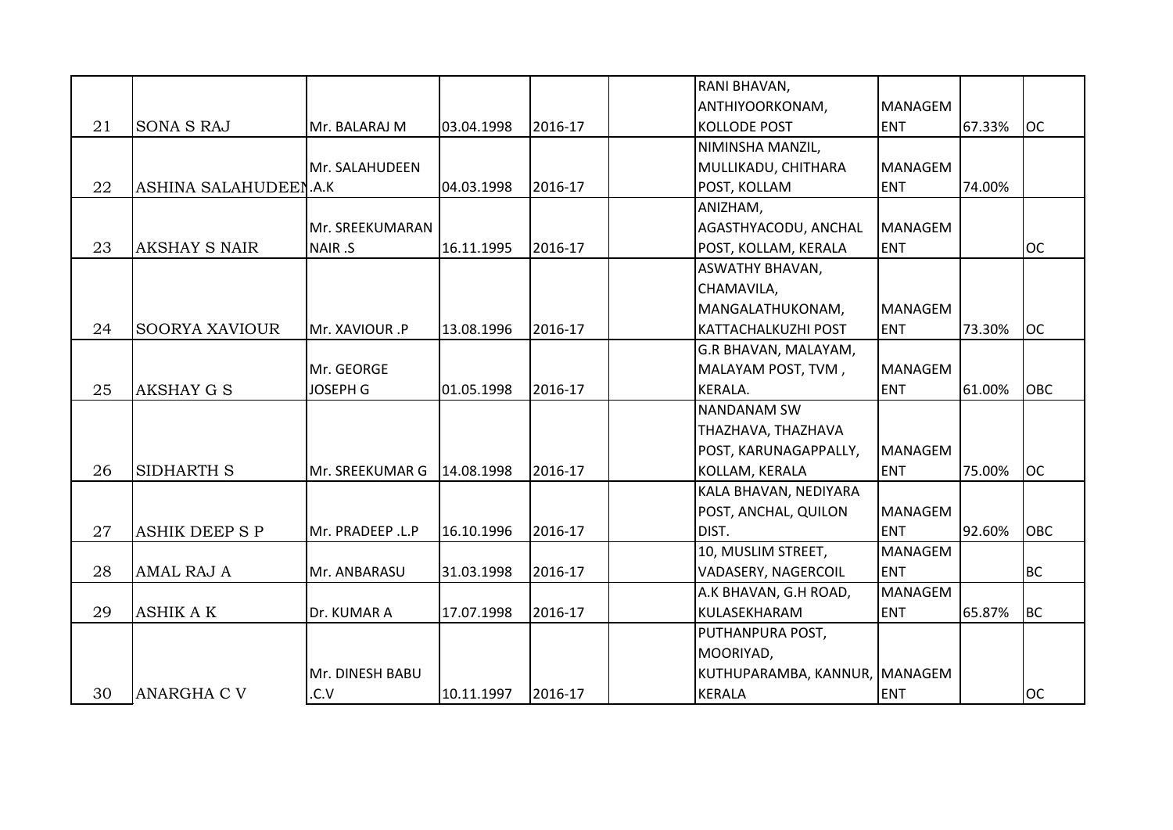|    |                       |                  |            |         | RANI BHAVAN,                  |                |        |            |
|----|-----------------------|------------------|------------|---------|-------------------------------|----------------|--------|------------|
|    |                       |                  |            |         | ANTHIYOORKONAM,               | <b>MANAGEM</b> |        |            |
| 21 | <b>SONA S RAJ</b>     | Mr. BALARAJ M    | 03.04.1998 | 2016-17 | <b>KOLLODE POST</b>           | <b>ENT</b>     | 67.33% | <b>OC</b>  |
|    |                       |                  |            |         | NIMINSHA MANZIL,              |                |        |            |
|    |                       | Mr. SALAHUDEEN   |            |         | MULLIKADU, CHITHARA           | <b>MANAGEM</b> |        |            |
| 22 | ASHINA SALAHUDEEN.A.K |                  | 04.03.1998 | 2016-17 | POST, KOLLAM                  | <b>ENT</b>     | 74.00% |            |
|    |                       |                  |            |         | ANIZHAM,                      |                |        |            |
|    |                       | Mr. SREEKUMARAN  |            |         | AGASTHYACODU, ANCHAL          | MANAGEM        |        |            |
| 23 | <b>AKSHAY S NAIR</b>  | NAIR .S          | 16.11.1995 | 2016-17 | POST, KOLLAM, KERALA          | <b>ENT</b>     |        | <b>OC</b>  |
|    |                       |                  |            |         | <b>ASWATHY BHAVAN,</b>        |                |        |            |
|    |                       |                  |            |         | CHAMAVILA,                    |                |        |            |
|    |                       |                  |            |         | MANGALATHUKONAM,              | <b>MANAGEM</b> |        |            |
| 24 | <b>SOORYA XAVIOUR</b> | Mr. XAVIOUR .P   | 13.08.1996 | 2016-17 | <b>KATTACHALKUZHI POST</b>    | <b>ENT</b>     | 73.30% | <b>OC</b>  |
|    |                       |                  |            |         | G.R BHAVAN, MALAYAM,          |                |        |            |
|    |                       | Mr. GEORGE       |            |         | MALAYAM POST, TVM,            | <b>MANAGEM</b> |        |            |
| 25 | <b>AKSHAY G S</b>     | <b>JOSEPH G</b>  | 01.05.1998 | 2016-17 | KERALA.                       | <b>ENT</b>     | 61.00% | <b>OBC</b> |
|    |                       |                  |            |         | <b>NANDANAM SW</b>            |                |        |            |
|    |                       |                  |            |         | THAZHAVA, THAZHAVA            |                |        |            |
|    |                       |                  |            |         | POST, KARUNAGAPPALLY,         | <b>MANAGEM</b> |        |            |
| 26 | SIDHARTH S            | Mr. SREEKUMAR G  | 14.08.1998 | 2016-17 | KOLLAM, KERALA                | <b>ENT</b>     | 75.00% | <b>OC</b>  |
|    |                       |                  |            |         | KALA BHAVAN, NEDIYARA         |                |        |            |
|    |                       |                  |            |         | POST, ANCHAL, QUILON          | <b>MANAGEM</b> |        |            |
| 27 | <b>ASHIK DEEP S P</b> | Mr. PRADEEP .L.P | 16.10.1996 | 2016-17 | DIST.                         | <b>ENT</b>     | 92.60% | <b>OBC</b> |
|    |                       |                  |            |         | 10, MUSLIM STREET,            | <b>MANAGEM</b> |        |            |
| 28 | <b>AMAL RAJ A</b>     | Mr. ANBARASU     | 31.03.1998 | 2016-17 | <b>VADASERY, NAGERCOIL</b>    | <b>ENT</b>     |        | <b>BC</b>  |
|    |                       |                  |            |         | A.K BHAVAN, G.H ROAD,         | <b>MANAGEM</b> |        |            |
| 29 | <b>ASHIK A K</b>      | Dr. KUMAR A      | 17.07.1998 | 2016-17 | KULASEKHARAM                  | <b>ENT</b>     | 65.87% | <b>BC</b>  |
|    |                       |                  |            |         | PUTHANPURA POST,              |                |        |            |
|    |                       |                  |            |         | MOORIYAD,                     |                |        |            |
|    |                       | Mr. DINESH BABU  |            |         | KUTHUPARAMBA, KANNUR, MANAGEM |                |        |            |
| 30 | <b>ANARGHA C V</b>    | .C.V             | 10.11.1997 | 2016-17 | <b>KERALA</b>                 | <b>ENT</b>     |        | <b>OC</b>  |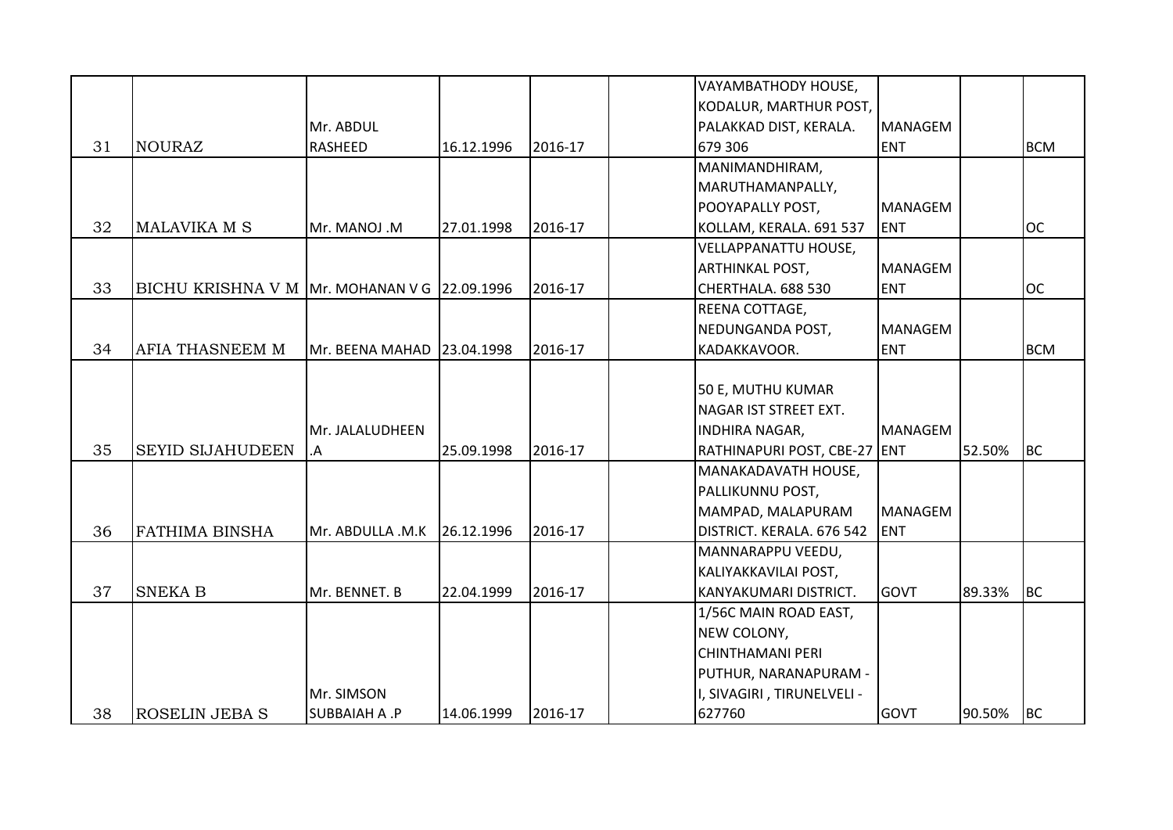|    |                                              |                            |            |         | VAYAMBATHODY HOUSE,          |                |        |            |
|----|----------------------------------------------|----------------------------|------------|---------|------------------------------|----------------|--------|------------|
|    |                                              |                            |            |         | KODALUR, MARTHUR POST,       |                |        |            |
|    |                                              | Mr. ABDUL                  |            |         | PALAKKAD DIST, KERALA.       | <b>MANAGEM</b> |        |            |
| 31 | <b>NOURAZ</b>                                | <b>RASHEED</b>             | 16.12.1996 | 2016-17 | 679 306                      | <b>ENT</b>     |        | <b>BCM</b> |
|    |                                              |                            |            |         | MANIMANDHIRAM,               |                |        |            |
|    |                                              |                            |            |         | MARUTHAMANPALLY,             |                |        |            |
|    |                                              |                            |            |         | POOYAPALLY POST,             | <b>MANAGEM</b> |        |            |
| 32 | <b>MALAVIKA M S</b>                          | Mr. MANOJ .M               | 27.01.1998 | 2016-17 | KOLLAM, KERALA. 691 537      | <b>ENT</b>     |        | <b>OC</b>  |
|    |                                              |                            |            |         | <b>VELLAPPANATTU HOUSE,</b>  |                |        |            |
|    |                                              |                            |            |         | <b>ARTHINKAL POST,</b>       | <b>MANAGEM</b> |        |            |
| 33 | BICHU KRISHNA V M Mr. MOHANAN V G 22.09.1996 |                            |            | 2016-17 | CHERTHALA. 688 530           | <b>ENT</b>     |        | <b>OC</b>  |
|    |                                              |                            |            |         | REENA COTTAGE,               |                |        |            |
|    |                                              |                            |            |         | NEDUNGANDA POST,             | <b>MANAGEM</b> |        |            |
| 34 | AFIA THASNEEM M                              | Mr. BEENA MAHAD 23.04.1998 |            | 2016-17 | KADAKKAVOOR.                 | <b>ENT</b>     |        | <b>BCM</b> |
|    |                                              |                            |            |         |                              |                |        |            |
|    |                                              |                            |            |         | 50 E, MUTHU KUMAR            |                |        |            |
|    |                                              |                            |            |         | NAGAR IST STREET EXT.        |                |        |            |
|    |                                              | Mr. JALALUDHEEN            |            |         | <b>INDHIRA NAGAR,</b>        | <b>MANAGEM</b> |        |            |
| 35 | <b>SEYID SIJAHUDEEN</b>                      | .A                         | 25.09.1998 | 2016-17 | RATHINAPURI POST, CBE-27 ENT |                | 52.50% | <b>BC</b>  |
|    |                                              |                            |            |         | MANAKADAVATH HOUSE,          |                |        |            |
|    |                                              |                            |            |         | PALLIKUNNU POST,             |                |        |            |
|    |                                              |                            |            |         | MAMPAD, MALAPURAM            | <b>MANAGEM</b> |        |            |
| 36 | <b>FATHIMA BINSHA</b>                        | Mr. ABDULLA .M.K           | 26.12.1996 | 2016-17 | DISTRICT. KERALA. 676 542    | <b>ENT</b>     |        |            |
|    |                                              |                            |            |         | MANNARAPPU VEEDU,            |                |        |            |
|    |                                              |                            |            |         | KALIYAKKAVILAI POST,         |                |        |            |
| 37 | <b>SNEKA B</b>                               | Mr. BENNET. B              | 22.04.1999 | 2016-17 | KANYAKUMARI DISTRICT.        | <b>GOVT</b>    | 89.33% | <b>BC</b>  |
|    |                                              |                            |            |         | 1/56C MAIN ROAD EAST,        |                |        |            |
|    |                                              |                            |            |         | NEW COLONY,                  |                |        |            |
|    |                                              |                            |            |         | <b>CHINTHAMANI PERI</b>      |                |        |            |
|    |                                              |                            |            |         | PUTHUR, NARANAPURAM -        |                |        |            |
|    |                                              | Mr. SIMSON                 |            |         | I, SIVAGIRI, TIRUNELVELI -   |                |        |            |
| 38 | <b>ROSELIN JEBA S</b>                        | <b>SUBBAIAH A.P</b>        | 14.06.1999 | 2016-17 | 627760                       | <b>GOVT</b>    | 90.50% | <b>BC</b>  |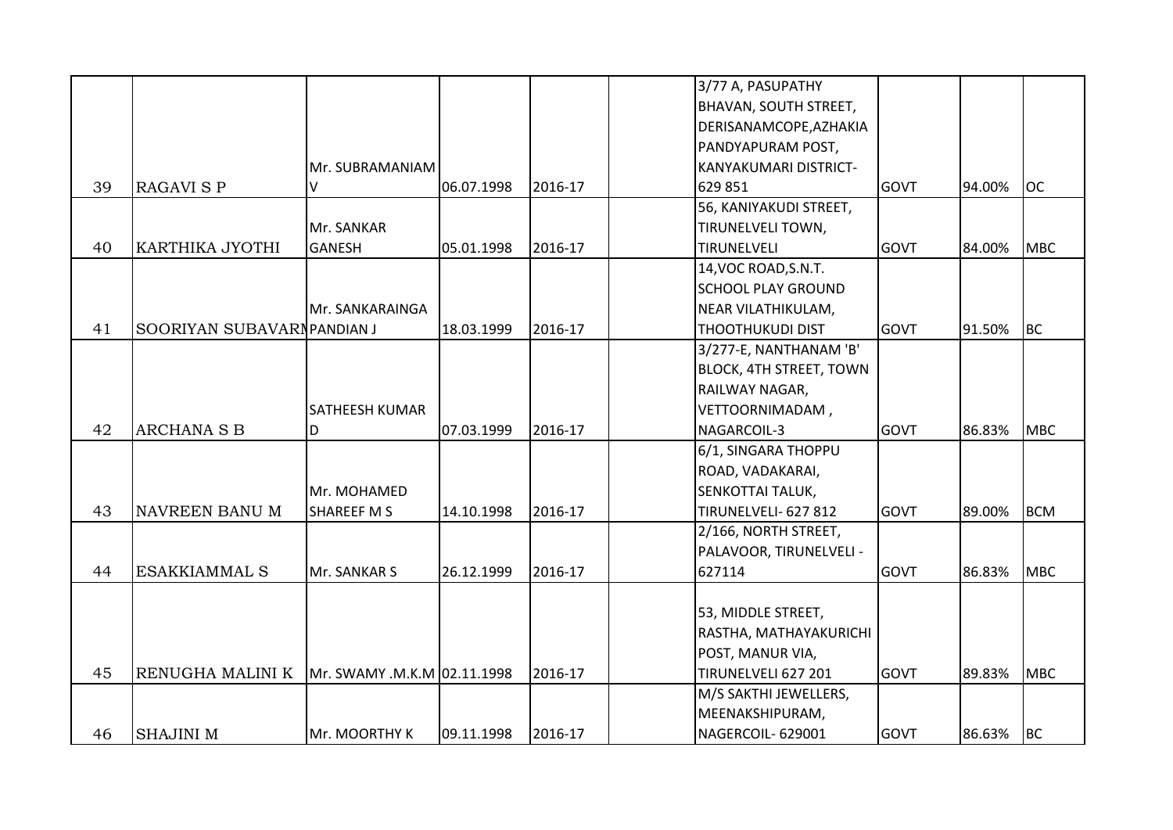|    |                            |                             |            |         | 3/77 A, PASUPATHY              |             |        |            |
|----|----------------------------|-----------------------------|------------|---------|--------------------------------|-------------|--------|------------|
|    |                            |                             |            |         | <b>BHAVAN, SOUTH STREET,</b>   |             |        |            |
|    |                            |                             |            |         | DERISANAMCOPE, AZHAKIA         |             |        |            |
|    |                            |                             |            |         | PANDYAPURAM POST,              |             |        |            |
|    |                            | Mr. SUBRAMANIAM             |            |         | <b>KANYAKUMARI DISTRICT-</b>   |             |        |            |
| 39 | <b>RAGAVI S P</b>          | V                           | 06.07.1998 | 2016-17 | 629 851                        | <b>GOVT</b> | 94.00% | <b>OC</b>  |
|    |                            |                             |            |         | 56, KANIYAKUDI STREET,         |             |        |            |
|    |                            | Mr. SANKAR                  |            |         | <b>TIRUNELVELI TOWN,</b>       |             |        |            |
| 40 | KARTHIKA JYOTHI            | <b>GANESH</b>               | 05.01.1998 | 2016-17 | TIRUNELVELI                    | <b>GOVT</b> | 84.00% | <b>MBC</b> |
|    |                            |                             |            |         | 14, VOC ROAD, S.N.T.           |             |        |            |
|    |                            |                             |            |         | <b>SCHOOL PLAY GROUND</b>      |             |        |            |
|    |                            | Mr. SANKARAINGA             |            |         | NEAR VILATHIKULAM,             |             |        |            |
| 41 | SOORIYAN SUBAVARNPANDIAN J |                             | 18.03.1999 | 2016-17 | <b>THOOTHUKUDI DIST</b>        | <b>GOVT</b> | 91.50% | <b>BC</b>  |
|    |                            |                             |            |         | 3/277-E, NANTHANAM 'B'         |             |        |            |
|    |                            |                             |            |         | <b>BLOCK, 4TH STREET, TOWN</b> |             |        |            |
|    |                            |                             |            |         | RAILWAY NAGAR,                 |             |        |            |
|    |                            | <b>SATHEESH KUMAR</b>       |            |         | VETTOORNIMADAM,                |             |        |            |
| 42 | <b>ARCHANA S B</b>         | D                           | 07.03.1999 | 2016-17 | NAGARCOIL-3                    | <b>GOVT</b> | 86.83% | <b>MBC</b> |
|    |                            |                             |            |         | 6/1, SINGARA THOPPU            |             |        |            |
|    |                            |                             |            |         | ROAD, VADAKARAI,               |             |        |            |
|    |                            | Mr. MOHAMED                 |            |         | <b>SENKOTTAI TALUK,</b>        |             |        |            |
| 43 | NAVREEN BANU M             | SHAREEF M S                 | 14.10.1998 | 2016-17 | TIRUNELVELI- 627 812           | <b>GOVT</b> | 89.00% | <b>BCM</b> |
|    |                            |                             |            |         | 2/166, NORTH STREET,           |             |        |            |
|    |                            |                             |            |         | PALAVOOR, TIRUNELVELI -        |             |        |            |
| 44 | <b>ESAKKIAMMAL S</b>       | Mr. SANKAR S                | 26.12.1999 | 2016-17 | 627114                         | <b>GOVT</b> | 86.83% | <b>MBC</b> |
|    |                            |                             |            |         |                                |             |        |            |
|    |                            |                             |            |         | 53, MIDDLE STREET,             |             |        |            |
|    |                            |                             |            |         | RASTHA, MATHAYAKURICHI         |             |        |            |
|    |                            |                             |            |         | POST, MANUR VIA,               |             |        |            |
| 45 | RENUGHA MALINI K           | Mr. SWAMY .M.K.M 02.11.1998 |            | 2016-17 | TIRUNELVELI 627 201            | <b>GOVT</b> | 89.83% | <b>MBC</b> |
|    |                            |                             |            |         | M/S SAKTHI JEWELLERS,          |             |        |            |
|    |                            |                             |            |         | MEENAKSHIPURAM,                |             |        |            |
| 46 | <b>SHAJINI M</b>           | Mr. MOORTHY K               | 09.11.1998 | 2016-17 | NAGERCOIL-629001               | <b>GOVT</b> | 86.63% | <b>BC</b>  |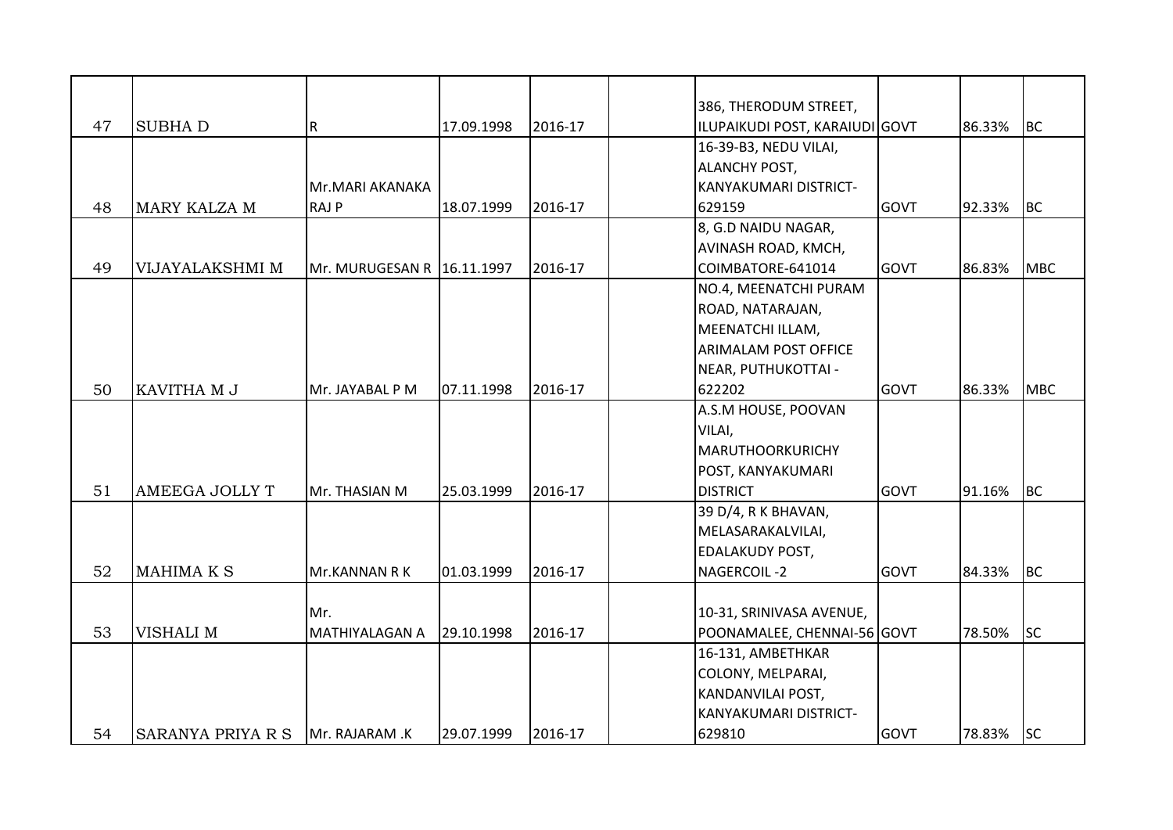|    |                          |                              |            |         |                        | 386, THERODUM STREET,          |             |        |            |
|----|--------------------------|------------------------------|------------|---------|------------------------|--------------------------------|-------------|--------|------------|
| 47 | <b>SUBHAD</b>            | R                            | 17.09.1998 | 2016-17 |                        | ILUPAIKUDI POST, KARAIUDI GOVT |             | 86.33% | <b>BC</b>  |
|    |                          |                              |            |         | 16-39-B3, NEDU VILAI,  |                                |             |        |            |
|    |                          |                              |            |         | <b>ALANCHY POST,</b>   |                                |             |        |            |
|    |                          | Mr.MARI AKANAKA              |            |         |                        | KANYAKUMARI DISTRICT-          |             |        |            |
| 48 | <b>MARY KALZA M</b>      | <b>RAJP</b>                  | 18.07.1999 | 2016-17 | 629159                 |                                | <b>GOVT</b> | 92.33% | <b>BC</b>  |
|    |                          |                              |            |         | 8, G.D NAIDU NAGAR,    |                                |             |        |            |
|    |                          |                              |            |         |                        | <b>AVINASH ROAD, KMCH,</b>     |             |        |            |
| 49 | VIJAYALAKSHMI M          | Mr. MURUGESAN R   16.11.1997 |            | 2016-17 | COIMBATORE-641014      |                                | <b>GOVT</b> | 86.83% | <b>MBC</b> |
|    |                          |                              |            |         |                        | NO.4, MEENATCHI PURAM          |             |        |            |
|    |                          |                              |            |         | ROAD, NATARAJAN,       |                                |             |        |            |
|    |                          |                              |            |         | MEENATCHI ILLAM,       |                                |             |        |            |
|    |                          |                              |            |         |                        | <b>ARIMALAM POST OFFICE</b>    |             |        |            |
|    |                          |                              |            |         | NEAR, PUTHUKOTTAI -    |                                |             |        |            |
| 50 | KAVITHA M J              | Mr. JAYABAL P M              | 07.11.1998 | 2016-17 | 622202                 |                                | <b>GOVT</b> | 86.33% | <b>MBC</b> |
|    |                          |                              |            |         |                        | A.S.M HOUSE, POOVAN            |             |        |            |
|    |                          |                              |            |         | VILAI,                 |                                |             |        |            |
|    |                          |                              |            |         |                        | MARUTHOORKURICHY               |             |        |            |
|    |                          |                              |            |         | POST, KANYAKUMARI      |                                |             |        |            |
| 51 | <b>AMEEGA JOLLY T</b>    | Mr. THASIAN M                | 25.03.1999 | 2016-17 | <b>DISTRICT</b>        |                                | <b>GOVT</b> | 91.16% | <b>BC</b>  |
|    |                          |                              |            |         | 39 D/4, R K BHAVAN,    |                                |             |        |            |
|    |                          |                              |            |         | MELASARAKALVILAI,      |                                |             |        |            |
|    |                          |                              |            |         | <b>EDALAKUDY POST,</b> |                                |             |        |            |
| 52 | MAHIMA K S               | Mr.KANNAN R K                | 01.03.1999 | 2016-17 | NAGERCOIL-2            |                                | <b>GOVT</b> | 84.33% | <b>BC</b>  |
|    |                          |                              |            |         |                        |                                |             |        |            |
|    |                          | Mr.                          |            |         |                        | 10-31, SRINIVASA AVENUE,       |             |        |            |
| 53 | VISHALI M                | <b>MATHIYALAGAN A</b>        | 29.10.1998 | 2016-17 |                        | POONAMALEE, CHENNAI-56 GOVT    |             | 78.50% | <b>SC</b>  |
|    |                          |                              |            |         | 16-131, AMBETHKAR      |                                |             |        |            |
|    |                          |                              |            |         | COLONY, MELPARAI,      |                                |             |        |            |
|    |                          |                              |            |         | KANDANVILAI POST,      |                                |             |        |            |
|    |                          |                              |            |         |                        | KANYAKUMARI DISTRICT-          |             |        |            |
| 54 | <b>SARANYA PRIYA R S</b> | Mr. RAJARAM .K               | 29.07.1999 | 2016-17 | 629810                 |                                | <b>GOVT</b> | 78.83% | <b>SC</b>  |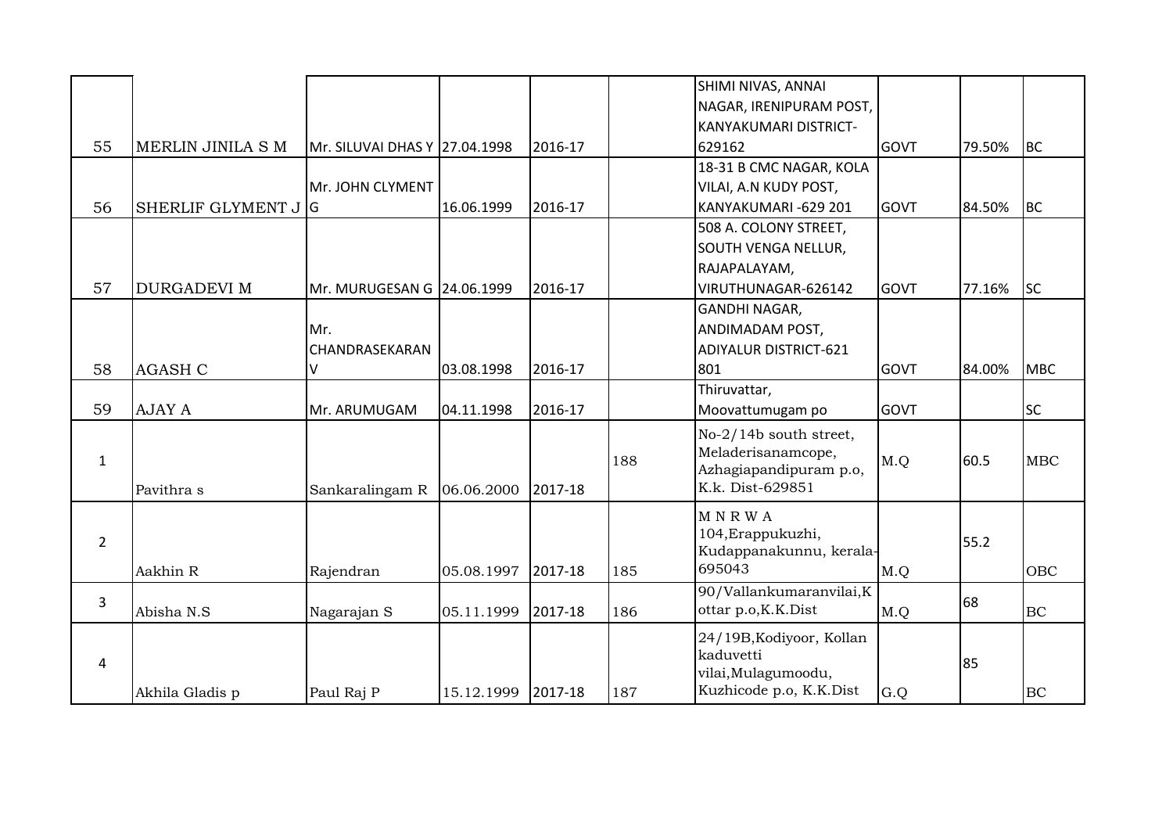|                |                     |                               |            |         |     | SHIMI NIVAS, ANNAI           |             |        |            |
|----------------|---------------------|-------------------------------|------------|---------|-----|------------------------------|-------------|--------|------------|
|                |                     |                               |            |         |     | NAGAR, IRENIPURAM POST,      |             |        |            |
|                |                     |                               |            |         |     | KANYAKUMARI DISTRICT-        |             |        |            |
| 55             | MERLIN JINILA S M   | Mr. SILUVAI DHAS Y 27.04.1998 |            | 2016-17 |     | 629162                       | <b>GOVT</b> | 79.50% | <b>BC</b>  |
|                |                     |                               |            |         |     | 18-31 B CMC NAGAR, KOLA      |             |        |            |
|                |                     | Mr. JOHN CLYMENT              |            |         |     | VILAI, A.N KUDY POST,        |             |        |            |
| 56             | SHERLIF GLYMENT J G |                               | 16.06.1999 | 2016-17 |     | KANYAKUMARI-629 201          | <b>GOVT</b> | 84.50% | <b>BC</b>  |
|                |                     |                               |            |         |     | 508 A. COLONY STREET,        |             |        |            |
|                |                     |                               |            |         |     | SOUTH VENGA NELLUR,          |             |        |            |
|                |                     |                               |            |         |     | RAJAPALAYAM,                 |             |        |            |
| 57             | <b>DURGADEVI M</b>  | Mr. MURUGESAN G 24.06.1999    |            | 2016-17 |     | VIRUTHUNAGAR-626142          | <b>GOVT</b> | 77.16% | <b>SC</b>  |
|                |                     |                               |            |         |     | <b>GANDHI NAGAR,</b>         |             |        |            |
|                |                     | Mr.                           |            |         |     | ANDIMADAM POST,              |             |        |            |
|                |                     | CHANDRASEKARAN                |            |         |     | <b>ADIYALUR DISTRICT-621</b> |             |        |            |
| 58             | <b>AGASH C</b>      | V                             | 03.08.1998 | 2016-17 |     | 801                          | GOVT        | 84.00% | <b>MBC</b> |
|                |                     |                               |            |         |     | Thiruvattar,                 |             |        |            |
| 59             | <b>AJAY A</b>       | Mr. ARUMUGAM                  | 04.11.1998 | 2016-17 |     | Moovattumugam po             | <b>GOVT</b> |        | <b>SC</b>  |
|                |                     |                               |            |         |     | No-2/14b south street,       |             |        |            |
| $\mathbf{1}$   |                     |                               |            |         | 188 | Meladerisanamcope,           | M.Q         | 60.5   | MBC        |
|                |                     |                               |            |         |     | Azhagiapandipuram p.o,       |             |        |            |
|                | Pavithra s          | Sankaralingam R               | 06.06.2000 | 2017-18 |     | K.k. Dist-629851             |             |        |            |
|                |                     |                               |            |         |     | <b>MNRWA</b>                 |             |        |            |
| $\overline{2}$ |                     |                               |            |         |     | 104, Erappukuzhi,            |             | 55.2   |            |
|                |                     |                               |            |         |     | Kudappanakunnu, kerala-      |             |        |            |
|                | Aakhin R            | Rajendran                     | 05.08.1997 | 2017-18 | 185 | 695043                       | M.Q         |        | OBC        |
| 3              |                     |                               |            |         |     | 90/Vallankumaranvilai, K     |             | 68     |            |
|                | Abisha N.S          | Nagarajan S                   | 05.11.1999 | 2017-18 | 186 | ottar p.o, K.K.Dist          | M.Q         |        | <b>BC</b>  |
|                |                     |                               |            |         |     | 24/19B, Kodiyoor, Kollan     |             |        |            |
| 4              |                     |                               |            |         |     | kaduvetti                    |             | 85     |            |
|                |                     |                               |            |         |     | vilai, Mulagumoodu,          |             |        |            |
|                | Akhila Gladis p     | Paul Raj P                    | 15.12.1999 | 2017-18 | 187 | Kuzhicode p.o, K.K.Dist      | G.Q         |        | BC         |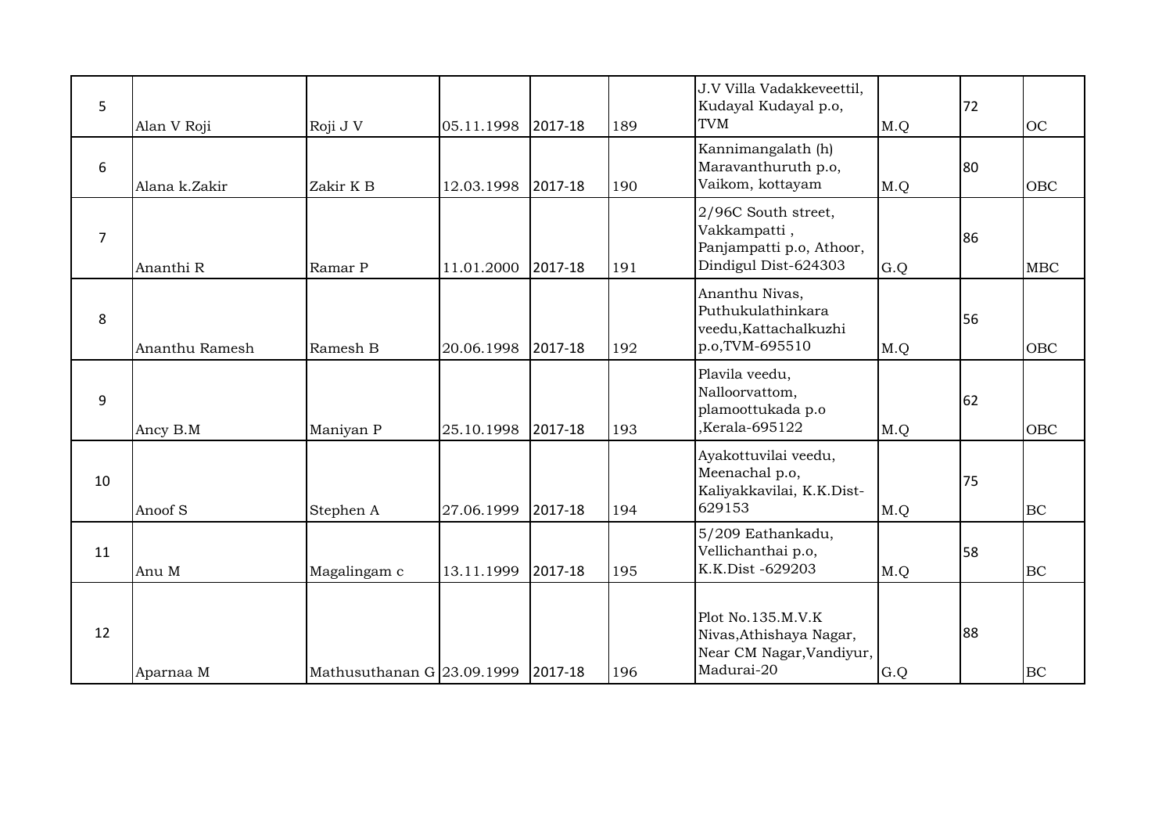| 5  | Alan V Roji    | Roji J V                           | 05.11.1998 | 2017-18 | 189 | J.V Villa Vadakkeveettil,<br>Kudayal Kudayal p.o,<br><b>TVM</b>                         | M.Q | 72 | <b>OC</b>  |
|----|----------------|------------------------------------|------------|---------|-----|-----------------------------------------------------------------------------------------|-----|----|------------|
| 6  | Alana k.Zakir  | Zakir K B                          | 12.03.1998 | 2017-18 | 190 | Kannimangalath (h)<br>Maravanthuruth p.o,<br>Vaikom, kottayam                           | M.Q | 80 | <b>OBC</b> |
| 7  | Ananthi R      | Ramar P                            | 11.01.2000 | 2017-18 | 191 | 2/96C South street,<br>Vakkampatti,<br>Panjampatti p.o, Athoor,<br>Dindigul Dist-624303 | G.Q | 86 | <b>MBC</b> |
| 8  | Ananthu Ramesh | Ramesh B                           | 20.06.1998 | 2017-18 | 192 | Ananthu Nivas,<br>Puthukulathinkara<br>veedu, Kattachalkuzhi<br>p.o.TVM-695510          | M.Q | 56 | <b>OBC</b> |
| 9  | Ancy B.M       | Maniyan P                          | 25.10.1998 | 2017-18 | 193 | Plavila veedu,<br>Nalloorvattom,<br>plamoottukada p.o<br>Kerala-695122,                 | M.Q | 62 | <b>OBC</b> |
| 10 | Anoof S        | Stephen A                          | 27.06.1999 | 2017-18 | 194 | Ayakottuvilai veedu,<br>Meenachal p.o,<br>Kaliyakkavilai, K.K.Dist-<br>629153           | M.Q | 75 | BC         |
| 11 | Anu M          | Magalingam c                       | 13.11.1999 | 2017-18 | 195 | 5/209 Eathankadu,<br>Vellichanthai p.o,<br>K.K.Dist -629203                             | M.Q | 58 | <b>BC</b>  |
| 12 | Aparnaa M      | Mathusuthanan G 23.09.1999 2017-18 |            |         | 196 | Plot No.135.M.V.K<br>Nivas, Athishaya Nagar,<br>Near CM Nagar, Vandiyur,<br>Madurai-20  | G.Q | 88 | BC         |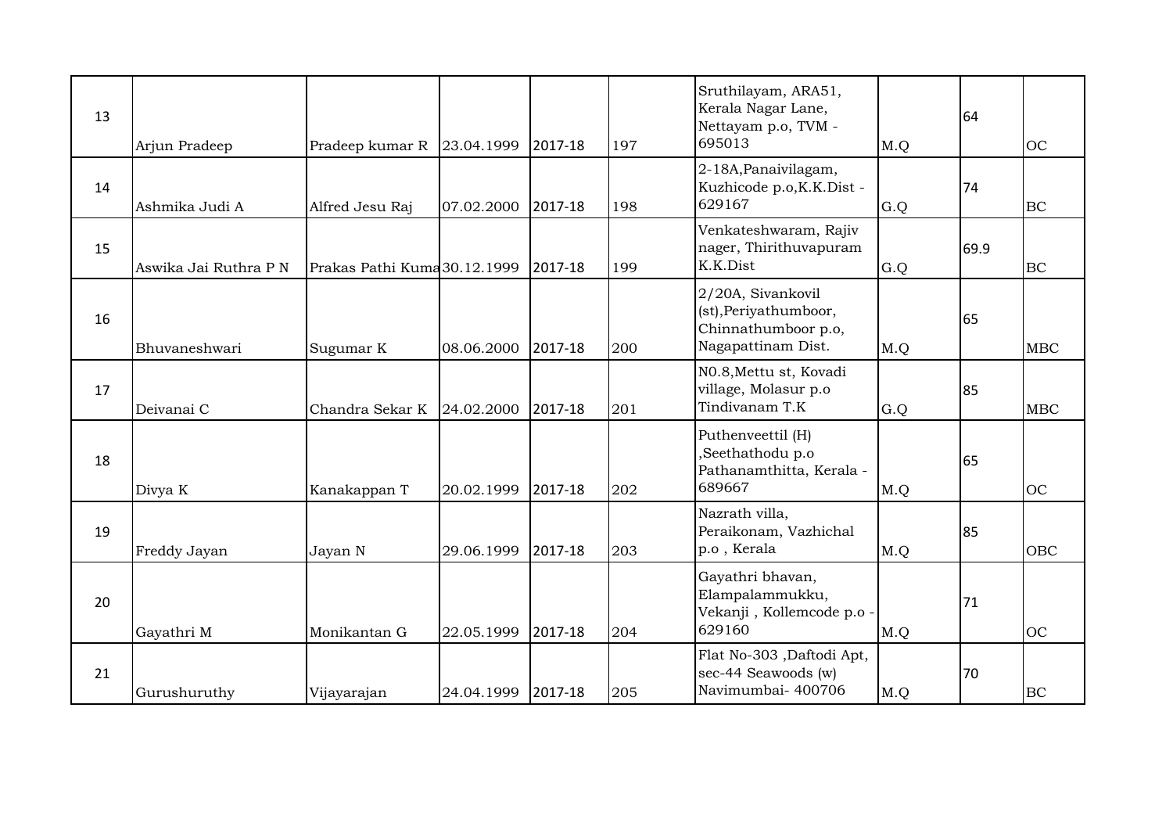| 13 | Arjun Pradeep         | Pradeep kumar R              | 23.04.1999 | 2017-18 | 197 | Sruthilayam, ARA51,<br>Kerala Nagar Lane,<br>Nettayam p.o, TVM -<br>695013              | M.Q | 64   | <b>OC</b>  |
|----|-----------------------|------------------------------|------------|---------|-----|-----------------------------------------------------------------------------------------|-----|------|------------|
| 14 | Ashmika Judi A        | Alfred Jesu Raj              | 07.02.2000 | 2017-18 | 198 | 2-18A, Panaivilagam,<br>Kuzhicode p.o, K.K.Dist -<br>629167                             | G.Q | 74   | BC         |
| 15 | Aswika Jai Ruthra P N | Prakas Pathi Kuma 30.12.1999 |            | 2017-18 | 199 | Venkateshwaram, Rajiv<br>nager, Thirithuvapuram<br>K.K.Dist                             | G.Q | 69.9 | BC         |
| 16 | Bhuvaneshwari         | Sugumar K                    | 08.06.2000 | 2017-18 | 200 | 2/20A, Sivankovil<br>(st), Periyathumboor,<br>Chinnathumboor p.o,<br>Nagapattinam Dist. | M.Q | 65   | <b>MBC</b> |
| 17 | Deivanai C            | Chandra Sekar K              | 24.02.2000 | 2017-18 | 201 | NO.8, Mettu st, Kovadi<br>village, Molasur p.o<br>Tindivanam T.K                        | G.Q | 85   | <b>MBC</b> |
| 18 | Divya K               | Kanakappan T                 | 20.02.1999 | 2017-18 | 202 | Puthenveettil (H)<br>,Seethathodu p.o<br>Pathanamthitta, Kerala -<br>689667             | M.Q | 65   | <b>OC</b>  |
| 19 | Freddy Jayan          | Jayan N                      | 29.06.1999 | 2017-18 | 203 | Nazrath villa,<br>Peraikonam, Vazhichal<br>p.o, Kerala                                  | M.Q | 85   | <b>OBC</b> |
| 20 | Gayathri M            | Monikantan G                 | 22.05.1999 | 2017-18 | 204 | Gayathri bhavan,<br>Elampalammukku,<br>Vekanji, Kollemcode p.o<br>629160                | M.Q | 71   | <b>OC</b>  |
| 21 | Gurushuruthy          | Vijayarajan                  | 24.04.1999 | 2017-18 | 205 | Flat No-303, Daftodi Apt,<br>sec-44 Seawoods (w)<br>Navimumbai- 400706                  | M.Q | 70   | BC         |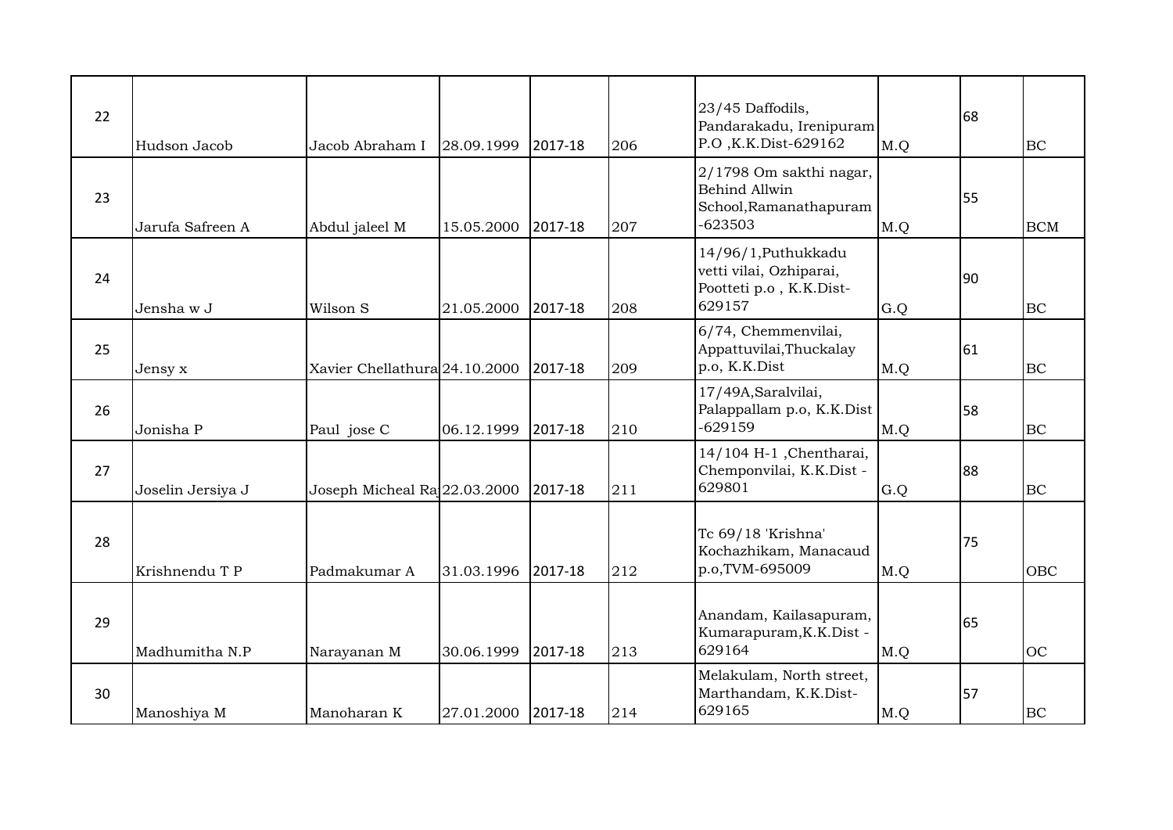| 22 | Hudson Jacob      | Jacob Abraham I               | 28.09.1999         | 2017-18 | 206 | 23/45 Daffodils,<br>Pandarakadu, Irenipuram<br>P.O., K.K. Dist-629162                  | M.Q | 68 | BC         |
|----|-------------------|-------------------------------|--------------------|---------|-----|----------------------------------------------------------------------------------------|-----|----|------------|
| 23 | Jarufa Safreen A  | Abdul jaleel M                | 15.05.2000         | 2017-18 | 207 | 2/1798 Om sakthi nagar,<br><b>Behind Allwin</b><br>School, Ramanathapuram<br>$-623503$ | M.Q | 55 | <b>BCM</b> |
| 24 | Jensha w J        | Wilson S                      | 21.05.2000         | 2017-18 | 208 | 14/96/1, Puthukkadu<br>vetti vilai, Ozhiparai,<br>Pootteti p.o , K.K.Dist-<br>629157   | G.Q | 90 | <b>BC</b>  |
| 25 | Jensy x           | Xavier Chellathura 24.10.2000 |                    | 2017-18 | 209 | 6/74, Chemmenvilai,<br>Appattuvilai, Thuckalay<br>p.o, K.K.Dist                        | M.Q | 61 | BC         |
| 26 | Jonisha P         | Paul jose C                   | 06.12.1999         | 2017-18 | 210 | 17/49A, Saralvilai,<br>Palappallam p.o, K.K.Dist<br>$-629159$                          | M.Q | 58 | BC         |
| 27 | Joselin Jersiya J | Joseph Micheal Ra 22.03.2000  |                    | 2017-18 | 211 | 14/104 H-1, Chentharai,<br>Chemponvilai, K.K.Dist -<br>629801                          | G.Q | 88 | BC         |
| 28 | Krishnendu T P    | Padmakumar A                  | 31.03.1996         | 2017-18 | 212 | Tc 69/18 'Krishna'<br>Kochazhikam, Manacaud<br>p.o,TVM-695009                          | M.Q | 75 | <b>OBC</b> |
| 29 | Madhumitha N.P    | Narayanan M                   | 30.06.1999         | 2017-18 | 213 | Anandam, Kailasapuram,<br>Kumarapuram, K.K.Dist -<br>629164                            | M.Q | 65 | <b>OC</b>  |
| 30 | Manoshiya M       | Manoharan K                   | 27.01.2000 2017-18 |         | 214 | Melakulam, North street,<br>Marthandam, K.K.Dist-<br>629165                            | M.Q | 57 | BC         |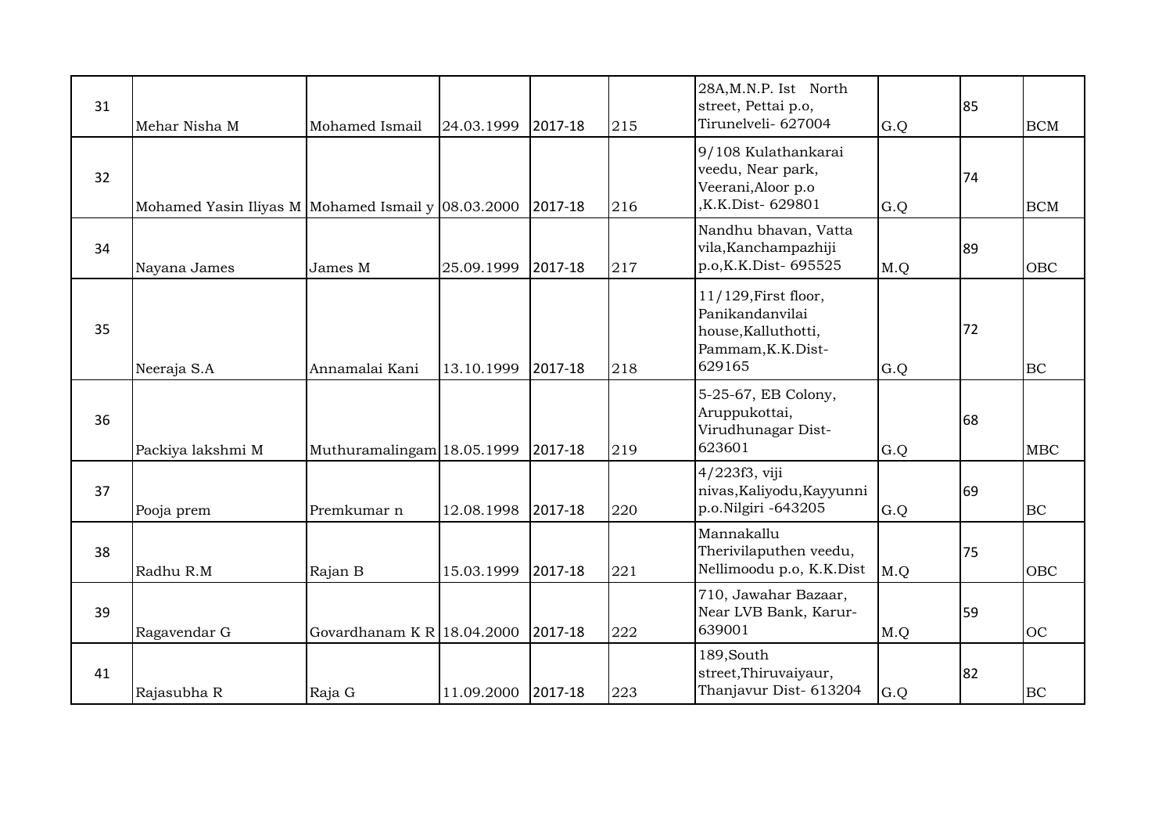| 31 | Mehar Nisha M                                      | Mohamed Ismail                | 24.03.1999 | 2017-18 | 215 | 28A, M.N.P. Ist North<br>street, Pettai p.o,<br>Tirunelveli- 627004                           | G.Q | 85 | <b>BCM</b> |
|----|----------------------------------------------------|-------------------------------|------------|---------|-----|-----------------------------------------------------------------------------------------------|-----|----|------------|
| 32 | Mohamed Yasin Iliyas M Mohamed Ismail y 08.03.2000 |                               |            | 2017-18 | 216 | 9/108 Kulathankarai<br>veedu, Near park,<br>Veerani, Aloor p.o<br>K.K.Dist-629801             | G.Q | 74 | <b>BCM</b> |
| 34 | Nayana James                                       | James M                       | 25.09.1999 | 2017-18 | 217 | Nandhu bhavan, Vatta<br>vila, Kanchampazhiji<br>p.o, K.K.Dist-695525                          | M.Q | 89 | OBC        |
| 35 | Neeraja S.A                                        | Annamalai Kani                | 13.10.1999 | 2017-18 | 218 | 11/129, First floor,<br>Panikandanvilai<br>house, Kalluthotti,<br>Pammam, K.K.Dist-<br>629165 | G.Q | 72 | <b>BC</b>  |
| 36 | Packiya lakshmi M                                  | Muthuramalingam 18.05.1999    |            | 2017-18 | 219 | 5-25-67, EB Colony,<br>Aruppukottai,<br>Virudhunagar Dist-<br>623601                          | G.Q | 68 | <b>MBC</b> |
| 37 | Pooja prem                                         | Premkumar n                   | 12.08.1998 | 2017-18 | 220 | 4/223f3, viji<br>nivas, Kaliyodu, Kayyunni<br>p.o.Nilgiri -643205                             | G.Q | 69 | <b>BC</b>  |
| 38 | Radhu R.M                                          | Rajan B                       | 15.03.1999 | 2017-18 | 221 | Mannakallu<br>Therivilaputhen veedu,<br>Nellimoodu p.o, K.K.Dist                              | M.Q | 75 | <b>OBC</b> |
| 39 | Ragavendar G                                       | Govardhanam K R $ 18.04.2000$ |            | 2017-18 | 222 | 710, Jawahar Bazaar,<br>Near LVB Bank, Karur-<br>639001                                       | M.Q | 59 | OC         |
| 41 | Rajasubha R                                        | Raja G                        | 11.09.2000 | 2017-18 | 223 | 189, South<br>street, Thiruvaiyaur,<br>Thanjavur Dist- 613204                                 | G.Q | 82 | BC         |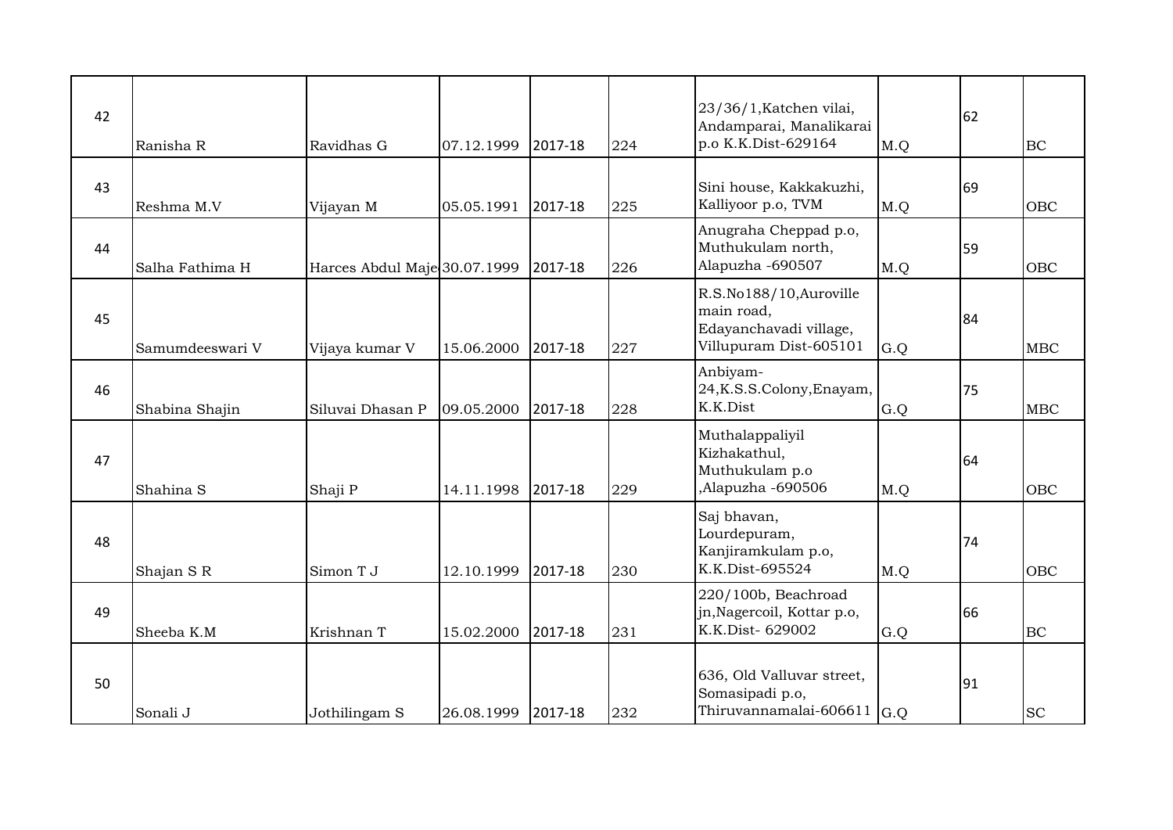| 42 | Ranisha R       | Ravidhas G                   | 07.12.1999 | 2017-18 | 224 | 23/36/1, Katchen vilai,<br>Andamparai, Manalikarai<br>p.o K.K.Dist-629164                 | M.Q | 62 | BC         |
|----|-----------------|------------------------------|------------|---------|-----|-------------------------------------------------------------------------------------------|-----|----|------------|
| 43 | Reshma M.V      | Vijayan M                    | 05.05.1991 | 2017-18 | 225 | Sini house, Kakkakuzhi,<br>Kalliyoor p.o, TVM                                             | M.Q | 69 | OBC        |
| 44 | Salha Fathima H | Harces Abdul Maje 30.07.1999 |            | 2017-18 | 226 | Anugraha Cheppad p.o,<br>Muthukulam north,<br>Alapuzha -690507                            | M.Q | 59 | <b>OBC</b> |
| 45 | Samumdeeswari V | Vijaya kumar V               | 15.06.2000 | 2017-18 | 227 | R.S.No188/10, Auroville<br>main road,<br>Edayanchavadi village,<br>Villupuram Dist-605101 | G.Q | 84 | <b>MBC</b> |
| 46 | Shabina Shajin  | Siluvai Dhasan P             | 09.05.2000 | 2017-18 | 228 | Anbiyam-<br>24, K.S.S.Colony, Enayam,<br>K.K.Dist                                         | G.Q | 75 | <b>MBC</b> |
| 47 | Shahina S       | Shaji P                      | 14.11.1998 | 2017-18 | 229 | Muthalappaliyil<br>Kizhakathul,<br>Muthukulam p.o<br>Alapuzha -690506                     | M.Q | 64 | OBC        |
| 48 | Shajan SR       | Simon T J                    | 12.10.1999 | 2017-18 | 230 | Saj bhavan,<br>Lourdepuram,<br>Kanjiramkulam p.o,<br>K.K.Dist-695524                      | M.Q | 74 | OBC        |
| 49 | Sheeba K.M      | Krishnan T                   | 15.02.2000 | 2017-18 | 231 | 220/100b, Beachroad<br>jn, Nagercoil, Kottar p.o,<br>K.K.Dist- 629002                     | G.Q | 66 | <b>BC</b>  |
| 50 | Sonali J        | Jothilingam S                | 26.08.1999 | 2017-18 | 232 | 636, Old Valluvar street,<br>Somasipadi p.o,<br>Thiruvannamalai-606611 $ G.Q $            |     | 91 | <b>SC</b>  |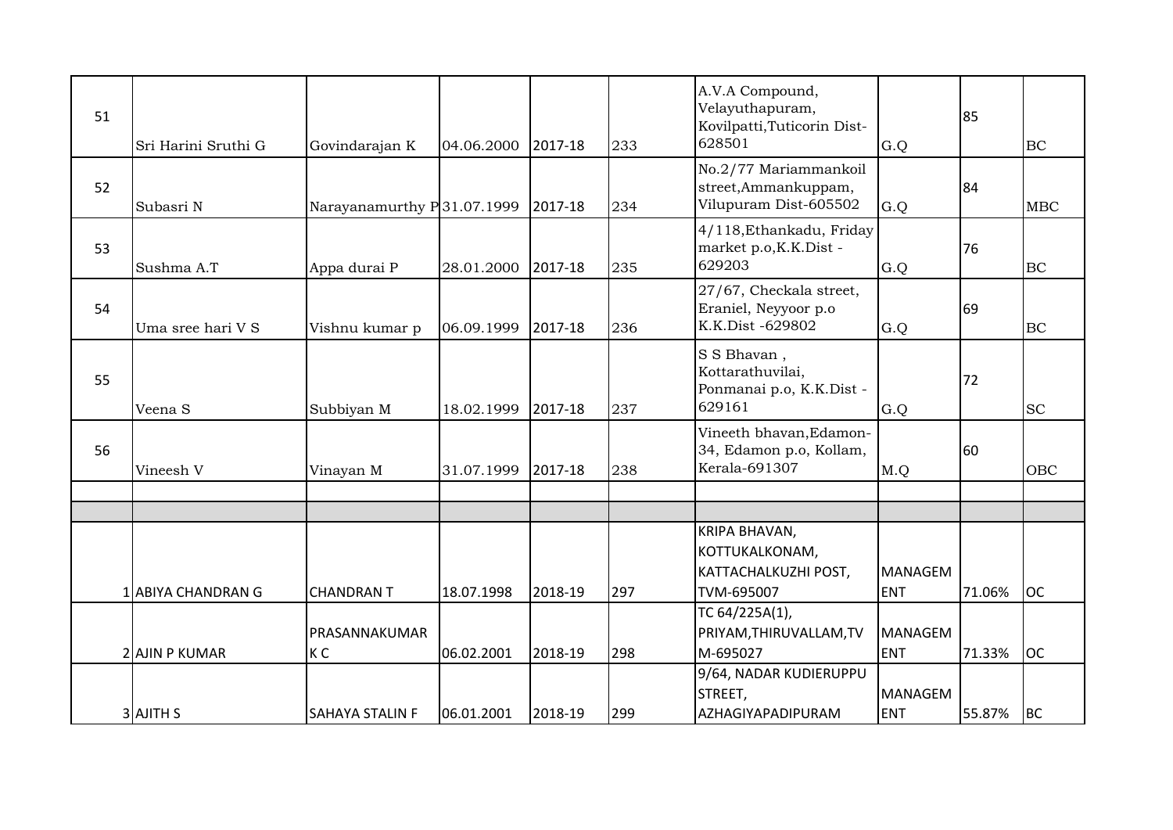| 51 | Sri Harini Sruthi G | Govindarajan K             | 04.06.2000 | 2017-18 | 233 | A.V.A Compound,<br>Velayuthapuram,<br>Kovilpatti, Tuticorin Dist-<br>628501 | G.Q                          | 85     | BC         |
|----|---------------------|----------------------------|------------|---------|-----|-----------------------------------------------------------------------------|------------------------------|--------|------------|
| 52 | Subasri N           | Narayanamurthy P31.07.1999 |            | 2017-18 | 234 | No.2/77 Mariammankoil<br>street, Ammankuppam,<br>Vilupuram Dist-605502      | G.Q                          | 84     | <b>MBC</b> |
| 53 | Sushma A.T          | Appa durai P               | 28.01.2000 | 2017-18 | 235 | 4/118, Ethankadu, Friday<br>market p.o, K.K.Dist -<br>629203                | G.Q                          | 76     | BC         |
| 54 | Uma sree hari V S   | Vishnu kumar p             | 06.09.1999 | 2017-18 | 236 | 27/67, Checkala street,<br>Eraniel, Neyyoor p.o<br>K.K.Dist -629802         | G.Q                          | 69     | BC         |
| 55 | Veena <sub>S</sub>  | Subbiyan M                 | 18.02.1999 | 2017-18 | 237 | S S Bhavan,<br>Kottarathuvilai,<br>Ponmanai p.o, K.K.Dist -<br>629161       | G.Q                          | 72     | <b>SC</b>  |
| 56 | Vineesh V           | Vinayan M                  | 31.07.1999 | 2017-18 | 238 | Vineeth bhavan, Edamon-<br>34, Edamon p.o, Kollam,<br>Kerala-691307         | M.Q                          | 60     | <b>OBC</b> |
|    |                     |                            |            |         |     |                                                                             |                              |        |            |
|    | 1 ABIYA CHANDRAN G  | <b>CHANDRAN T</b>          | 18.07.1998 | 2018-19 | 297 | KRIPA BHAVAN,<br>KOTTUKALKONAM,<br>KATTACHALKUZHI POST,<br>TVM-695007       | <b>MANAGEM</b><br><b>ENT</b> | 71.06% | <b>OC</b>  |
|    | 2 AJIN P KUMAR      | PRASANNAKUMAR<br>K C       | 06.02.2001 | 2018-19 | 298 | TC 64/225A(1),<br>PRIYAM, THIRUVALLAM, TV<br>M-695027                       | <b>MANAGEM</b><br><b>ENT</b> | 71.33% | <b>OC</b>  |
|    | <b>3</b> AJITH S    | <b>SAHAYA STALIN F</b>     | 06.01.2001 | 2018-19 | 299 | 9/64, NADAR KUDIERUPPU<br>STREET,<br>AZHAGIYAPADIPURAM                      | <b>MANAGEM</b><br><b>ENT</b> | 55.87% | <b>BC</b>  |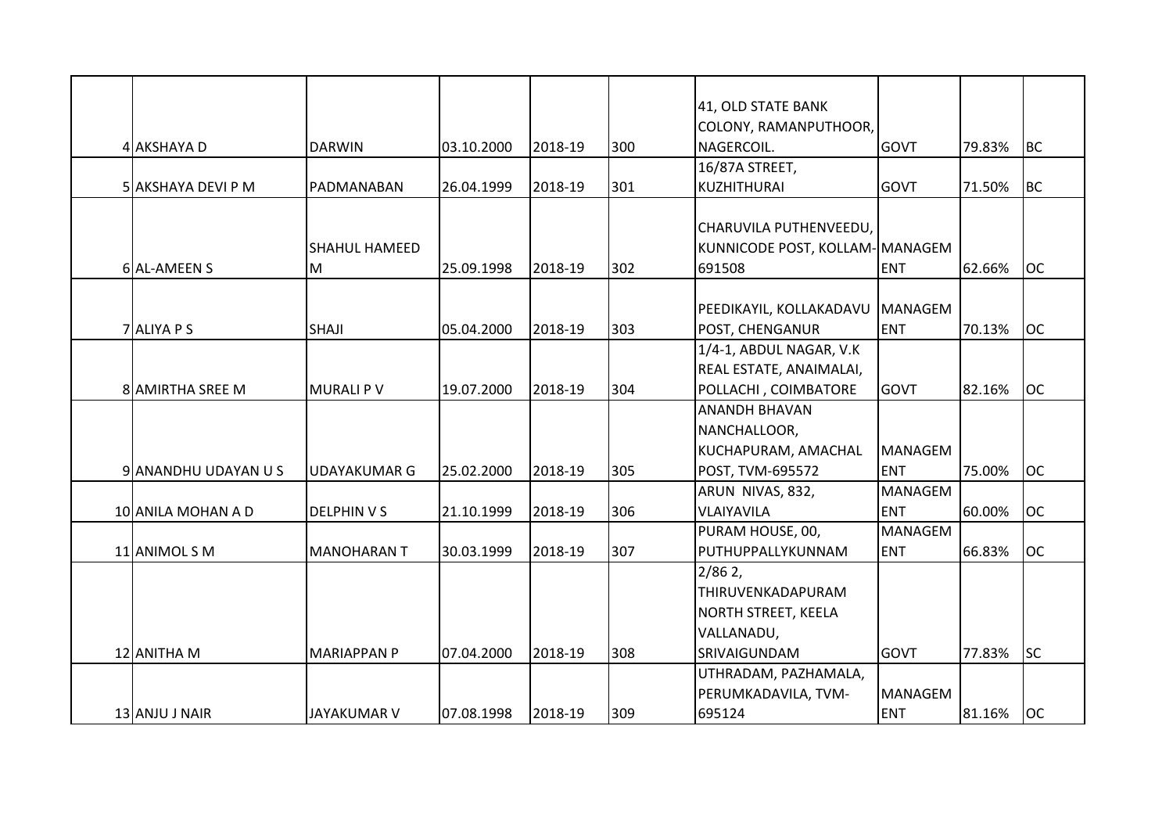|                         |                      |            |         |     | 41, OLD STATE BANK              |                |        |           |
|-------------------------|----------------------|------------|---------|-----|---------------------------------|----------------|--------|-----------|
|                         |                      |            |         |     | COLONY, RAMANPUTHOOR,           |                |        |           |
| 4 AKSHAYA D             | <b>DARWIN</b>        | 03.10.2000 | 2018-19 | 300 | NAGERCOIL.                      | GOVT           | 79.83% | <b>BC</b> |
|                         |                      |            |         |     | 16/87A STREET,                  |                |        |           |
| 5 AKSHAYA DEVI P M      | PADMANABAN           | 26.04.1999 | 2018-19 | 301 | <b>KUZHITHURAI</b>              | <b>GOVT</b>    | 71.50% | <b>BC</b> |
|                         |                      |            |         |     |                                 |                |        |           |
|                         |                      |            |         |     | CHARUVILA PUTHENVEEDU,          |                |        |           |
|                         | <b>SHAHUL HAMEED</b> |            |         |     | KUNNICODE POST, KOLLAM- MANAGEM |                |        |           |
| 6 AL-AMEEN S            | M                    | 25.09.1998 | 2018-19 | 302 | 691508                          | <b>ENT</b>     | 62.66% | <b>OC</b> |
|                         |                      |            |         |     |                                 |                |        |           |
|                         |                      |            |         |     | PEEDIKAYIL, KOLLAKADAVU MANAGEM |                |        |           |
| 7 ALIYA P S             | <b>SHAJI</b>         | 05.04.2000 | 2018-19 | 303 | POST, CHENGANUR                 | <b>ENT</b>     | 70.13% | <b>OC</b> |
|                         |                      |            |         |     | 1/4-1, ABDUL NAGAR, V.K         |                |        |           |
|                         |                      |            |         |     | REAL ESTATE, ANAIMALAI,         |                |        |           |
| <b>8 AMIRTHA SREE M</b> | IMURALI P V          | 19.07.2000 | 2018-19 | 304 | POLLACHI, COIMBATORE            | <b>GOVT</b>    | 82.16% | <b>OC</b> |
|                         |                      |            |         |     | <b>ANANDH BHAVAN</b>            |                |        |           |
|                         |                      |            |         |     | NANCHALLOOR,                    |                |        |           |
|                         |                      |            |         |     | KUCHAPURAM, AMACHAL             | <b>MANAGEM</b> |        |           |
| 9 ANANDHU UDAYAN U S    | <b>UDAYAKUMAR G</b>  | 25.02.2000 | 2018-19 | 305 | POST, TVM-695572                | <b>ENT</b>     | 75.00% | <b>OC</b> |
|                         |                      |            |         |     | ARUN NIVAS, 832,                | <b>MANAGEM</b> |        |           |
| 10 ANILA MOHAN A D      | <b>DELPHINVS</b>     | 21.10.1999 | 2018-19 | 306 | VLAIYAVILA                      | <b>ENT</b>     | 60.00% | <b>OC</b> |
|                         |                      |            |         |     | PURAM HOUSE, 00,                | <b>MANAGEM</b> |        |           |
| 11 ANIMOL S M           | <b>MANOHARAN T</b>   | 30.03.1999 | 2018-19 | 307 | PUTHUPPALLYKUNNAM               | <b>ENT</b>     | 66.83% | <b>OC</b> |
|                         |                      |            |         |     | $2/862$ ,                       |                |        |           |
|                         |                      |            |         |     | THIRUVENKADAPURAM               |                |        |           |
|                         |                      |            |         |     | NORTH STREET, KEELA             |                |        |           |
|                         |                      |            |         |     | VALLANADU,                      |                |        |           |
| 12 ANITHA M             | <b>MARIAPPAN P</b>   | 07.04.2000 | 2018-19 | 308 | SRIVAIGUNDAM                    | <b>GOVT</b>    | 77.83% | <b>SC</b> |
|                         |                      |            |         |     | UTHRADAM, PAZHAMALA,            |                |        |           |
|                         |                      |            |         |     | PERUMKADAVILA, TVM-             | <b>MANAGEM</b> |        |           |
| 13 ANJU J NAIR          | <b>JAYAKUMAR V</b>   | 07.08.1998 | 2018-19 | 309 | 695124                          | <b>ENT</b>     | 81.16% | loc       |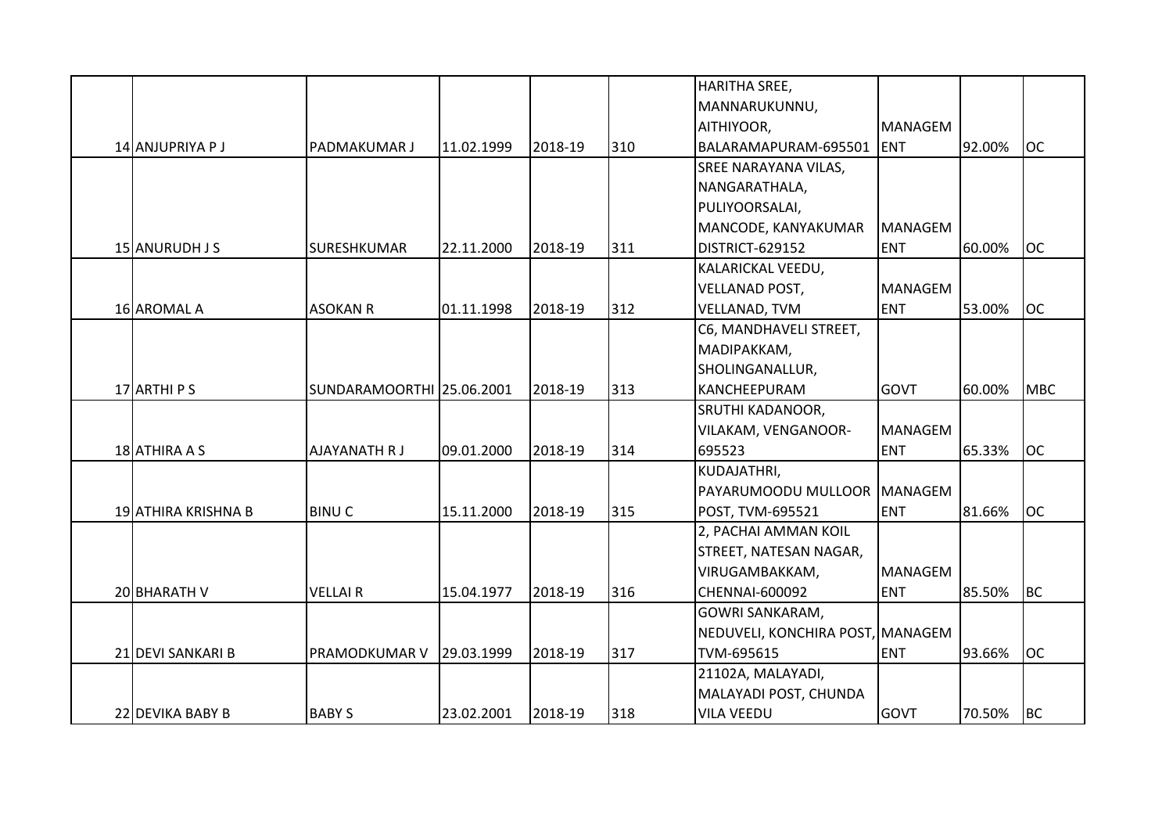|                     |                           |            |         |     | <b>HARITHA SREE,</b>             |                |        |            |
|---------------------|---------------------------|------------|---------|-----|----------------------------------|----------------|--------|------------|
|                     |                           |            |         |     | MANNARUKUNNU,                    |                |        |            |
|                     |                           |            |         |     | AITHIYOOR,                       | <b>MANAGEM</b> |        |            |
| 14 ANJUPRIYA P J    | <b>PADMAKUMAR J</b>       | 11.02.1999 | 2018-19 | 310 | BALARAMAPURAM-695501             | <b>ENT</b>     | 92.00% | <b>OC</b>  |
|                     |                           |            |         |     | <b>SREE NARAYANA VILAS,</b>      |                |        |            |
|                     |                           |            |         |     | NANGARATHALA,                    |                |        |            |
|                     |                           |            |         |     | PULIYOORSALAI,                   |                |        |            |
|                     |                           |            |         |     | MANCODE, KANYAKUMAR              | <b>MANAGEM</b> |        |            |
| 15 ANURUDH J S      | SURESHKUMAR               | 22.11.2000 | 2018-19 | 311 | DISTRICT-629152                  | <b>ENT</b>     | 60.00% | <b>OC</b>  |
|                     |                           |            |         |     | KALARICKAL VEEDU,                |                |        |            |
|                     |                           |            |         |     | <b>VELLANAD POST,</b>            | <b>MANAGEM</b> |        |            |
| 16 AROMAL A         | <b>ASOKAN R</b>           | 01.11.1998 | 2018-19 | 312 | VELLANAD, TVM                    | <b>ENT</b>     | 53.00% | <b>OC</b>  |
|                     |                           |            |         |     | C6, MANDHAVELI STREET,           |                |        |            |
|                     |                           |            |         |     | MADIPAKKAM,                      |                |        |            |
|                     |                           |            |         |     |                                  |                |        |            |
| 17 ARTHI P S        |                           |            |         | 313 | SHOLINGANALLUR,                  |                |        | <b>MBC</b> |
|                     | SUNDARAMOORTHI 25.06.2001 |            | 2018-19 |     | KANCHEEPURAM                     | <b>GOVT</b>    | 60.00% |            |
|                     |                           |            |         |     | <b>SRUTHI KADANOOR,</b>          |                |        |            |
|                     |                           |            |         |     | VILAKAM, VENGANOOR-              | <b>MANAGEM</b> |        |            |
| 18 ATHIRA A S       | <b>AJAYANATH R J</b>      | 09.01.2000 | 2018-19 | 314 | 695523                           | <b>ENT</b>     | 65.33% | <b>OC</b>  |
|                     |                           |            |         |     | KUDAJATHRI,                      |                |        |            |
|                     |                           |            |         |     | PAYARUMOODU MULLOOR              | MANAGEM        |        |            |
| 19 ATHIRA KRISHNA B | <b>BINUC</b>              | 15.11.2000 | 2018-19 | 315 | POST, TVM-695521                 | <b>ENT</b>     | 81.66% | <b>OC</b>  |
|                     |                           |            |         |     | 2, PACHAI AMMAN KOIL             |                |        |            |
|                     |                           |            |         |     | STREET, NATESAN NAGAR,           |                |        |            |
|                     |                           |            |         |     | VIRUGAMBAKKAM,                   | <b>MANAGEM</b> |        |            |
| 20 BHARATH V        | <b>VELLAIR</b>            | 15.04.1977 | 2018-19 | 316 | <b>CHENNAI-600092</b>            | <b>ENT</b>     | 85.50% | <b>BC</b>  |
|                     |                           |            |         |     | <b>GOWRI SANKARAM,</b>           |                |        |            |
|                     |                           |            |         |     | NEDUVELI, KONCHIRA POST, MANAGEM |                |        |            |
| 21 DEVI SANKARI B   | PRAMODKUMAR V             | 29.03.1999 | 2018-19 | 317 | TVM-695615                       | <b>ENT</b>     | 93.66% | <b>OC</b>  |
|                     |                           |            |         |     | 21102A, MALAYADI,                |                |        |            |
|                     |                           |            |         |     | MALAYADI POST, CHUNDA            |                |        |            |
| 22 DEVIKA BABY B    | <b>BABY S</b>             | 23.02.2001 | 2018-19 | 318 | <b>VILA VEEDU</b>                | <b>GOVT</b>    | 70.50% | <b>BC</b>  |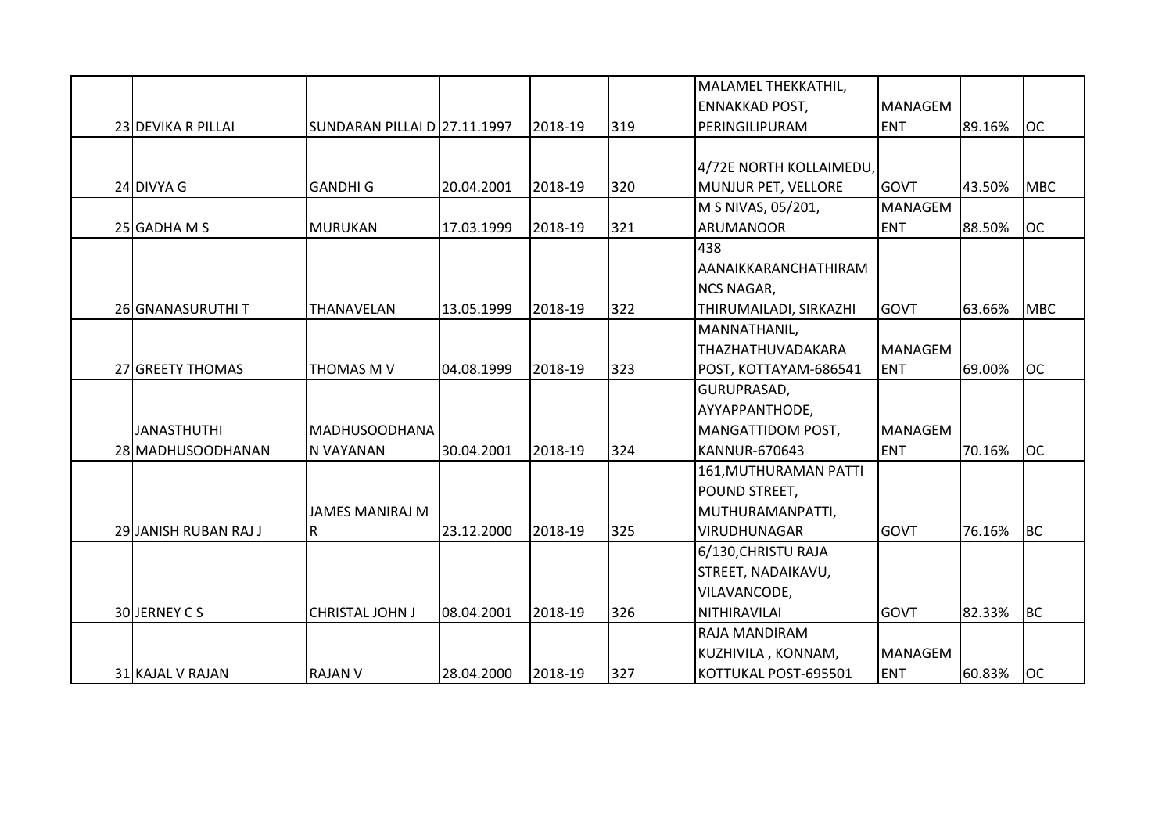|                       |                              |            |         |     | MALAMEL THEKKATHIL,     |                |        |            |
|-----------------------|------------------------------|------------|---------|-----|-------------------------|----------------|--------|------------|
|                       |                              |            |         |     | <b>ENNAKKAD POST,</b>   | <b>MANAGEM</b> |        |            |
| 23 DEVIKA R PILLAI    | SUNDARAN PILLAI D 27.11.1997 |            | 2018-19 | 319 | PERINGILIPURAM          | <b>ENT</b>     | 89.16% | <b>OC</b>  |
|                       |                              |            |         |     |                         |                |        |            |
|                       |                              |            |         |     | 4/72E NORTH KOLLAIMEDU, |                |        |            |
| 24 DIVYA G            | <b>GANDHI G</b>              | 20.04.2001 | 2018-19 | 320 | MUNJUR PET, VELLORE     | <b>GOVT</b>    | 43.50% | <b>MBC</b> |
|                       |                              |            |         |     | M S NIVAS, 05/201,      | <b>MANAGEM</b> |        |            |
| 25 GADHA M S          | <b>MURUKAN</b>               | 17.03.1999 | 2018-19 | 321 | <b>ARUMANOOR</b>        | <b>ENT</b>     | 88.50% | <b>OC</b>  |
|                       |                              |            |         |     | 438                     |                |        |            |
|                       |                              |            |         |     | AANAIKKARANCHATHIRAM    |                |        |            |
|                       |                              |            |         |     | <b>NCS NAGAR,</b>       |                |        |            |
| 26 GNANASURUTHI T     | THANAVELAN                   | 13.05.1999 | 2018-19 | 322 | THIRUMAILADI, SIRKAZHI  | <b>GOVT</b>    | 63.66% | <b>MBC</b> |
|                       |                              |            |         |     | MANNATHANIL,            |                |        |            |
|                       |                              |            |         |     | THAZHATHUVADAKARA       | <b>MANAGEM</b> |        |            |
| 27 GREETY THOMAS      | THOMAS M V                   | 04.08.1999 | 2018-19 | 323 | POST, KOTTAYAM-686541   | <b>ENT</b>     | 69.00% | <b>OC</b>  |
|                       |                              |            |         |     | GURUPRASAD,             |                |        |            |
|                       |                              |            |         |     | AYYAPPANTHODE,          |                |        |            |
| <b>JANASTHUTHI</b>    | <b>MADHUSOODHANA</b>         |            |         |     | MANGATTIDOM POST,       | <b>MANAGEM</b> |        |            |
| 28 MADHUSOODHANAN     | N VAYANAN                    | 30.04.2001 | 2018-19 | 324 | <b>KANNUR-670643</b>    | <b>ENT</b>     | 70.16% | <b>OC</b>  |
|                       |                              |            |         |     | 161, MUTHURAMAN PATTI   |                |        |            |
|                       |                              |            |         |     | POUND STREET,           |                |        |            |
|                       | <b>JAMES MANIRAJ M</b>       |            |         |     | MUTHURAMANPATTI,        |                |        |            |
| 29 JANISH RUBAN RAJ J | IR.                          | 23.12.2000 | 2018-19 | 325 | VIRUDHUNAGAR            | <b>GOVT</b>    | 76.16% | <b>BC</b>  |
|                       |                              |            |         |     | 6/130, CHRISTU RAJA     |                |        |            |
|                       |                              |            |         |     | STREET, NADAIKAVU,      |                |        |            |
|                       |                              |            |         |     | VILAVANCODE,            |                |        |            |
| 30 JERNEY C S         | <b>CHRISTAL JOHN J</b>       | 08.04.2001 | 2018-19 | 326 | <b>NITHIRAVILAI</b>     | <b>GOVT</b>    | 82.33% | <b>BC</b>  |
|                       |                              |            |         |     | <b>RAJA MANDIRAM</b>    |                |        |            |
|                       |                              |            |         |     | KUZHIVILA, KONNAM,      | <b>MANAGEM</b> |        |            |
| 31 KAJAL V RAJAN      | <b>RAJAN V</b>               | 28.04.2000 | 2018-19 | 327 | KOTTUKAL POST-695501    | <b>ENT</b>     | 60.83% | <b>OC</b>  |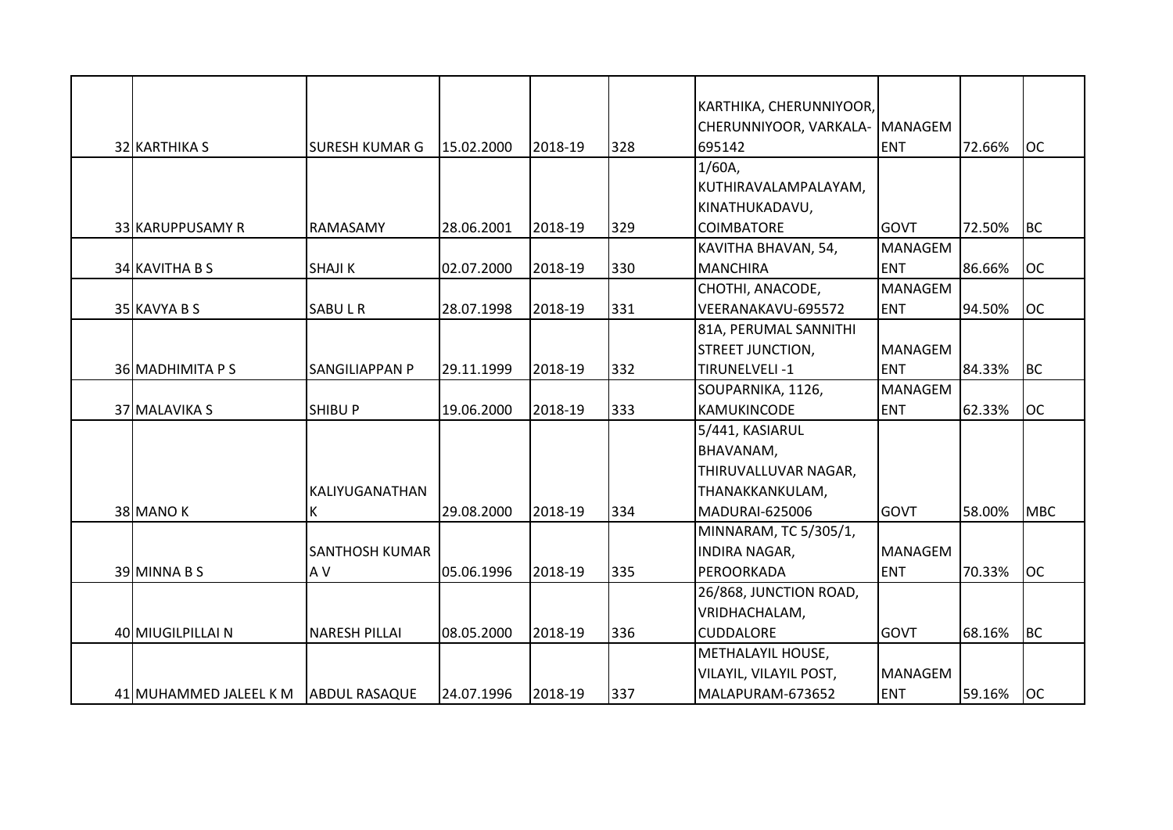|                        |                       |            |         |     | KARTHIKA, CHERUNNIYOOR,<br>CHERUNNIYOOR, VARKALA- MANAGEM |                |        |            |
|------------------------|-----------------------|------------|---------|-----|-----------------------------------------------------------|----------------|--------|------------|
| 32 KARTHIKA S          | <b>SURESH KUMAR G</b> | 15.02.2000 | 2018-19 | 328 | 695142                                                    | <b>ENT</b>     | 72.66% | <b>OC</b>  |
|                        |                       |            |         |     | 1/60A                                                     |                |        |            |
|                        |                       |            |         |     | KUTHIRAVALAMPALAYAM,                                      |                |        |            |
|                        |                       |            |         |     | KINATHUKADAVU,                                            |                |        |            |
| 33 KARUPPUSAMY R       | <b>RAMASAMY</b>       | 28.06.2001 | 2018-19 | 329 | <b>COIMBATORE</b>                                         | <b>GOVT</b>    | 72.50% | <b>BC</b>  |
|                        |                       |            |         |     | KAVITHA BHAVAN, 54,                                       | <b>MANAGEM</b> |        |            |
| 34 KAVITHA B S         | <b>SHAJI K</b>        | 02.07.2000 | 2018-19 | 330 | <b>MANCHIRA</b>                                           | <b>ENT</b>     | 86.66% | <b>OC</b>  |
|                        |                       |            |         |     | CHOTHI, ANACODE,                                          | <b>MANAGEM</b> |        |            |
| 35 KAVYA B S           | <b>SABULR</b>         | 28.07.1998 | 2018-19 | 331 | VEERANAKAVU-695572                                        | <b>ENT</b>     | 94.50% | <b>OC</b>  |
|                        |                       |            |         |     | 81A, PERUMAL SANNITHI                                     |                |        |            |
|                        |                       |            |         |     | <b>STREET JUNCTION,</b>                                   | <b>MANAGEM</b> |        |            |
| 36 MADHIMITA P S       | <b>SANGILIAPPAN P</b> | 29.11.1999 | 2018-19 | 332 | TIRUNELVELI-1                                             | <b>ENT</b>     | 84.33% | <b>BC</b>  |
|                        |                       |            |         |     | SOUPARNIKA, 1126,                                         | <b>MANAGEM</b> |        |            |
| 37 MALAVIKA S          | <b>SHIBU P</b>        | 19.06.2000 | 2018-19 | 333 | KAMUKINCODE                                               | <b>ENT</b>     | 62.33% | <b>OC</b>  |
|                        |                       |            |         |     | 5/441, KASIARUL                                           |                |        |            |
|                        |                       |            |         |     | BHAVANAM,                                                 |                |        |            |
|                        |                       |            |         |     | THIRUVALLUVAR NAGAR,                                      |                |        |            |
|                        | KALIYUGANATHAN        |            |         |     | THANAKKANKULAM,                                           |                |        |            |
| 38 MANO K              | К                     | 29.08.2000 | 2018-19 | 334 | MADURAI-625006                                            | <b>GOVT</b>    | 58.00% | <b>MBC</b> |
|                        |                       |            |         |     | MINNARAM, TC 5/305/1,                                     |                |        |            |
|                        | <b>SANTHOSH KUMAR</b> |            |         |     | <b>INDIRA NAGAR,</b>                                      | <b>MANAGEM</b> |        |            |
| 39 MINNA B S           | A V                   | 05.06.1996 | 2018-19 | 335 | PEROORKADA                                                | <b>ENT</b>     | 70.33% | <b>OC</b>  |
|                        |                       |            |         |     | 26/868, JUNCTION ROAD,                                    |                |        |            |
|                        |                       |            |         |     | VRIDHACHALAM,                                             |                |        |            |
| 40 MIUGILPILLAI N      | <b>NARESH PILLAI</b>  | 08.05.2000 | 2018-19 | 336 | <b>CUDDALORE</b>                                          | <b>GOVT</b>    | 68.16% | <b>BC</b>  |
|                        |                       |            |         |     | METHALAYIL HOUSE,                                         |                |        |            |
|                        |                       |            |         |     | VILAYIL, VILAYIL POST,                                    | <b>MANAGEM</b> |        |            |
| 41 MUHAMMED JALEEL K M | <b>ABDUL RASAQUE</b>  | 24.07.1996 | 2018-19 | 337 | MALAPURAM-673652                                          | <b>ENT</b>     | 59.16% | <b>OC</b>  |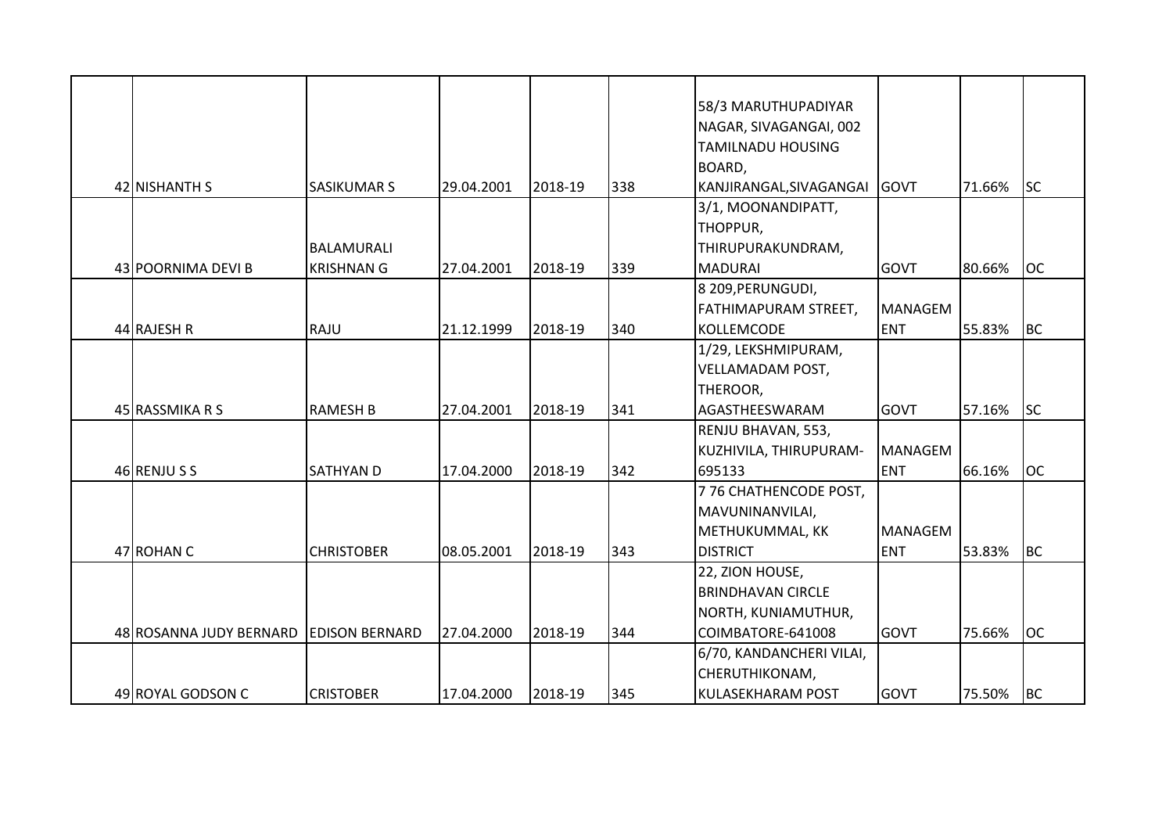|                         |                       |            |         |     | 58/3 MARUTHUPADIYAR         |                |        |           |
|-------------------------|-----------------------|------------|---------|-----|-----------------------------|----------------|--------|-----------|
|                         |                       |            |         |     | NAGAR, SIVAGANGAI, 002      |                |        |           |
|                         |                       |            |         |     | <b>TAMILNADU HOUSING</b>    |                |        |           |
|                         |                       |            |         |     | BOARD,                      |                |        |           |
| 42 NISHANTH S           | <b>SASIKUMAR S</b>    | 29.04.2001 | 2018-19 | 338 | KANJIRANGAL, SIVAGANGAI     | GOVT           | 71.66% | <b>SC</b> |
|                         |                       |            |         |     | 3/1, MOONANDIPATT,          |                |        |           |
|                         |                       |            |         |     | THOPPUR,                    |                |        |           |
|                         | <b>BALAMURALI</b>     |            |         |     | THIRUPURAKUNDRAM,           |                |        |           |
| 43 POORNIMA DEVI B      | <b>KRISHNAN G</b>     | 27.04.2001 | 2018-19 | 339 | <b>MADURAI</b>              | <b>GOVT</b>    | 80.66% | <b>OC</b> |
|                         |                       |            |         |     | 8 209, PERUNGUDI,           |                |        |           |
|                         |                       |            |         |     | <b>FATHIMAPURAM STREET,</b> | <b>MANAGEM</b> |        |           |
| 44 RAJESH R             | RAJU                  | 21.12.1999 | 2018-19 | 340 | KOLLEMCODE                  | <b>ENT</b>     | 55.83% | BC        |
|                         |                       |            |         |     | 1/29, LEKSHMIPURAM,         |                |        |           |
|                         |                       |            |         |     | <b>VELLAMADAM POST,</b>     |                |        |           |
|                         |                       |            |         |     | THEROOR,                    |                |        |           |
| 45 RASSMIKA R S         | <b>RAMESH B</b>       | 27.04.2001 | 2018-19 | 341 | AGASTHEESWARAM              | <b>GOVT</b>    | 57.16% | <b>SC</b> |
|                         |                       |            |         |     | RENJU BHAVAN, 553,          |                |        |           |
|                         |                       |            |         |     | KUZHIVILA, THIRUPURAM-      | <b>MANAGEM</b> |        |           |
| 46 RENJUSS              | <b>SATHYAN D</b>      | 17.04.2000 | 2018-19 | 342 | 695133                      | <b>ENT</b>     | 66.16% | loc       |
|                         |                       |            |         |     | 776 CHATHENCODE POST,       |                |        |           |
|                         |                       |            |         |     | MAVUNINANVILAI,             |                |        |           |
|                         |                       |            |         |     | METHUKUMMAL, KK             | <b>MANAGEM</b> |        |           |
| 47 ROHAN C              | <b>CHRISTOBER</b>     | 08.05.2001 | 2018-19 | 343 | <b>DISTRICT</b>             | <b>ENT</b>     | 53.83% | <b>BC</b> |
|                         |                       |            |         |     | 22, ZION HOUSE,             |                |        |           |
|                         |                       |            |         |     | <b>BRINDHAVAN CIRCLE</b>    |                |        |           |
|                         |                       |            |         |     | NORTH, KUNIAMUTHUR,         |                |        |           |
| 48 ROSANNA JUDY BERNARD | <b>EDISON BERNARD</b> | 27.04.2000 | 2018-19 | 344 | COIMBATORE-641008           | <b>GOVT</b>    | 75.66% | <b>OC</b> |
|                         |                       |            |         |     | 6/70, KANDANCHERI VILAI,    |                |        |           |
|                         |                       |            |         |     | CHERUTHIKONAM,              |                |        |           |
| 49 ROYAL GODSON C       | <b>CRISTOBER</b>      | 17.04.2000 | 2018-19 | 345 | <b>KULASEKHARAM POST</b>    | GOVT           | 75.50% | <b>BC</b> |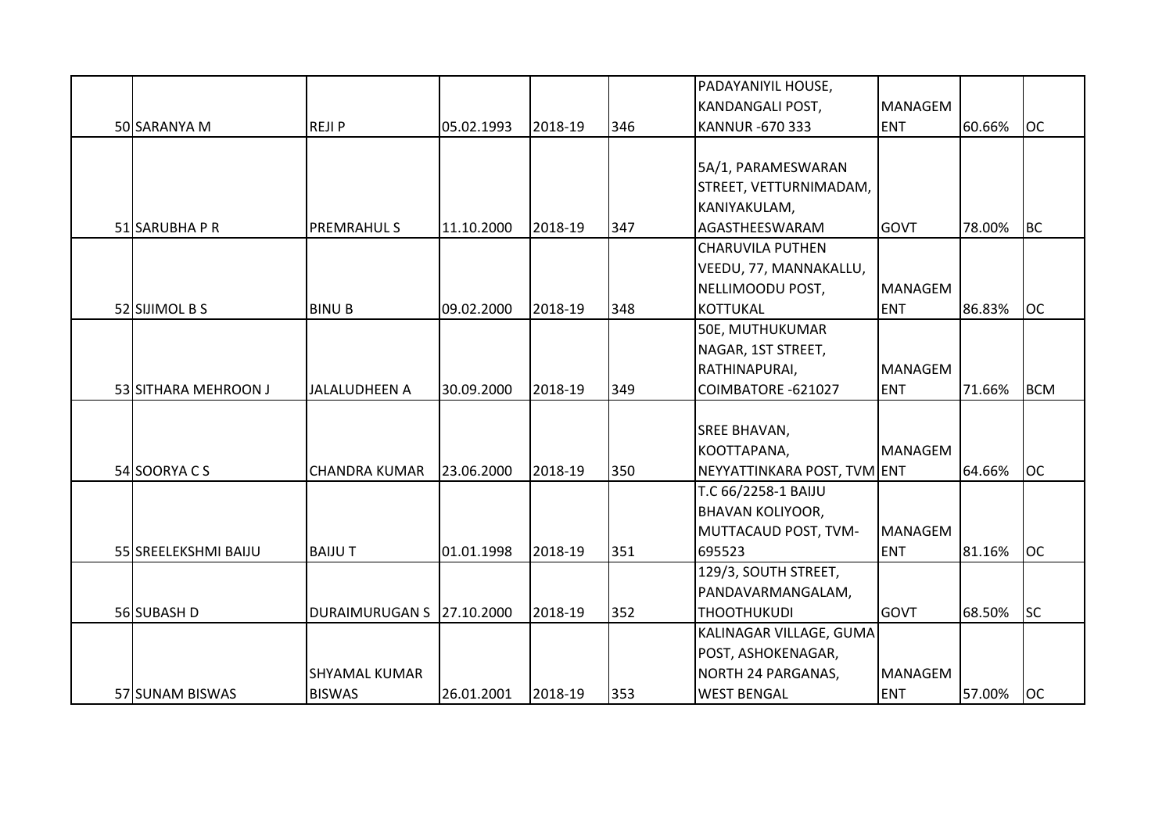|                      |                       |            |         |     | PADAYANIYIL HOUSE,          |                |        |            |
|----------------------|-----------------------|------------|---------|-----|-----------------------------|----------------|--------|------------|
|                      |                       |            |         |     | <b>KANDANGALI POST,</b>     | <b>MANAGEM</b> |        |            |
| 50 SARANYA M         | <b>REJIP</b>          | 05.02.1993 | 2018-19 | 346 | <b>KANNUR -670 333</b>      | <b>ENT</b>     | 60.66% | <b>OC</b>  |
|                      |                       |            |         |     |                             |                |        |            |
|                      |                       |            |         |     | 5A/1, PARAMESWARAN          |                |        |            |
|                      |                       |            |         |     | STREET, VETTURNIMADAM,      |                |        |            |
|                      |                       |            |         |     | KANIYAKULAM,                |                |        |            |
| 51 SARUBHA P R       | <b>PREMRAHUL S</b>    | 11.10.2000 | 2018-19 | 347 | AGASTHEESWARAM              | <b>GOVT</b>    | 78.00% | <b>BC</b>  |
|                      |                       |            |         |     | <b>CHARUVILA PUTHEN</b>     |                |        |            |
|                      |                       |            |         |     | VEEDU, 77, MANNAKALLU,      |                |        |            |
|                      |                       |            |         |     | NELLIMOODU POST,            | <b>MANAGEM</b> |        |            |
| 52 SIJIMOL B S       | <b>BINU B</b>         | 09.02.2000 | 2018-19 | 348 | <b>KOTTUKAL</b>             | <b>ENT</b>     | 86.83% | <b>OC</b>  |
|                      |                       |            |         |     | 50E, MUTHUKUMAR             |                |        |            |
|                      |                       |            |         |     | NAGAR, 1ST STREET,          |                |        |            |
|                      |                       |            |         |     | RATHINAPURAI,               | <b>MANAGEM</b> |        |            |
| 53 SITHARA MEHROON J | <b>JALALUDHEEN A</b>  | 30.09.2000 | 2018-19 | 349 | COIMBATORE -621027          | <b>ENT</b>     | 71.66% | <b>BCM</b> |
|                      |                       |            |         |     |                             |                |        |            |
|                      |                       |            |         |     | <b>SREE BHAVAN,</b>         |                |        |            |
|                      |                       |            |         |     | KOOTTAPANA,                 | <b>MANAGEM</b> |        |            |
| 54 SOORYACS          | <b>CHANDRA KUMAR</b>  | 23.06.2000 | 2018-19 | 350 | NEYYATTINKARA POST, TVM ENT |                | 64.66% | <b>OC</b>  |
|                      |                       |            |         |     | T.C 66/2258-1 BAIJU         |                |        |            |
|                      |                       |            |         |     | <b>BHAVAN KOLIYOOR,</b>     |                |        |            |
|                      |                       |            |         |     | MUTTACAUD POST, TVM-        | <b>MANAGEM</b> |        |            |
| 55 SREELEKSHMI BAIJU | <b>BAIJUT</b>         | 01.01.1998 | 2018-19 | 351 | 695523                      | <b>ENT</b>     | 81.16% | <b>OC</b>  |
|                      |                       |            |         |     | 129/3, SOUTH STREET,        |                |        |            |
|                      |                       |            |         |     | PANDAVARMANGALAM,           |                |        |            |
| 56 SUBASH D          | <b>DURAIMURUGAN S</b> | 27.10.2000 | 2018-19 | 352 | <b>THOOTHUKUDI</b>          | <b>GOVT</b>    | 68.50% | <b>SC</b>  |
|                      |                       |            |         |     | KALINAGAR VILLAGE, GUMA     |                |        |            |
|                      |                       |            |         |     | POST, ASHOKENAGAR,          |                |        |            |
|                      | <b>SHYAMAL KUMAR</b>  |            |         |     | NORTH 24 PARGANAS,          | <b>MANAGEM</b> |        |            |
| 57 SUNAM BISWAS      | <b>BISWAS</b>         | 26.01.2001 | 2018-19 | 353 | <b>WEST BENGAL</b>          | <b>ENT</b>     | 57.00% | <b>OC</b>  |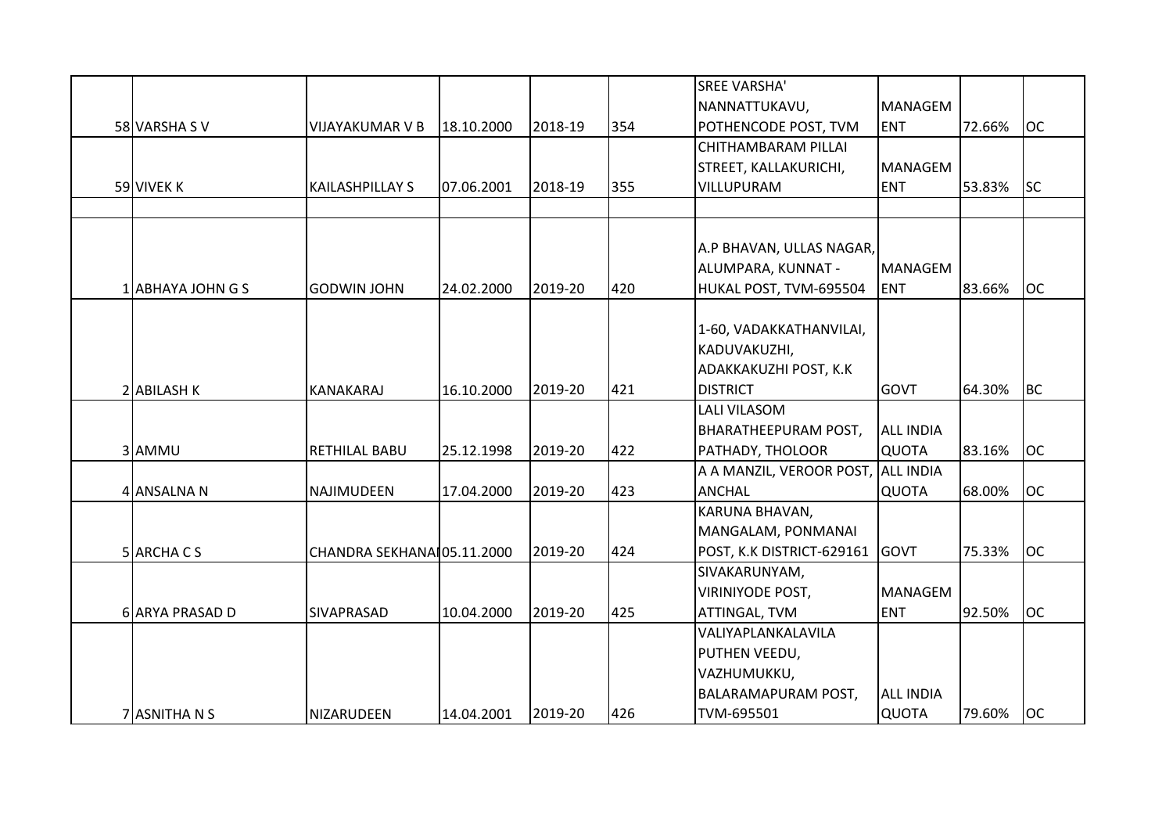|                   |                             |            |         |     | <b>SREE VARSHA'</b>         |                  |        |           |
|-------------------|-----------------------------|------------|---------|-----|-----------------------------|------------------|--------|-----------|
|                   |                             |            |         |     | NANNATTUKAVU,               | <b>MANAGEM</b>   |        |           |
| 58 VARSHA SV      | <b>VIJAYAKUMAR V B</b>      | 18.10.2000 | 2018-19 | 354 | POTHENCODE POST, TVM        | <b>ENT</b>       | 72.66% | <b>OC</b> |
|                   |                             |            |         |     | CHITHAMBARAM PILLAI         |                  |        |           |
|                   |                             |            |         |     | STREET, KALLAKURICHI,       | <b>MANAGEM</b>   |        |           |
| 59 VIVEK K        | KAILASHPILLAY S             | 07.06.2001 | 2018-19 | 355 | VILLUPURAM                  | <b>ENT</b>       | 53.83% | <b>SC</b> |
|                   |                             |            |         |     |                             |                  |        |           |
|                   |                             |            |         |     |                             |                  |        |           |
|                   |                             |            |         |     | A.P BHAVAN, ULLAS NAGAR,    |                  |        |           |
|                   |                             |            |         |     | ALUMPARA, KUNNAT -          | <b>MANAGEM</b>   |        |           |
| 1 ABHAYA JOHN G S | <b>GODWIN JOHN</b>          | 24.02.2000 | 2019-20 | 420 | HUKAL POST, TVM-695504      | <b>ENT</b>       | 83.66% | <b>OC</b> |
|                   |                             |            |         |     |                             |                  |        |           |
|                   |                             |            |         |     | 1-60, VADAKKATHANVILAI,     |                  |        |           |
|                   |                             |            |         |     | KADUVAKUZHI,                |                  |        |           |
|                   |                             |            |         |     | ADAKKAKUZHI POST, K.K       |                  |        |           |
| 2 ABILASH K       | KANAKARAJ                   | 16.10.2000 | 2019-20 | 421 | <b>DISTRICT</b>             | <b>GOVT</b>      | 64.30% | <b>BC</b> |
|                   |                             |            |         |     | <b>LALI VILASOM</b>         |                  |        |           |
|                   |                             |            |         |     | <b>BHARATHEEPURAM POST,</b> | <b>ALL INDIA</b> |        |           |
| 3 AMMU            | <b>RETHILAL BABU</b>        | 25.12.1998 | 2019-20 | 422 | PATHADY, THOLOOR            | QUOTA            | 83.16% | <b>OC</b> |
|                   |                             |            |         |     | A A MANZIL, VEROOR POST,    | <b>ALL INDIA</b> |        |           |
| 4 ANSALNA N       | NAJIMUDEEN                  | 17.04.2000 | 2019-20 | 423 | <b>ANCHAL</b>               | <b>QUOTA</b>     | 68.00% | <b>OC</b> |
|                   |                             |            |         |     | KARUNA BHAVAN,              |                  |        |           |
|                   |                             |            |         |     | MANGALAM, PONMANAI          |                  |        |           |
| 5 ARCHA C S       | CHANDRA SEKHANAI 05.11.2000 |            | 2019-20 | 424 | POST, K.K DISTRICT-629161   | <b>GOVT</b>      | 75.33% | <b>OC</b> |
|                   |                             |            |         |     | SIVAKARUNYAM,               |                  |        |           |
|                   |                             |            |         |     | <b>VIRINIYODE POST,</b>     | <b>MANAGEM</b>   |        |           |
| 6 ARYA PRASAD D   | SIVAPRASAD                  | 10.04.2000 | 2019-20 | 425 | ATTINGAL, TVM               | <b>ENT</b>       | 92.50% | <b>OC</b> |
|                   |                             |            |         |     | VALIYAPLANKALAVILA          |                  |        |           |
|                   |                             |            |         |     | PUTHEN VEEDU,               |                  |        |           |
|                   |                             |            |         |     | VAZHUMUKKU,                 |                  |        |           |
|                   |                             |            |         |     | <b>BALARAMAPURAM POST,</b>  | <b>ALL INDIA</b> |        |           |
| 7 ASNITHA N S     | NIZARUDEEN                  | 14.04.2001 | 2019-20 | 426 | TVM-695501                  | QUOTA            | 79.60% | <b>OC</b> |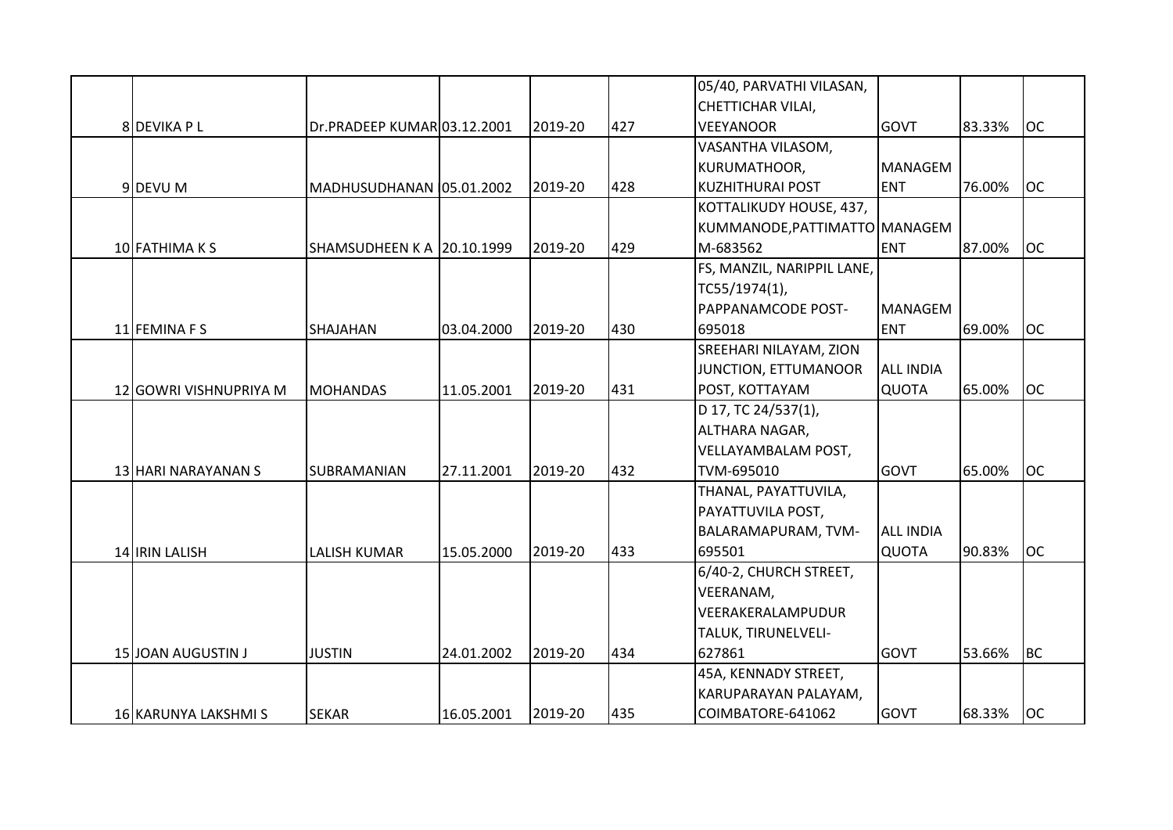|                        |                                   |            |         |     | 05/40, PARVATHI VILASAN,      |                  |        |           |
|------------------------|-----------------------------------|------------|---------|-----|-------------------------------|------------------|--------|-----------|
|                        |                                   |            |         |     | <b>CHETTICHAR VILAI,</b>      |                  |        |           |
| 8 DEVIKA P L           | Dr.PRADEEP KUMAR 03.12.2001       |            | 2019-20 | 427 | <b>VEEYANOOR</b>              | <b>GOVT</b>      | 83.33% | <b>OC</b> |
|                        |                                   |            |         |     | VASANTHA VILASOM,             |                  |        |           |
|                        |                                   |            |         |     | KURUMATHOOR,                  | <b>MANAGEM</b>   |        |           |
| 9DEVU M                | MADHUSUDHANAN 05.01.2002          |            | 2019-20 | 428 | <b>KUZHITHURAI POST</b>       | <b>ENT</b>       | 76.00% | <b>OC</b> |
|                        |                                   |            |         |     | KOTTALIKUDY HOUSE, 437,       |                  |        |           |
|                        |                                   |            |         |     | KUMMANODE, PATTIMATTO MANAGEM |                  |        |           |
| 10 FATHIMA K S         | <b>SHAMSUDHEEN K A 20.10.1999</b> |            | 2019-20 | 429 | M-683562                      | <b>ENT</b>       | 87.00% | <b>OC</b> |
|                        |                                   |            |         |     | FS, MANZIL, NARIPPIL LANE,    |                  |        |           |
|                        |                                   |            |         |     | TC55/1974(1),                 |                  |        |           |
|                        |                                   |            |         |     | PAPPANAMCODE POST-            | <b>MANAGEM</b>   |        |           |
| 11 FEMINA F S          | SHAJAHAN                          | 03.04.2000 | 2019-20 | 430 | 695018                        | <b>ENT</b>       | 69.00% | <b>OC</b> |
|                        |                                   |            |         |     | SREEHARI NILAYAM, ZION        |                  |        |           |
|                        |                                   |            |         |     | JUNCTION, ETTUMANOOR          | <b>ALL INDIA</b> |        |           |
| 12 GOWRI VISHNUPRIYA M | <b>MOHANDAS</b>                   | 11.05.2001 | 2019-20 | 431 | POST, KOTTAYAM                | <b>QUOTA</b>     | 65.00% | <b>OC</b> |
|                        |                                   |            |         |     | D 17, TC 24/537(1),           |                  |        |           |
|                        |                                   |            |         |     | ALTHARA NAGAR,                |                  |        |           |
|                        |                                   |            |         |     | VELLAYAMBALAM POST,           |                  |        |           |
| 13 HARI NARAYANAN S    | SUBRAMANIAN                       | 27.11.2001 | 2019-20 | 432 | TVM-695010                    | <b>GOVT</b>      | 65.00% | <b>OC</b> |
|                        |                                   |            |         |     | THANAL, PAYATTUVILA,          |                  |        |           |
|                        |                                   |            |         |     | PAYATTUVILA POST,             |                  |        |           |
|                        |                                   |            |         |     | BALARAMAPURAM, TVM-           | <b>ALL INDIA</b> |        |           |
| 14 IRIN LALISH         | <b>LALISH KUMAR</b>               | 15.05.2000 | 2019-20 | 433 | 695501                        | <b>QUOTA</b>     | 90.83% | <b>OC</b> |
|                        |                                   |            |         |     | 6/40-2, CHURCH STREET,        |                  |        |           |
|                        |                                   |            |         |     | VEERANAM,                     |                  |        |           |
|                        |                                   |            |         |     | VEERAKERALAMPUDUR             |                  |        |           |
|                        |                                   |            |         |     | TALUK, TIRUNELVELI-           |                  |        |           |
| 15 JOAN AUGUSTIN J     | <b>JUSTIN</b>                     | 24.01.2002 | 2019-20 | 434 | 627861                        | <b>GOVT</b>      | 53.66% | BC        |
|                        |                                   |            |         |     | 45A, KENNADY STREET,          |                  |        |           |
|                        |                                   |            |         |     | KARUPARAYAN PALAYAM,          |                  |        |           |
| 16 KARUNYA LAKSHMI S   | <b>SEKAR</b>                      | 16.05.2001 | 2019-20 | 435 | COIMBATORE-641062             | <b>GOVT</b>      | 68.33% | loc       |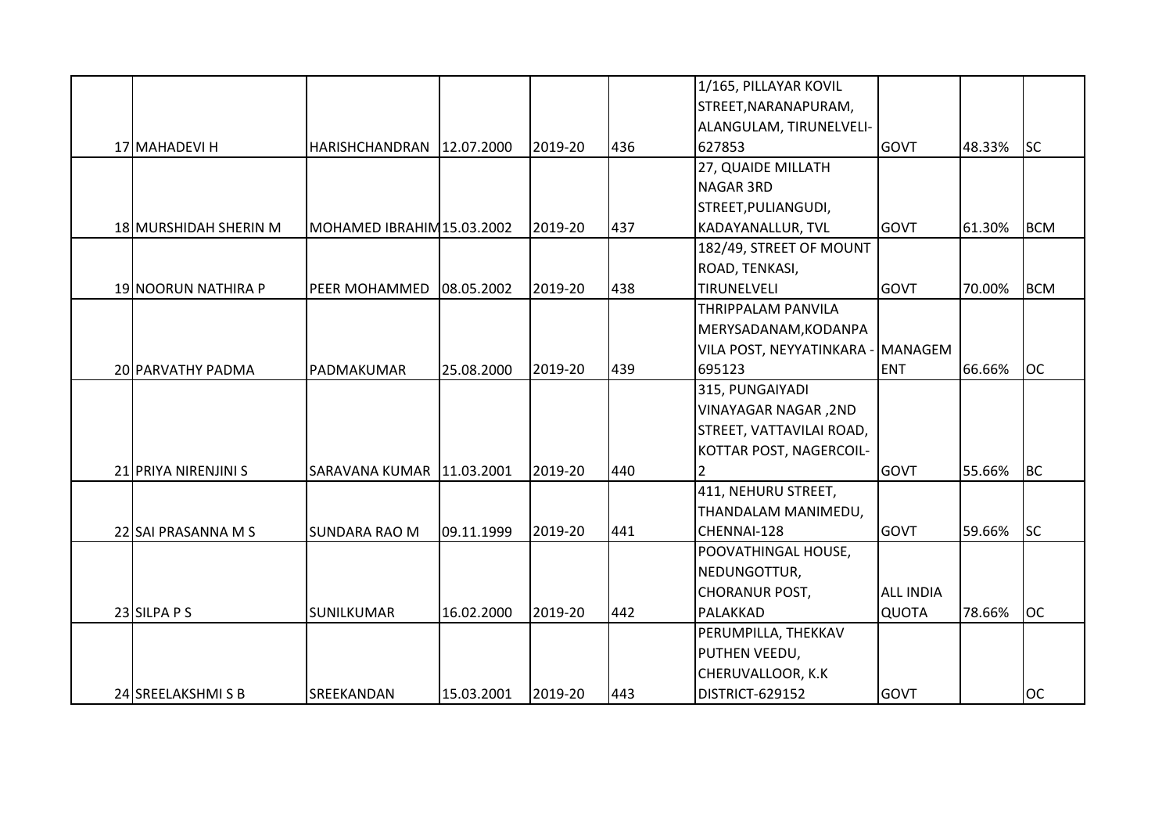|                       |                             |            |         |     | 1/165, PILLAYAR KOVIL             |                  |        |            |
|-----------------------|-----------------------------|------------|---------|-----|-----------------------------------|------------------|--------|------------|
|                       |                             |            |         |     | STREET, NARANAPURAM,              |                  |        |            |
|                       |                             |            |         |     | ALANGULAM, TIRUNELVELI-           |                  |        |            |
| 17 MAHADEVI H         | HARISHCHANDRAN 12.07.2000   |            | 2019-20 | 436 | 627853                            | <b>GOVT</b>      | 48.33% | <b>SC</b>  |
|                       |                             |            |         |     | 27, QUAIDE MILLATH                |                  |        |            |
|                       |                             |            |         |     | <b>NAGAR 3RD</b>                  |                  |        |            |
|                       |                             |            |         |     | STREET, PULIANGUDI,               |                  |        |            |
| 18 MURSHIDAH SHERIN M | MOHAMED IBRAHIM 15.03.2002  |            | 2019-20 | 437 | <b>KADAYANALLUR, TVL</b>          | <b>GOVT</b>      | 61.30% | <b>BCM</b> |
|                       |                             |            |         |     | 182/49, STREET OF MOUNT           |                  |        |            |
|                       |                             |            |         |     | ROAD, TENKASI,                    |                  |        |            |
| 19 NOORUN NATHIRA P   | <b>PEER MOHAMMED</b>        | 08.05.2002 | 2019-20 | 438 | TIRUNELVELI                       | <b>GOVT</b>      | 70.00% | <b>BCM</b> |
|                       |                             |            |         |     | <b>THRIPPALAM PANVILA</b>         |                  |        |            |
|                       |                             |            |         |     | MERYSADANAM, KODANPA              |                  |        |            |
|                       |                             |            |         |     | VILA POST, NEYYATINKARA - MANAGEM |                  |        |            |
| 20 PARVATHY PADMA     | PADMAKUMAR                  | 25.08.2000 | 2019-20 | 439 | 695123                            | <b>ENT</b>       | 66.66% | <b>OC</b>  |
|                       |                             |            |         |     | 315, PUNGAIYADI                   |                  |        |            |
|                       |                             |            |         |     | <b>VINAYAGAR NAGAR, 2ND</b>       |                  |        |            |
|                       |                             |            |         |     | STREET, VATTAVILAI ROAD,          |                  |        |            |
|                       |                             |            |         |     | KOTTAR POST, NAGERCOIL-           |                  |        |            |
| 21 PRIYA NIRENJINI S  | SARAVANA KUMAR   11.03.2001 |            | 2019-20 | 440 | 2                                 | <b>GOVT</b>      | 55.66% | <b>BC</b>  |
|                       |                             |            |         |     | 411, NEHURU STREET,               |                  |        |            |
|                       |                             |            |         |     | THANDALAM MANIMEDU,               |                  |        |            |
| 22 SAI PRASANNA M S   | <b>SUNDARA RAO M</b>        | 09.11.1999 | 2019-20 | 441 | CHENNAI-128                       | <b>GOVT</b>      | 59.66% | <b>SC</b>  |
|                       |                             |            |         |     | POOVATHINGAL HOUSE,               |                  |        |            |
|                       |                             |            |         |     | NEDUNGOTTUR,                      |                  |        |            |
|                       |                             |            |         |     | <b>CHORANUR POST,</b>             | <b>ALL INDIA</b> |        |            |
| 23 SILPA P S          | SUNILKUMAR                  | 16.02.2000 | 2019-20 | 442 | PALAKKAD                          | <b>QUOTA</b>     | 78.66% | <b>OC</b>  |
|                       |                             |            |         |     | PERUMPILLA, THEKKAV               |                  |        |            |
|                       |                             |            |         |     | PUTHEN VEEDU,                     |                  |        |            |
|                       |                             |            |         |     | CHERUVALLOOR, K.K                 |                  |        |            |
| 24 SREELAKSHMISB      | SREEKANDAN                  | 15.03.2001 | 2019-20 | 443 | DISTRICT-629152                   | <b>GOVT</b>      |        | <b>OC</b>  |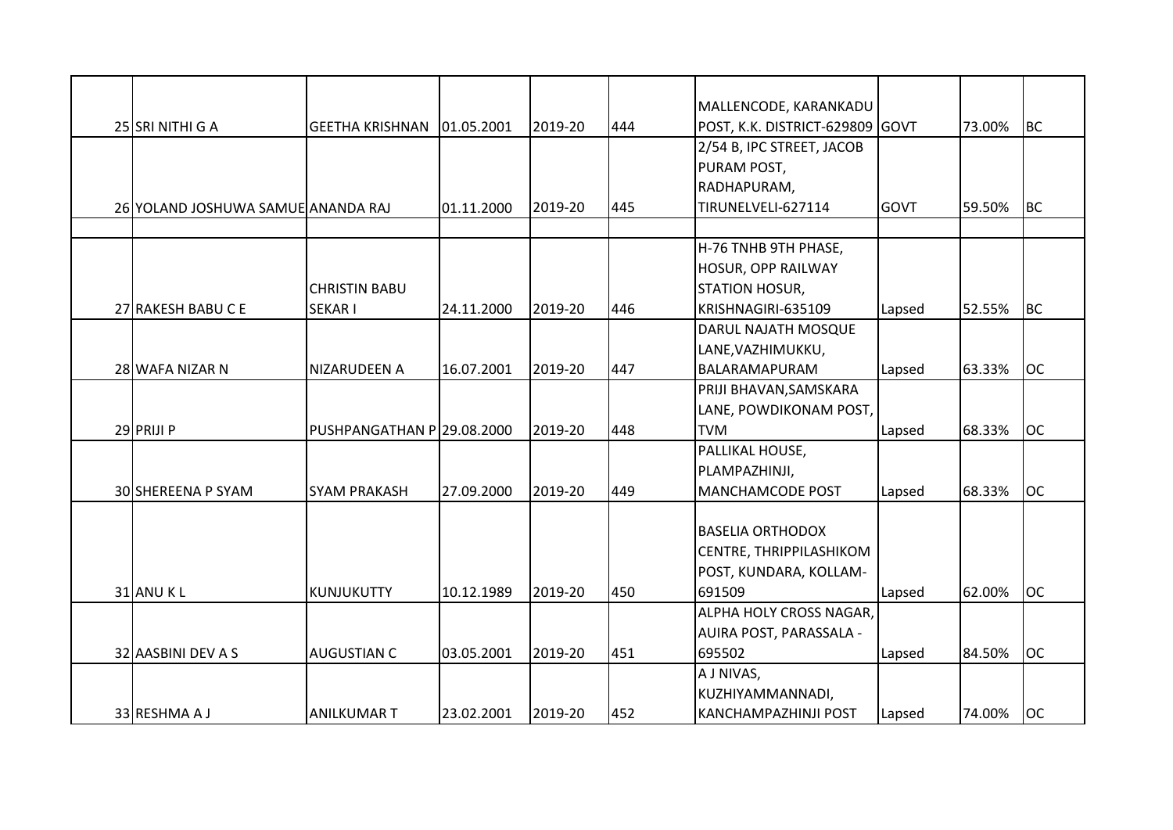|                                    |                            |            |         |     | MALLENCODE, KARANKADU           |             |        |           |
|------------------------------------|----------------------------|------------|---------|-----|---------------------------------|-------------|--------|-----------|
| 25 SRI NITHI G A                   | <b>I</b> GEETHA KRISHNAN   | 01.05.2001 | 2019-20 | 444 | POST, K.K. DISTRICT-629809 GOVT |             | 73.00% | <b>BC</b> |
|                                    |                            |            |         |     | 2/54 B, IPC STREET, JACOB       |             |        |           |
|                                    |                            |            |         |     | PURAM POST,                     |             |        |           |
|                                    |                            |            |         |     | RADHAPURAM,                     |             |        |           |
| 26 YOLAND JOSHUWA SAMUE ANANDA RAJ |                            | 01.11.2000 | 2019-20 | 445 | TIRUNELVELI-627114              | <b>GOVT</b> | 59.50% | <b>BC</b> |
|                                    |                            |            |         |     | H-76 TNHB 9TH PHASE,            |             |        |           |
|                                    |                            |            |         |     | <b>HOSUR, OPP RAILWAY</b>       |             |        |           |
|                                    | <b>CHRISTIN BABU</b>       |            |         |     | <b>STATION HOSUR,</b>           |             |        |           |
| 27 RAKESH BABU C E                 | <b>SEKARI</b>              | 24.11.2000 | 2019-20 | 446 | KRISHNAGIRI-635109              | Lapsed      | 52.55% | <b>BC</b> |
|                                    |                            |            |         |     | DARUL NAJATH MOSQUE             |             |        |           |
|                                    |                            |            |         |     | LANE, VAZHIMUKKU,               |             |        |           |
| 28 WAFA NIZAR N                    | NIZARUDEEN A               | 16.07.2001 | 2019-20 | 447 | BALARAMAPURAM                   | Lapsed      | 63.33% | <b>OC</b> |
|                                    |                            |            |         |     | PRIJI BHAVAN, SAMSKARA          |             |        |           |
|                                    |                            |            |         |     | LANE, POWDIKONAM POST,          |             |        |           |
| 29 PRIJI P                         | PUSHPANGATHAN P 29.08.2000 |            | 2019-20 | 448 | <b>TVM</b>                      | Lapsed      | 68.33% | <b>OC</b> |
|                                    |                            |            |         |     | PALLIKAL HOUSE,                 |             |        |           |
|                                    |                            |            |         |     | PLAMPAZHINJI,                   |             |        |           |
| 30 SHEREENA P SYAM                 | <b>SYAM PRAKASH</b>        | 27.09.2000 | 2019-20 | 449 | <b>MANCHAMCODE POST</b>         | Lapsed      | 68.33% | <b>OC</b> |
|                                    |                            |            |         |     |                                 |             |        |           |
|                                    |                            |            |         |     | <b>BASELIA ORTHODOX</b>         |             |        |           |
|                                    |                            |            |         |     | <b>CENTRE, THRIPPILASHIKOM</b>  |             |        |           |
|                                    |                            |            |         |     | POST, KUNDARA, KOLLAM-          |             |        |           |
| 31 ANU KL                          | KUNJUKUTTY                 | 10.12.1989 | 2019-20 | 450 | 691509                          | Lapsed      | 62.00% | <b>OC</b> |
|                                    |                            |            |         |     | ALPHA HOLY CROSS NAGAR,         |             |        |           |
|                                    |                            |            |         |     | AUIRA POST, PARASSALA -         |             |        |           |
| 32 AASBINI DEV A S                 | <b>AUGUSTIAN C</b>         | 03.05.2001 | 2019-20 | 451 | 695502                          | Lapsed      | 84.50% | <b>OC</b> |
|                                    |                            |            |         |     | A J NIVAS,                      |             |        |           |
|                                    |                            |            |         |     | KUZHIYAMMANNADI,                |             |        |           |
| 33 RESHMA A J                      | <b>ANILKUMAR T</b>         | 23.02.2001 | 2019-20 | 452 | <b>KANCHAMPAZHINJI POST</b>     | Lapsed      | 74.00% | <b>OC</b> |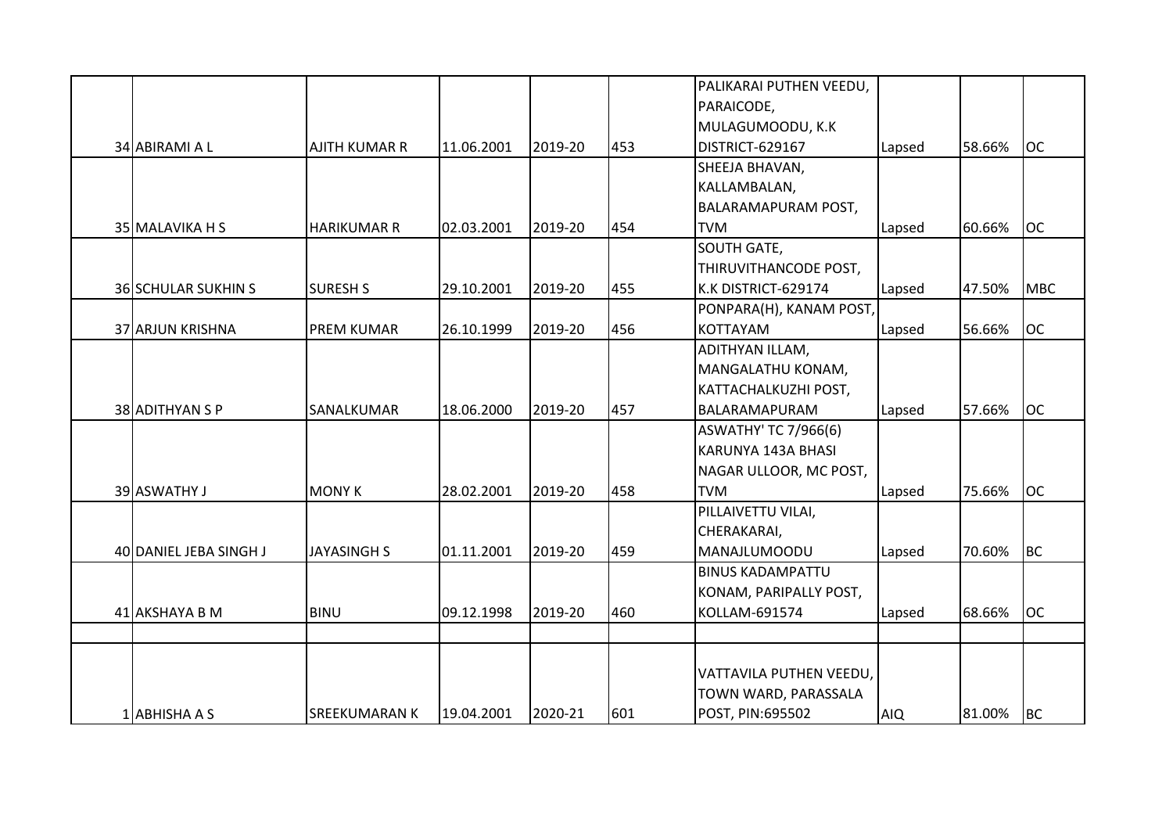|                            |                      |            |         |     | PALIKARAI PUTHEN VEEDU,     |            |        |            |
|----------------------------|----------------------|------------|---------|-----|-----------------------------|------------|--------|------------|
|                            |                      |            |         |     | PARAICODE,                  |            |        |            |
|                            |                      |            |         |     | MULAGUMOODU, K.K            |            |        |            |
| 34 ABIRAMI A L             | <b>AJITH KUMAR R</b> | 11.06.2001 | 2019-20 | 453 | DISTRICT-629167             | Lapsed     | 58.66% | <b>OC</b>  |
|                            |                      |            |         |     | SHEEJA BHAVAN,              |            |        |            |
|                            |                      |            |         |     | KALLAMBALAN,                |            |        |            |
|                            |                      |            |         |     | <b>BALARAMAPURAM POST,</b>  |            |        |            |
| 35 MALAVIKA H S            | <b>HARIKUMAR R</b>   | 02.03.2001 | 2019-20 | 454 | <b>TVM</b>                  | Lapsed     | 60.66% | <b>OC</b>  |
|                            |                      |            |         |     | <b>SOUTH GATE,</b>          |            |        |            |
|                            |                      |            |         |     | THIRUVITHANCODE POST,       |            |        |            |
| <b>36 SCHULAR SUKHIN S</b> | <b>SURESH S</b>      | 29.10.2001 | 2019-20 | 455 | K.K DISTRICT-629174         | Lapsed     | 47.50% | <b>MBC</b> |
|                            |                      |            |         |     | PONPARA(H), KANAM POST,     |            |        |            |
| 37 ARJUN KRISHNA           | <b>PREM KUMAR</b>    | 26.10.1999 | 2019-20 | 456 | <b>KOTTAYAM</b>             | Lapsed     | 56.66% | <b>OC</b>  |
|                            |                      |            |         |     | ADITHYAN ILLAM,             |            |        |            |
|                            |                      |            |         |     | MANGALATHU KONAM,           |            |        |            |
|                            |                      |            |         |     | KATTACHALKUZHI POST,        |            |        |            |
| 38 ADITHYAN S P            | SANALKUMAR           | 18.06.2000 | 2019-20 | 457 | BALARAMAPURAM               | Lapsed     | 57.66% | <b>OC</b>  |
|                            |                      |            |         |     | <b>ASWATHY' TC 7/966(6)</b> |            |        |            |
|                            |                      |            |         |     | KARUNYA 143A BHASI          |            |        |            |
|                            |                      |            |         |     | NAGAR ULLOOR, MC POST,      |            |        |            |
| 39 ASWATHY J               | <b>MONY K</b>        | 28.02.2001 | 2019-20 | 458 | <b>TVM</b>                  | Lapsed     | 75.66% | <b>OC</b>  |
|                            |                      |            |         |     | PILLAIVETTU VILAI,          |            |        |            |
|                            |                      |            |         |     | CHERAKARAI,                 |            |        |            |
| 40 DANIEL JEBA SINGH J     | <b>JAYASINGH S</b>   | 01.11.2001 | 2019-20 | 459 | MANAJLUMOODU                | Lapsed     | 70.60% | <b>BC</b>  |
|                            |                      |            |         |     | <b>BINUS KADAMPATTU</b>     |            |        |            |
|                            |                      |            |         |     | KONAM, PARIPALLY POST,      |            |        |            |
| 41 AKSHAYA B M             | <b>BINU</b>          | 09.12.1998 | 2019-20 | 460 | KOLLAM-691574               | Lapsed     | 68.66% | <b>OC</b>  |
|                            |                      |            |         |     |                             |            |        |            |
|                            |                      |            |         |     |                             |            |        |            |
|                            |                      |            |         |     | VATTAVILA PUTHEN VEEDU,     |            |        |            |
|                            |                      |            |         |     | TOWN WARD, PARASSALA        |            |        |            |
| 1 ABHISHA A S              | <b>SREEKUMARAN K</b> | 19.04.2001 | 2020-21 | 601 | POST, PIN:695502            | <b>AIQ</b> | 81.00% | <b>BC</b>  |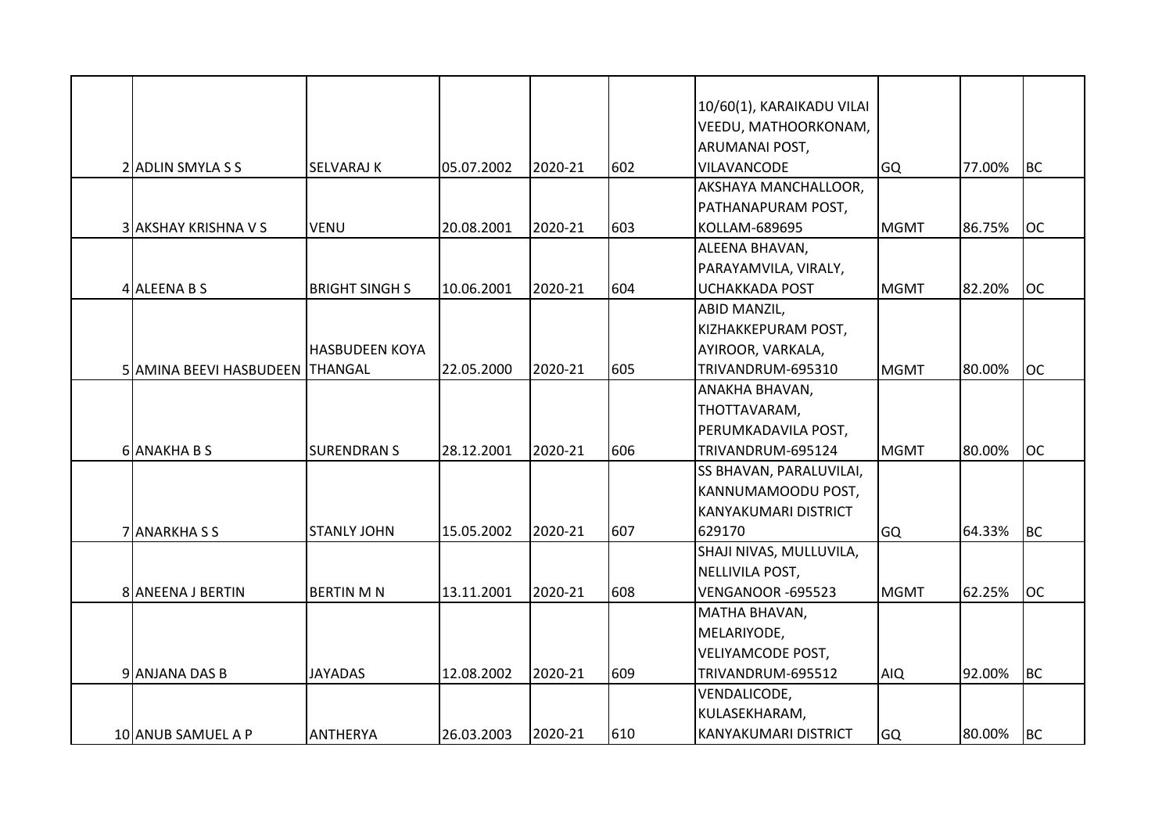|                                 |                       |            |         |     | 10/60(1), KARAIKADU VILAI           |             |        |           |
|---------------------------------|-----------------------|------------|---------|-----|-------------------------------------|-------------|--------|-----------|
|                                 |                       |            |         |     |                                     |             |        |           |
|                                 |                       |            |         |     | VEEDU, MATHOORKONAM,                |             |        |           |
|                                 | <b>SELVARAJ K</b>     | 05.07.2002 | 2020-21 | 602 | ARUMANAI POST,<br>VILAVANCODE       |             | 77.00% | <b>BC</b> |
| 2 ADLIN SMYLA S S               |                       |            |         |     |                                     | <b>GQ</b>   |        |           |
|                                 |                       |            |         |     | AKSHAYA MANCHALLOOR,                |             |        |           |
| 3 AKSHAY KRISHNA V S            | <b>VENU</b>           | 20.08.2001 | 2020-21 | 603 | PATHANAPURAM POST,<br>KOLLAM-689695 | <b>MGMT</b> | 86.75% | <b>OC</b> |
|                                 |                       |            |         |     | ALEENA BHAVAN,                      |             |        |           |
|                                 |                       |            |         |     | PARAYAMVILA, VIRALY,                |             |        |           |
| 4 ALEENA B S                    | <b>BRIGHT SINGH S</b> | 10.06.2001 | 2020-21 | 604 | <b>UCHAKKADA POST</b>               | <b>MGMT</b> | 82.20% | <b>OC</b> |
|                                 |                       |            |         |     | <b>ABID MANZIL,</b>                 |             |        |           |
|                                 |                       |            |         |     | KIZHAKKEPURAM POST,                 |             |        |           |
|                                 | <b>HASBUDEEN KOYA</b> |            |         |     | AYIROOR, VARKALA,                   |             |        |           |
| 5 AMINA BEEVI HASBUDEEN THANGAL |                       | 22.05.2000 | 2020-21 | 605 | TRIVANDRUM-695310                   | <b>MGMT</b> | 80.00% | <b>OC</b> |
|                                 |                       |            |         |     | ANAKHA BHAVAN,                      |             |        |           |
|                                 |                       |            |         |     | THOTTAVARAM,                        |             |        |           |
|                                 |                       |            |         |     | PERUMKADAVILA POST,                 |             |        |           |
| 6 ANAKHA B S                    | <b>SURENDRANS</b>     | 28.12.2001 | 2020-21 | 606 | TRIVANDRUM-695124                   | <b>MGMT</b> | 80.00% | <b>OC</b> |
|                                 |                       |            |         |     | SS BHAVAN, PARALUVILAI,             |             |        |           |
|                                 |                       |            |         |     | KANNUMAMOODU POST,                  |             |        |           |
|                                 |                       |            |         |     | KANYAKUMARI DISTRICT                |             |        |           |
| 7 ANARKHASS                     | <b>STANLY JOHN</b>    | 15.05.2002 | 2020-21 | 607 | 629170                              | <b>GQ</b>   | 64.33% | <b>BC</b> |
|                                 |                       |            |         |     | SHAJI NIVAS, MULLUVILA,             |             |        |           |
|                                 |                       |            |         |     | NELLIVILA POST,                     |             |        |           |
| 8 ANEENA J BERTIN               | <b>BERTIN M N</b>     | 13.11.2001 | 2020-21 | 608 | VENGANOOR -695523                   | <b>MGMT</b> | 62.25% | <b>OC</b> |
|                                 |                       |            |         |     | MATHA BHAVAN,                       |             |        |           |
|                                 |                       |            |         |     | MELARIYODE,                         |             |        |           |
|                                 |                       |            |         |     | <b>VELIYAMCODE POST,</b>            |             |        |           |
| 9 ANJANA DAS B                  | <b>JAYADAS</b>        | 12.08.2002 | 2020-21 | 609 | TRIVANDRUM-695512                   | <b>AIQ</b>  | 92.00% | <b>BC</b> |
|                                 |                       |            |         |     | VENDALICODE,                        |             |        |           |
|                                 |                       |            |         |     | KULASEKHARAM,                       |             |        |           |
| 10 ANUB SAMUEL A P              | ANTHERYA              | 26.03.2003 | 2020-21 | 610 | IKANYAKUMARI DISTRICT               | <b>GQ</b>   | 80.00% | BC        |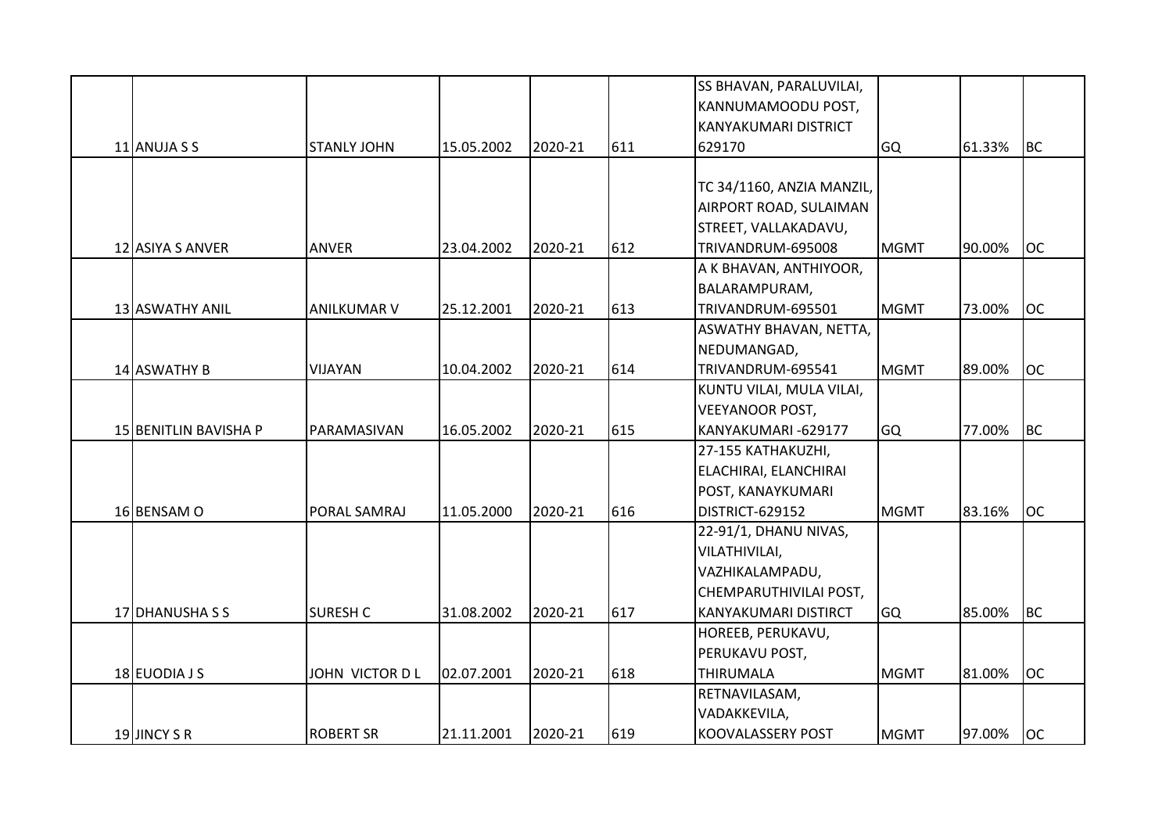|                       |                    |            |         |     | SS BHAVAN, PARALUVILAI,       |             |        |           |
|-----------------------|--------------------|------------|---------|-----|-------------------------------|-------------|--------|-----------|
|                       |                    |            |         |     | KANNUMAMOODU POST,            |             |        |           |
|                       |                    |            |         |     | <b>KANYAKUMARI DISTRICT</b>   |             |        |           |
| 11 ANUJA S S          | <b>STANLY JOHN</b> | 15.05.2002 | 2020-21 | 611 | 629170                        | GQ          | 61.33% | BC        |
|                       |                    |            |         |     |                               |             |        |           |
|                       |                    |            |         |     | TC 34/1160, ANZIA MANZIL,     |             |        |           |
|                       |                    |            |         |     | AIRPORT ROAD, SULAIMAN        |             |        |           |
|                       |                    |            |         |     | STREET, VALLAKADAVU,          |             |        |           |
| 12 ASIYA S ANVER      | <b>ANVER</b>       | 23.04.2002 | 2020-21 | 612 | TRIVANDRUM-695008             | <b>MGMT</b> | 90.00% | <b>OC</b> |
|                       |                    |            |         |     | A K BHAVAN, ANTHIYOOR,        |             |        |           |
|                       |                    |            |         |     | BALARAMPURAM,                 |             |        |           |
| 13 ASWATHY ANIL       | <b>ANILKUMAR V</b> | 25.12.2001 | 2020-21 | 613 | TRIVANDRUM-695501             | <b>MGMT</b> | 73.00% | <b>OC</b> |
|                       |                    |            |         |     | <b>ASWATHY BHAVAN, NETTA,</b> |             |        |           |
|                       |                    |            |         |     | NEDUMANGAD,                   |             |        |           |
| 14 ASWATHY B          | VIJAYAN            | 10.04.2002 | 2020-21 | 614 | TRIVANDRUM-695541             | <b>MGMT</b> | 89.00% | <b>OC</b> |
|                       |                    |            |         |     | KUNTU VILAI, MULA VILAI,      |             |        |           |
|                       |                    |            |         |     | <b>VEEYANOOR POST,</b>        |             |        |           |
| 15 BENITLIN BAVISHA P | PARAMASIVAN        | 16.05.2002 | 2020-21 | 615 | KANYAKUMARI-629177            | <b>GQ</b>   | 77.00% | BC        |
|                       |                    |            |         |     | 27-155 KATHAKUZHI,            |             |        |           |
|                       |                    |            |         |     | ELACHIRAI, ELANCHIRAI         |             |        |           |
|                       |                    |            |         |     | POST, KANAYKUMARI             |             |        |           |
| 16 BENSAM O           | PORAL SAMRAJ       | 11.05.2000 | 2020-21 | 616 | DISTRICT-629152               | <b>MGMT</b> | 83.16% | loc       |
|                       |                    |            |         |     | 22-91/1, DHANU NIVAS,         |             |        |           |
|                       |                    |            |         |     | VILATHIVILAI,                 |             |        |           |
|                       |                    |            |         |     | VAZHIKALAMPADU,               |             |        |           |
|                       |                    |            |         |     | CHEMPARUTHIVILAI POST,        |             |        |           |
| 17 DHANUSHA S S       | <b>SURESH C</b>    | 31.08.2002 | 2020-21 | 617 | KANYAKUMARI DISTIRCT          | GQ          | 85.00% | <b>BC</b> |
|                       |                    |            |         |     | HOREEB, PERUKAVU,             |             |        |           |
|                       |                    |            |         |     | PERUKAVU POST,                |             |        |           |
| 18 EUODIA J S         | JOHN VICTOR D L    | 02.07.2001 | 2020-21 | 618 | <b>THIRUMALA</b>              | <b>MGMT</b> | 81.00% | <b>OC</b> |
|                       |                    |            |         |     | RETNAVILASAM,                 |             |        |           |
|                       |                    |            |         |     | VADAKKEVILA,                  |             |        |           |
| 19 JINCY S R          | <b>ROBERT SR</b>   | 21.11.2001 | 2020-21 | 619 | <b>KOOVALASSERY POST</b>      | <b>MGMT</b> | 97.00% | loc       |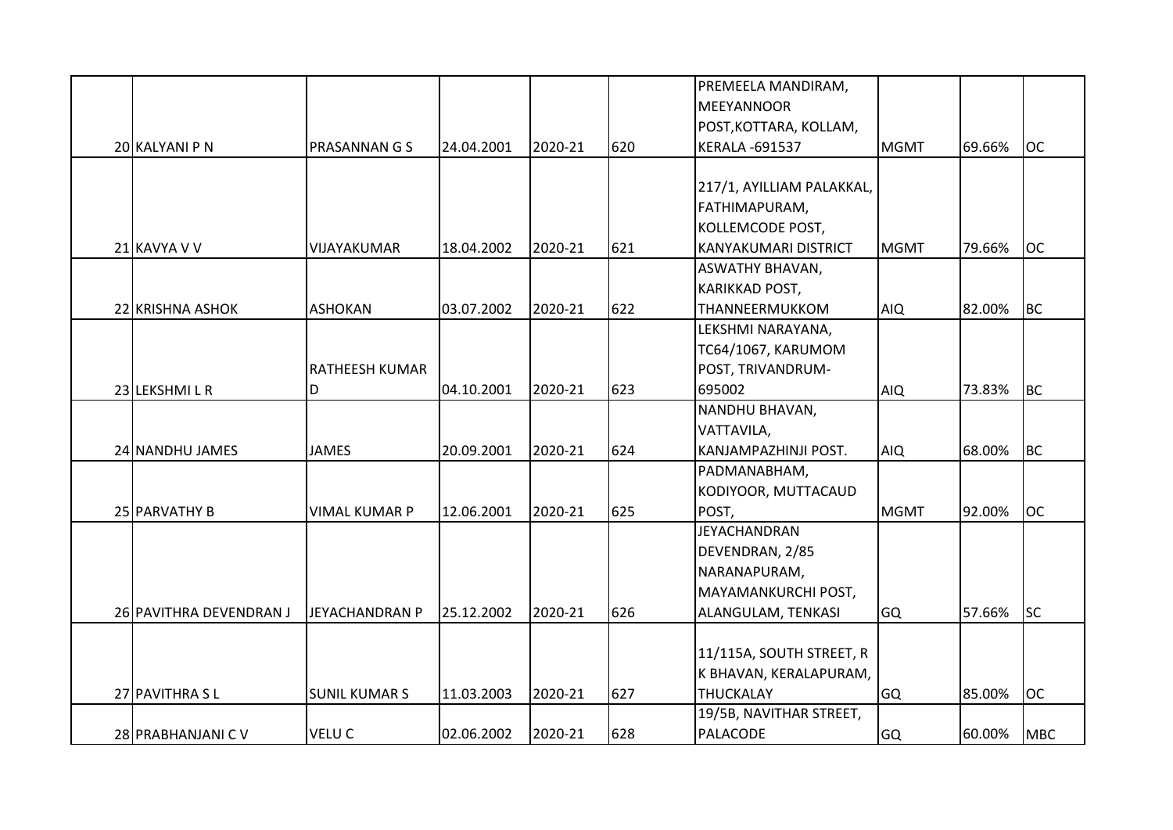|                         |                       |            |         |     | PREMEELA MANDIRAM,          |             |        |            |
|-------------------------|-----------------------|------------|---------|-----|-----------------------------|-------------|--------|------------|
|                         |                       |            |         |     | MEEYANNOOR                  |             |        |            |
|                         |                       |            |         |     | POST, KOTTARA, KOLLAM,      |             |        |            |
| 20 KALYANI P N          | <b>PRASANNAN G S</b>  | 24.04.2001 | 2020-21 | 620 | <b>KERALA -691537</b>       | <b>MGMT</b> | 69.66% | <b>OC</b>  |
|                         |                       |            |         |     |                             |             |        |            |
|                         |                       |            |         |     | 217/1, AYILLIAM PALAKKAL,   |             |        |            |
|                         |                       |            |         |     | FATHIMAPURAM,               |             |        |            |
|                         |                       |            |         |     | KOLLEMCODE POST,            |             |        |            |
| 21 KAVYA V V            | VIJAYAKUMAR           | 18.04.2002 | 2020-21 | 621 | <b>KANYAKUMARI DISTRICT</b> | <b>MGMT</b> | 79.66% | <b>OC</b>  |
|                         |                       |            |         |     | <b>ASWATHY BHAVAN,</b>      |             |        |            |
|                         |                       |            |         |     | KARIKKAD POST,              |             |        |            |
| 22 KRISHNA ASHOK        | <b>ASHOKAN</b>        | 03.07.2002 | 2020-21 | 622 | THANNEERMUKKOM              | <b>AIQ</b>  | 82.00% | <b>BC</b>  |
|                         |                       |            |         |     | LEKSHMI NARAYANA,           |             |        |            |
|                         |                       |            |         |     | TC64/1067, KARUMOM          |             |        |            |
|                         | <b>RATHEESH KUMAR</b> |            |         |     | POST, TRIVANDRUM-           |             |        |            |
| 23 LEKSHMI L R          | D                     | 04.10.2001 | 2020-21 | 623 | 695002                      | <b>AIQ</b>  | 73.83% | <b>BC</b>  |
|                         |                       |            |         |     | NANDHU BHAVAN,              |             |        |            |
|                         |                       |            |         |     | VATTAVILA,                  |             |        |            |
| 24 NANDHU JAMES         | <b>JAMES</b>          | 20.09.2001 | 2020-21 | 624 | KANJAMPAZHINJI POST.        | <b>AIQ</b>  | 68.00% | <b>BC</b>  |
|                         |                       |            |         |     | PADMANABHAM,                |             |        |            |
|                         |                       |            |         |     | KODIYOOR, MUTTACAUD         |             |        |            |
| 25 PARVATHY B           | <b>VIMAL KUMAR P</b>  | 12.06.2001 | 2020-21 | 625 | POST,                       | <b>MGMT</b> | 92.00% | <b>OC</b>  |
|                         |                       |            |         |     | <b>JEYACHANDRAN</b>         |             |        |            |
|                         |                       |            |         |     | DEVENDRAN, 2/85             |             |        |            |
|                         |                       |            |         |     | NARANAPURAM,                |             |        |            |
|                         |                       |            |         |     | MAYAMANKURCHI POST,         |             |        |            |
| 26 PAVITHRA DEVENDRAN J | <b>JEYACHANDRAN P</b> | 25.12.2002 | 2020-21 | 626 | ALANGULAM, TENKASI          | <b>GQ</b>   | 57.66% | <b>SC</b>  |
|                         |                       |            |         |     |                             |             |        |            |
|                         |                       |            |         |     | 11/115A, SOUTH STREET, R    |             |        |            |
|                         |                       |            |         |     | K BHAVAN, KERALAPURAM,      |             |        |            |
| 27 PAVITHRA SL          | <b>SUNIL KUMAR S</b>  | 11.03.2003 | 2020-21 | 627 | <b>THUCKALAY</b>            | <b>GQ</b>   | 85.00% | <b>OC</b>  |
|                         |                       |            |         |     | 19/5B, NAVITHAR STREET,     |             |        |            |
| 28 PRABHANJANI C V      | <b>VELUC</b>          | 02.06.2002 | 2020-21 | 628 | PALACODE                    | <b>GQ</b>   | 60.00% | <b>MBC</b> |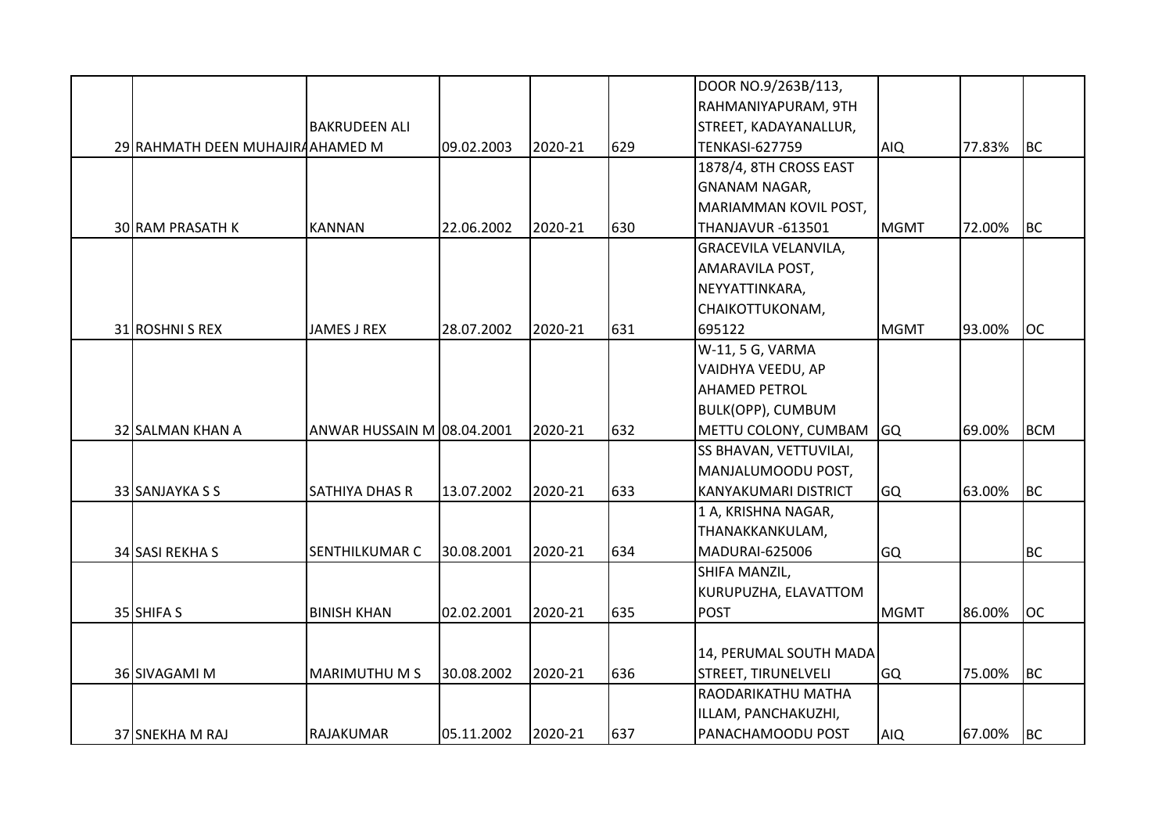|                                  |                            |            |         |     | DOOR NO.9/263B/113,           |             |        |            |
|----------------------------------|----------------------------|------------|---------|-----|-------------------------------|-------------|--------|------------|
|                                  |                            |            |         |     | RAHMANIYAPURAM, 9TH           |             |        |            |
|                                  | <b>BAKRUDEEN ALI</b>       |            |         |     | STREET, KADAYANALLUR,         |             |        |            |
| 29 RAHMATH DEEN MUHAJIRAAHAMED M |                            | 09.02.2003 | 2020-21 | 629 | <b>TENKASI-627759</b>         | <b>AIQ</b>  | 77.83% | <b>BC</b>  |
|                                  |                            |            |         |     | 1878/4, 8TH CROSS EAST        |             |        |            |
|                                  |                            |            |         |     | <b>GNANAM NAGAR,</b>          |             |        |            |
|                                  |                            |            |         |     | MARIAMMAN KOVIL POST,         |             |        |            |
| <b>30 RAM PRASATH K</b>          | <b>KANNAN</b>              | 22.06.2002 | 2020-21 | 630 | <b>THANJAVUR -613501</b>      | <b>MGMT</b> | 72.00% | <b>BC</b>  |
|                                  |                            |            |         |     | <b>GRACEVILA VELANVILA,</b>   |             |        |            |
|                                  |                            |            |         |     | AMARAVILA POST,               |             |        |            |
|                                  |                            |            |         |     | NEYYATTINKARA,                |             |        |            |
|                                  |                            |            |         |     | CHAIKOTTUKONAM,               |             |        |            |
| 31 ROSHNI S REX                  | <b>JAMES J REX</b>         | 28.07.2002 | 2020-21 | 631 | 695122                        | <b>MGMT</b> | 93.00% | <b>OC</b>  |
|                                  |                            |            |         |     | W-11, 5 G, VARMA              |             |        |            |
|                                  |                            |            |         |     | VAIDHYA VEEDU, AP             |             |        |            |
|                                  |                            |            |         |     | <b>AHAMED PETROL</b>          |             |        |            |
|                                  |                            |            |         |     | <b>BULK(OPP), CUMBUM</b>      |             |        |            |
| 32 SALMAN KHAN A                 | ANWAR HUSSAIN M 08.04.2001 |            | 2020-21 | 632 | METTU COLONY, CUMBAM          | <b>GQ</b>   | 69.00% | <b>BCM</b> |
|                                  |                            |            |         |     | <b>SS BHAVAN, VETTUVILAI,</b> |             |        |            |
|                                  |                            |            |         |     | MANJALUMOODU POST,            |             |        |            |
| 33 SANJAYKA S S                  | <b>SATHIYA DHAS R</b>      | 13.07.2002 | 2020-21 | 633 | <b>KANYAKUMARI DISTRICT</b>   | <b>GQ</b>   | 63.00% | <b>BC</b>  |
|                                  |                            |            |         |     | 1 A, KRISHNA NAGAR,           |             |        |            |
|                                  |                            |            |         |     | THANAKKANKULAM,               |             |        |            |
| 34 SASI REKHAS                   | <b>SENTHILKUMAR C</b>      | 30.08.2001 | 2020-21 | 634 | MADURAI-625006                | GQ          |        | <b>BC</b>  |
|                                  |                            |            |         |     | SHIFA MANZIL,                 |             |        |            |
|                                  |                            |            |         |     | KURUPUZHA, ELAVATTOM          |             |        |            |
| 35 SHIFA S                       | <b>BINISH KHAN</b>         | 02.02.2001 | 2020-21 | 635 | <b>POST</b>                   | <b>MGMT</b> | 86.00% | <b>OC</b>  |
|                                  |                            |            |         |     |                               |             |        |            |
|                                  |                            |            |         |     | 14, PERUMAL SOUTH MADA        |             |        |            |
| 36 SIVAGAMI M                    | <b>MARIMUTHU M S</b>       | 30.08.2002 | 2020-21 | 636 | <b>STREET, TIRUNELVELI</b>    | <b>GQ</b>   | 75.00% | <b>BC</b>  |
|                                  |                            |            |         |     | RAODARIKATHU MATHA            |             |        |            |
|                                  |                            |            |         |     | ILLAM, PANCHAKUZHI,           |             |        |            |
| 37 SNEKHA M RAJ                  | <b>RAJAKUMAR</b>           | 05.11.2002 | 2020-21 | 637 | PANACHAMOODU POST             | <b>AIQ</b>  | 67.00% | <b>BC</b>  |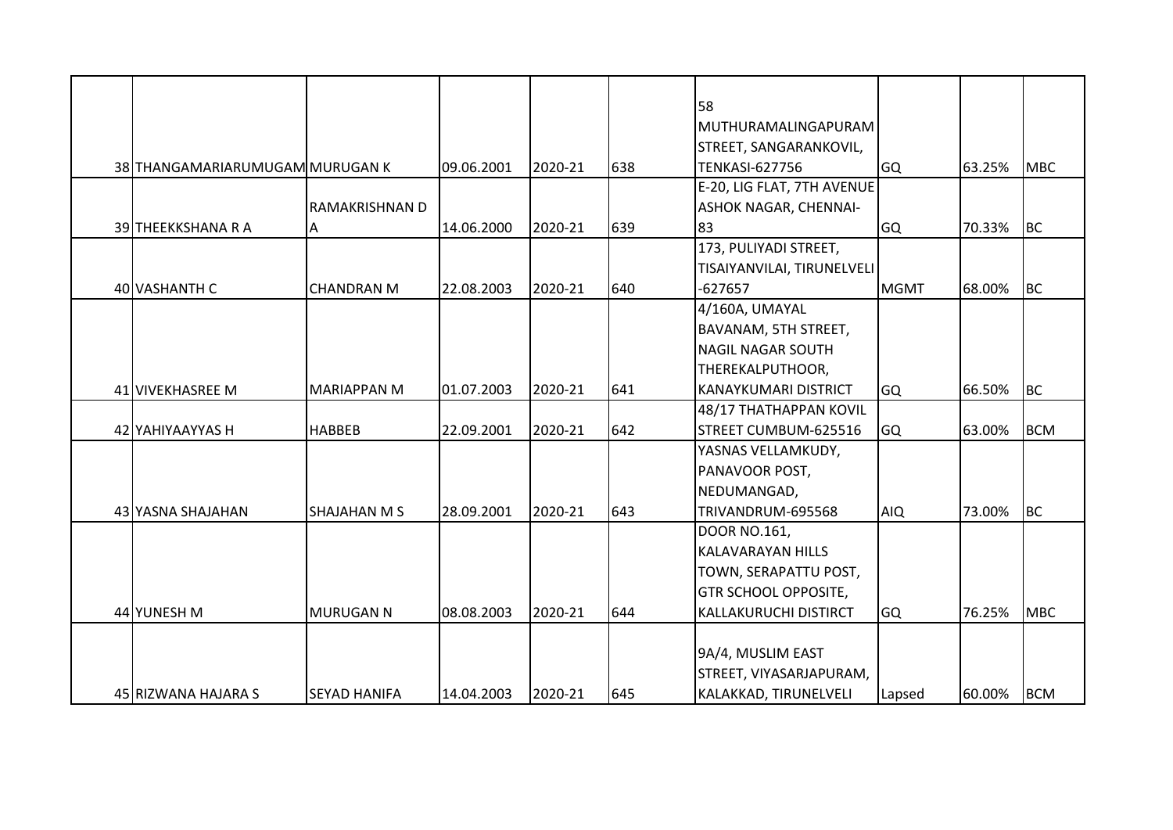|                                 |                     |            |         |     | 58                           |             |        |            |
|---------------------------------|---------------------|------------|---------|-----|------------------------------|-------------|--------|------------|
|                                 |                     |            |         |     | <b>MUTHURAMALINGAPURAM</b>   |             |        |            |
|                                 |                     |            |         |     | STREET, SANGARANKOVIL,       |             |        |            |
| 38 THANGAMARIARUMUGAM MURUGAN K |                     | 09.06.2001 | 2020-21 | 638 | <b>TENKASI-627756</b>        | <b>GQ</b>   | 63.25% | <b>MBC</b> |
|                                 |                     |            |         |     | E-20, LIG FLAT, 7TH AVENUE   |             |        |            |
|                                 | RAMAKRISHNAN D      |            |         |     | <b>ASHOK NAGAR, CHENNAI-</b> |             |        |            |
| 39 THEEKKSHANA R A              |                     | 14.06.2000 | 2020-21 | 639 | 83                           | <b>GQ</b>   | 70.33% | BC         |
|                                 | A                   |            |         |     | 173, PULIYADI STREET,        |             |        |            |
|                                 |                     |            |         |     |                              |             |        |            |
|                                 |                     |            |         |     | TISAIYANVILAI, TIRUNELVELI   |             |        |            |
| 40 VASHANTH C                   | <b>CHANDRAN M</b>   | 22.08.2003 | 2020-21 | 640 | $-627657$                    | <b>MGMT</b> | 68.00% | <b>BC</b>  |
|                                 |                     |            |         |     | 4/160A, UMAYAL               |             |        |            |
|                                 |                     |            |         |     | BAVANAM, 5TH STREET,         |             |        |            |
|                                 |                     |            |         |     | <b>NAGIL NAGAR SOUTH</b>     |             |        |            |
|                                 |                     |            |         |     | THEREKALPUTHOOR,             |             |        |            |
| 41 VIVEKHASREE M                | <b>MARIAPPAN M</b>  | 01.07.2003 | 2020-21 | 641 | <b>KANAYKUMARI DISTRICT</b>  | <b>GQ</b>   | 66.50% | <b>BC</b>  |
|                                 |                     |            |         |     | 48/17 THATHAPPAN KOVIL       |             |        |            |
| 42 YAHIYAAYYAS H                | <b>HABBEB</b>       | 22.09.2001 | 2020-21 | 642 | STREET CUMBUM-625516         | <b>GQ</b>   | 63.00% | <b>BCM</b> |
|                                 |                     |            |         |     | YASNAS VELLAMKUDY,           |             |        |            |
|                                 |                     |            |         |     | PANAVOOR POST,               |             |        |            |
|                                 |                     |            |         |     | NEDUMANGAD,                  |             |        |            |
| 43 YASNA SHAJAHAN               | <b>SHAJAHAN M S</b> | 28.09.2001 | 2020-21 | 643 | TRIVANDRUM-695568            | <b>AIQ</b>  | 73.00% | BC         |
|                                 |                     |            |         |     | <b>DOOR NO.161,</b>          |             |        |            |
|                                 |                     |            |         |     | <b>KALAVARAYAN HILLS</b>     |             |        |            |
|                                 |                     |            |         |     | TOWN, SERAPATTU POST,        |             |        |            |
|                                 |                     |            |         |     | <b>GTR SCHOOL OPPOSITE,</b>  |             |        |            |
| 44 YUNESH M                     | <b>MURUGAN N</b>    | 08.08.2003 | 2020-21 | 644 | <b>KALLAKURUCHI DISTIRCT</b> | <b>GQ</b>   | 76.25% | MBC        |
|                                 |                     |            |         |     |                              |             |        |            |
|                                 |                     |            |         |     | 9A/4, MUSLIM EAST            |             |        |            |
|                                 |                     |            |         |     | STREET, VIYASARJAPURAM,      |             |        |            |
| 45 RIZWANA HAJARA S             | <b>SEYAD HANIFA</b> | 14.04.2003 | 2020-21 | 645 | KALAKKAD, TIRUNELVELI        | Lapsed      | 60.00% | <b>BCM</b> |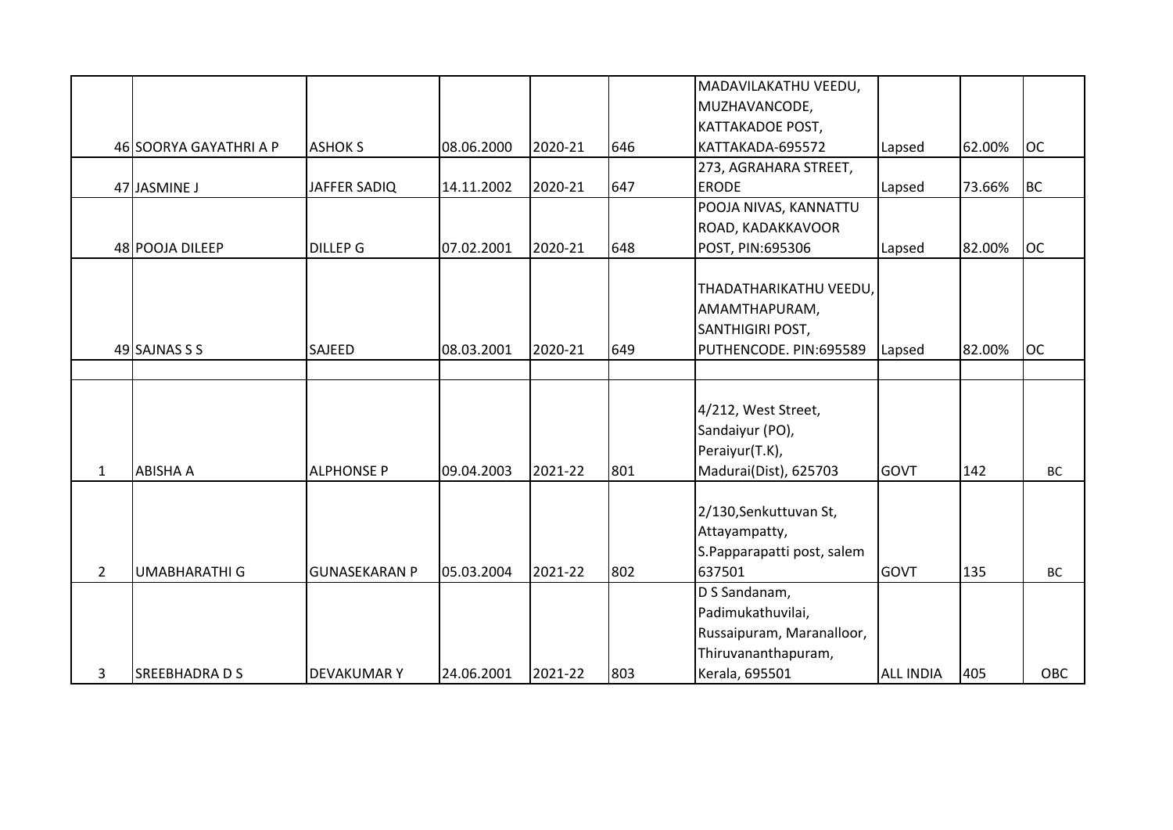|                |                        |                      |            |         |     | MADAVILAKATHU VEEDU,       |                  |        |            |
|----------------|------------------------|----------------------|------------|---------|-----|----------------------------|------------------|--------|------------|
|                |                        |                      |            |         |     | MUZHAVANCODE,              |                  |        |            |
|                |                        |                      |            |         |     | <b>KATTAKADOE POST,</b>    |                  |        |            |
|                | 46 SOORYA GAYATHRI A P | <b>ASHOK S</b>       | 08.06.2000 | 2020-21 | 646 | KATTAKADA-695572           | Lapsed           | 62.00% | <b>OC</b>  |
|                |                        |                      |            |         |     | 273, AGRAHARA STREET,      |                  |        |            |
|                | 47 JASMINE J           | JAFFER SADIQ         | 14.11.2002 | 2020-21 | 647 | <b>ERODE</b>               | Lapsed           | 73.66% | <b>BC</b>  |
|                |                        |                      |            |         |     | POOJA NIVAS, KANNATTU      |                  |        |            |
|                |                        |                      |            |         |     | ROAD, KADAKKAVOOR          |                  |        |            |
|                | 48 POOJA DILEEP        | <b>DILLEP G</b>      | 07.02.2001 | 2020-21 | 648 | POST, PIN:695306           | Lapsed           | 82.00% | <b>OC</b>  |
|                |                        |                      |            |         |     |                            |                  |        |            |
|                |                        |                      |            |         |     | THADATHARIKATHU VEEDU,     |                  |        |            |
|                |                        |                      |            |         |     | AMAMTHAPURAM,              |                  |        |            |
|                |                        |                      |            |         |     | <b>SANTHIGIRI POST,</b>    |                  |        |            |
|                | 49 SAJNAS S S          | SAJEED               | 08.03.2001 | 2020-21 | 649 | PUTHENCODE. PIN:695589     | Lapsed           | 82.00% | <b>OC</b>  |
|                |                        |                      |            |         |     |                            |                  |        |            |
|                |                        |                      |            |         |     |                            |                  |        |            |
|                |                        |                      |            |         |     | 4/212, West Street,        |                  |        |            |
|                |                        |                      |            |         |     | Sandaiyur (PO),            |                  |        |            |
|                |                        |                      |            |         |     | Peraiyur(T.K),             |                  |        |            |
| $\mathbf{1}$   | <b>ABISHA A</b>        | <b>ALPHONSE P</b>    | 09.04.2003 | 2021-22 | 801 | Madurai(Dist), 625703      | <b>GOVT</b>      | 142    | BC         |
|                |                        |                      |            |         |     |                            |                  |        |            |
|                |                        |                      |            |         |     | 2/130, Senkuttuvan St,     |                  |        |            |
|                |                        |                      |            |         |     | Attayampatty,              |                  |        |            |
|                |                        |                      |            |         |     | S.Papparapatti post, salem |                  |        |            |
| $\overline{2}$ | <b>UMABHARATHI G</b>   | <b>GUNASEKARAN P</b> | 05.03.2004 | 2021-22 | 802 | 637501                     | GOVT             | 135    | BC         |
|                |                        |                      |            |         |     | D S Sandanam,              |                  |        |            |
|                |                        |                      |            |         |     | Padimukathuvilai,          |                  |        |            |
|                |                        |                      |            |         |     | Russaipuram, Maranalloor,  |                  |        |            |
|                |                        |                      |            |         |     | Thiruvananthapuram,        |                  |        |            |
| 3              | <b>SREEBHADRA D S</b>  | <b>DEVAKUMARY</b>    | 24.06.2001 | 2021-22 | 803 | Kerala, 695501             | <b>ALL INDIA</b> | 405    | <b>OBC</b> |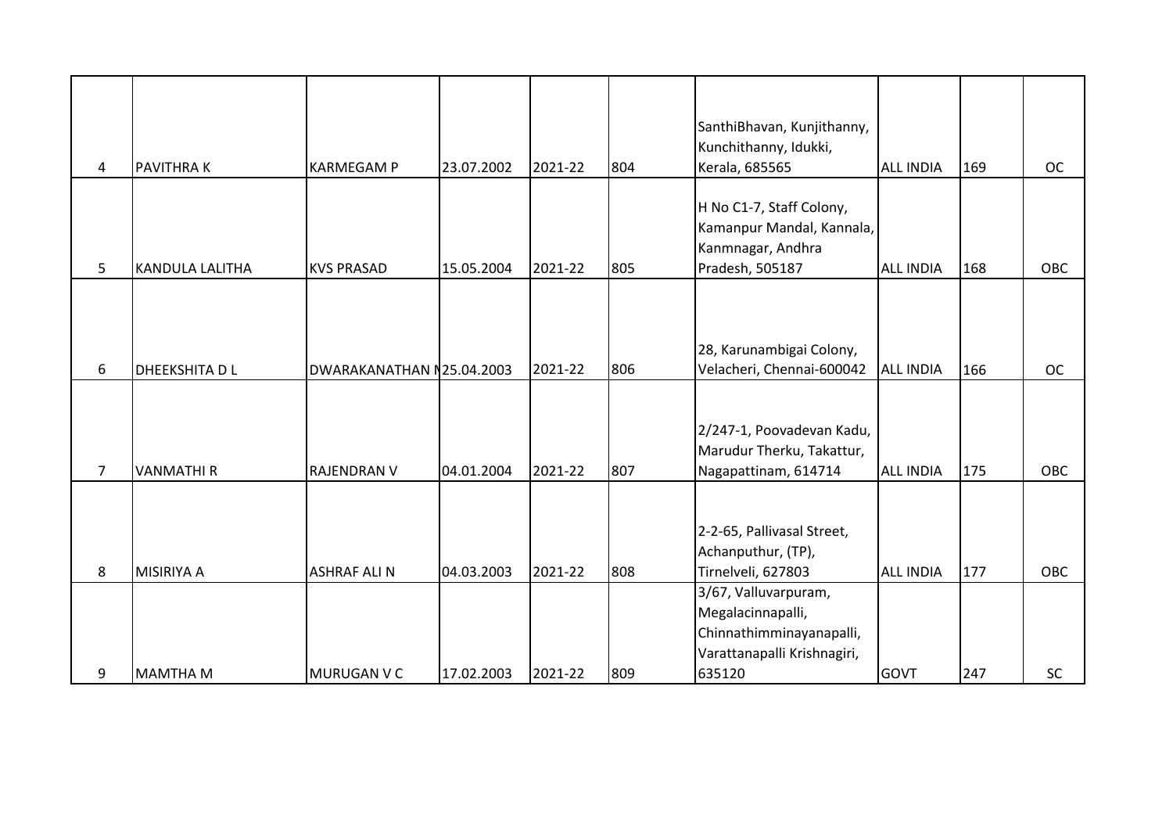| 4              | <b>PAVITHRAK</b>       | <b>KARMEGAM P</b>         | 23.07.2002 | 2021-22 | 804 | SanthiBhavan, Kunjithanny,<br>Kunchithanny, Idukki,<br>Kerala, 685565                                          | <b>ALL INDIA</b> | 169 | <b>OC</b>  |
|----------------|------------------------|---------------------------|------------|---------|-----|----------------------------------------------------------------------------------------------------------------|------------------|-----|------------|
| 5              | <b>KANDULA LALITHA</b> | <b>KVS PRASAD</b>         | 15.05.2004 | 2021-22 | 805 | H No C1-7, Staff Colony,<br>Kamanpur Mandal, Kannala,<br>Kanmnagar, Andhra<br>Pradesh, 505187                  | <b>ALL INDIA</b> | 168 | <b>OBC</b> |
| 6              | <b>DHEEKSHITA DL</b>   | DWARAKANATHAN N25.04.2003 |            | 2021-22 | 806 | 28, Karunambigai Colony,<br>Velacheri, Chennai-600042                                                          | <b>ALL INDIA</b> | 166 | <b>OC</b>  |
| $\overline{7}$ | <b>VANMATHIR</b>       | <b>RAJENDRAN V</b>        | 04.01.2004 | 2021-22 | 807 | 2/247-1, Poovadevan Kadu,<br>Marudur Therku, Takattur,<br>Nagapattinam, 614714                                 | <b>ALL INDIA</b> | 175 | <b>OBC</b> |
| 8              | <b>MISIRIYA A</b>      | <b>ASHRAF ALI N</b>       | 04.03.2003 | 2021-22 | 808 | 2-2-65, Pallivasal Street,<br>Achanputhur, (TP),<br>Tirnelveli, 627803                                         | <b>ALL INDIA</b> | 177 | <b>OBC</b> |
| 9              | <b>MAMTHA M</b>        | MURUGAN V C               | 17.02.2003 | 2021-22 | 809 | 3/67, Valluvarpuram,<br>Megalacinnapalli,<br>Chinnathimminayanapalli,<br>Varattanapalli Krishnagiri,<br>635120 | <b>GOVT</b>      | 247 | SC         |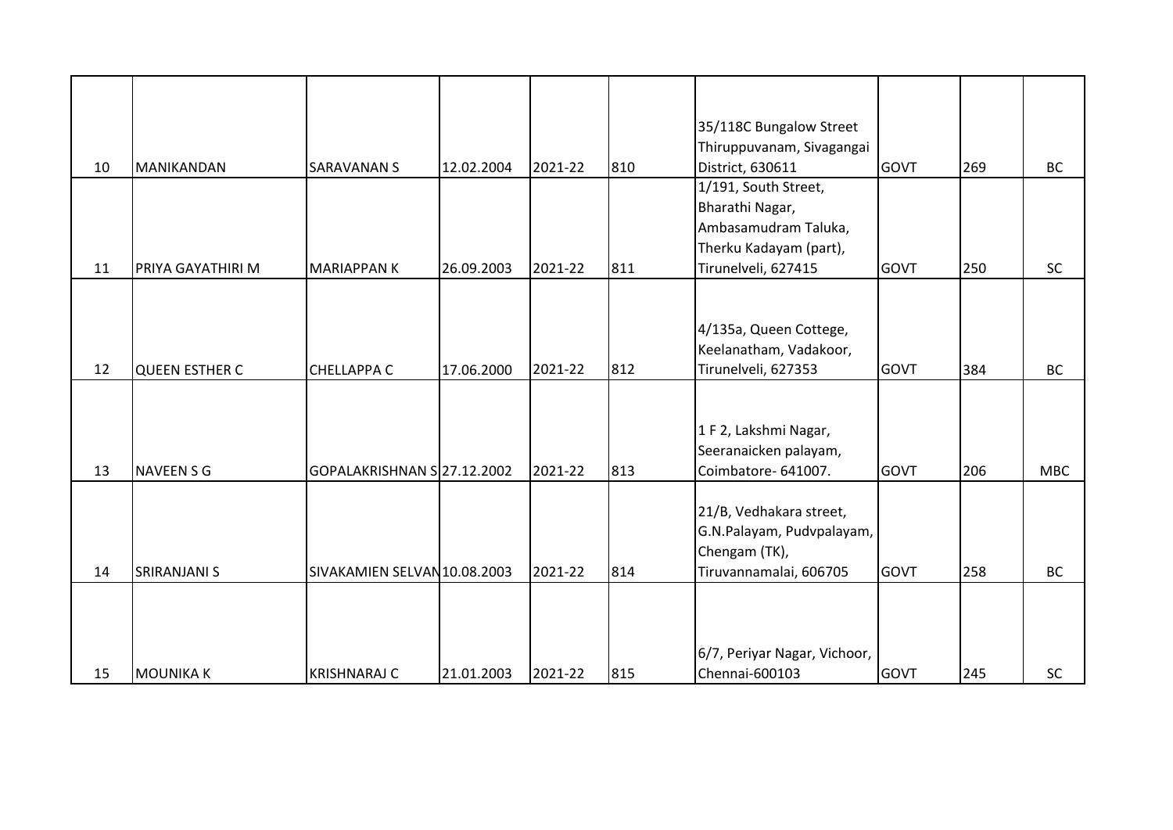| 10 | MANIKANDAN            | <b>SARAVANAN S</b>           | 12.02.2004 | 2021-22 | 810 | 35/118C Bungalow Street<br>Thiruppuvanam, Sivagangai<br>District, 630611                                         | <b>GOVT</b> | 269 | <b>BC</b>  |
|----|-----------------------|------------------------------|------------|---------|-----|------------------------------------------------------------------------------------------------------------------|-------------|-----|------------|
| 11 | PRIYA GAYATHIRI M     | <b>MARIAPPANK</b>            | 26.09.2003 | 2021-22 | 811 | 1/191, South Street,<br>Bharathi Nagar,<br>Ambasamudram Taluka,<br>Therku Kadayam (part),<br>Tirunelveli, 627415 | <b>GOVT</b> | 250 | SC         |
| 12 | <b>QUEEN ESTHER C</b> | <b>CHELLAPPA C</b>           | 17.06.2000 | 2021-22 | 812 | 4/135a, Queen Cottege,<br>Keelanatham, Vadakoor,<br>Tirunelveli, 627353                                          | <b>GOVT</b> | 384 | <b>BC</b>  |
| 13 | <b>NAVEEN S G</b>     | GOPALAKRISHNAN S 27.12.2002  |            | 2021-22 | 813 | 1 F 2, Lakshmi Nagar,<br>Seeranaicken palayam,<br>Coimbatore- 641007.                                            | <b>GOVT</b> | 206 | <b>MBC</b> |
| 14 | <b>SRIRANJANI S</b>   | SIVAKAMIEN SELVAN 10.08.2003 |            | 2021-22 | 814 | 21/B, Vedhakara street,<br>G.N.Palayam, Pudvpalayam,<br>Chengam (TK),<br>Tiruvannamalai, 606705                  | <b>GOVT</b> | 258 | <b>BC</b>  |
| 15 | <b>MOUNIKA K</b>      | <b>KRISHNARAJ C</b>          | 21.01.2003 | 2021-22 | 815 | 6/7, Periyar Nagar, Vichoor,<br>Chennai-600103                                                                   | <b>GOVT</b> | 245 | SC         |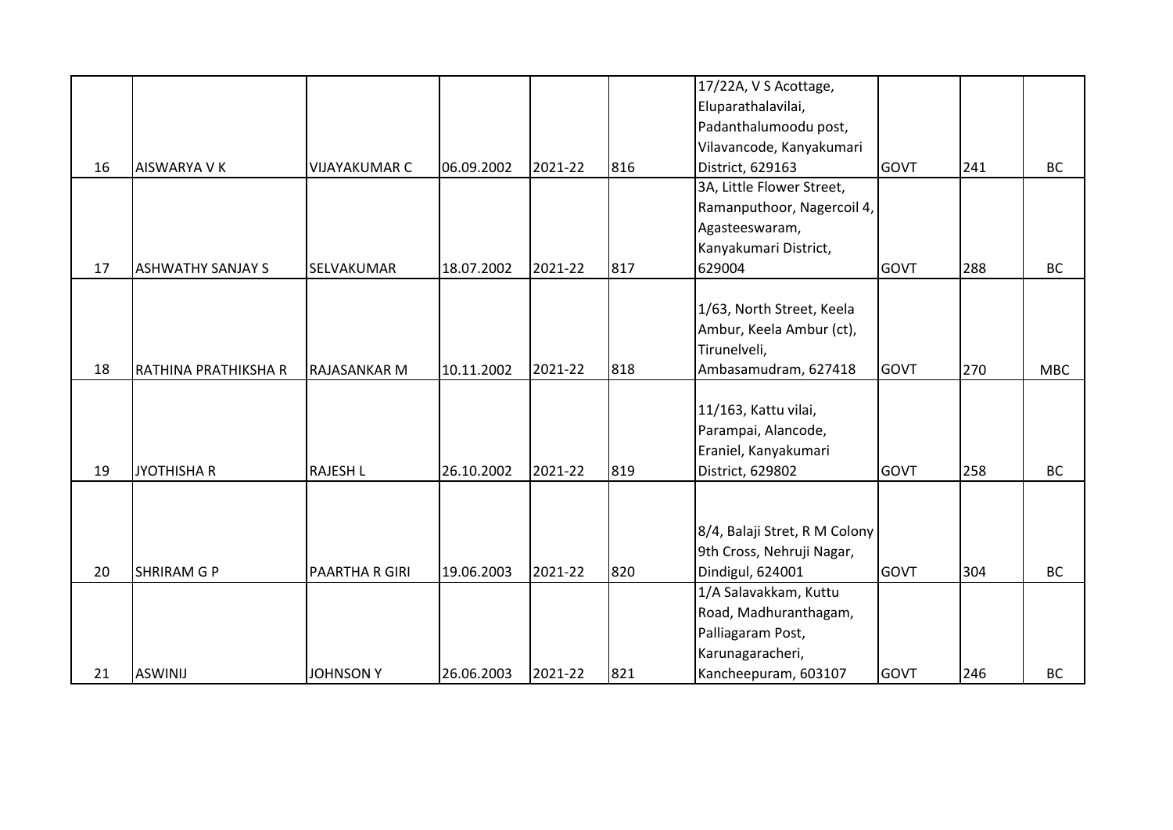|    |                          |                       |            |         |     | 17/22A, V S Acottage,         |             |     |            |
|----|--------------------------|-----------------------|------------|---------|-----|-------------------------------|-------------|-----|------------|
|    |                          |                       |            |         |     | Eluparathalavilai,            |             |     |            |
|    |                          |                       |            |         |     | Padanthalumoodu post,         |             |     |            |
|    |                          |                       |            |         |     | Vilavancode, Kanyakumari      |             |     |            |
| 16 | <b>AISWARYA V K</b>      | <b>VIJAYAKUMAR C</b>  | 06.09.2002 | 2021-22 | 816 | District, 629163              | <b>GOVT</b> | 241 | <b>BC</b>  |
|    |                          |                       |            |         |     | 3A, Little Flower Street,     |             |     |            |
|    |                          |                       |            |         |     | Ramanputhoor, Nagercoil 4,    |             |     |            |
|    |                          |                       |            |         |     | Agasteeswaram,                |             |     |            |
|    |                          |                       |            |         |     | Kanyakumari District,         |             |     |            |
| 17 | <b>ASHWATHY SANJAY S</b> | SELVAKUMAR            | 18.07.2002 | 2021-22 | 817 | 629004                        | <b>GOVT</b> | 288 | <b>BC</b>  |
|    |                          |                       |            |         |     |                               |             |     |            |
|    |                          |                       |            |         |     | 1/63, North Street, Keela     |             |     |            |
|    |                          |                       |            |         |     | Ambur, Keela Ambur (ct),      |             |     |            |
|    |                          |                       |            |         |     | Tirunelveli,                  |             |     |            |
| 18 | RATHINA PRATHIKSHA R     | <b>RAJASANKAR M</b>   | 10.11.2002 | 2021-22 | 818 | Ambasamudram, 627418          | <b>GOVT</b> | 270 | <b>MBC</b> |
|    |                          |                       |            |         |     |                               |             |     |            |
|    |                          |                       |            |         |     | 11/163, Kattu vilai,          |             |     |            |
|    |                          |                       |            |         |     | Parampai, Alancode,           |             |     |            |
|    |                          |                       |            |         |     | Eraniel, Kanyakumari          |             |     |            |
| 19 | <b>JYOTHISHA R</b>       | <b>RAJESH L</b>       | 26.10.2002 | 2021-22 | 819 | District, 629802              | <b>GOVT</b> | 258 | BC         |
|    |                          |                       |            |         |     |                               |             |     |            |
|    |                          |                       |            |         |     |                               |             |     |            |
|    |                          |                       |            |         |     | 8/4, Balaji Stret, R M Colony |             |     |            |
|    |                          |                       |            |         |     | 9th Cross, Nehruji Nagar,     |             |     |            |
| 20 | <b>SHRIRAM G P</b>       | <b>PAARTHA R GIRI</b> | 19.06.2003 | 2021-22 | 820 | Dindigul, 624001              | <b>GOVT</b> | 304 | <b>BC</b>  |
|    |                          |                       |            |         |     | 1/A Salavakkam, Kuttu         |             |     |            |
|    |                          |                       |            |         |     | Road, Madhuranthagam,         |             |     |            |
|    |                          |                       |            |         |     | Palliagaram Post,             |             |     |            |
|    |                          |                       |            |         |     | Karunagaracheri,              |             |     |            |
| 21 | <b>ASWINIJ</b>           | <b>JOHNSON Y</b>      | 26.06.2003 | 2021-22 | 821 | Kancheepuram, 603107          | <b>GOVT</b> | 246 | <b>BC</b>  |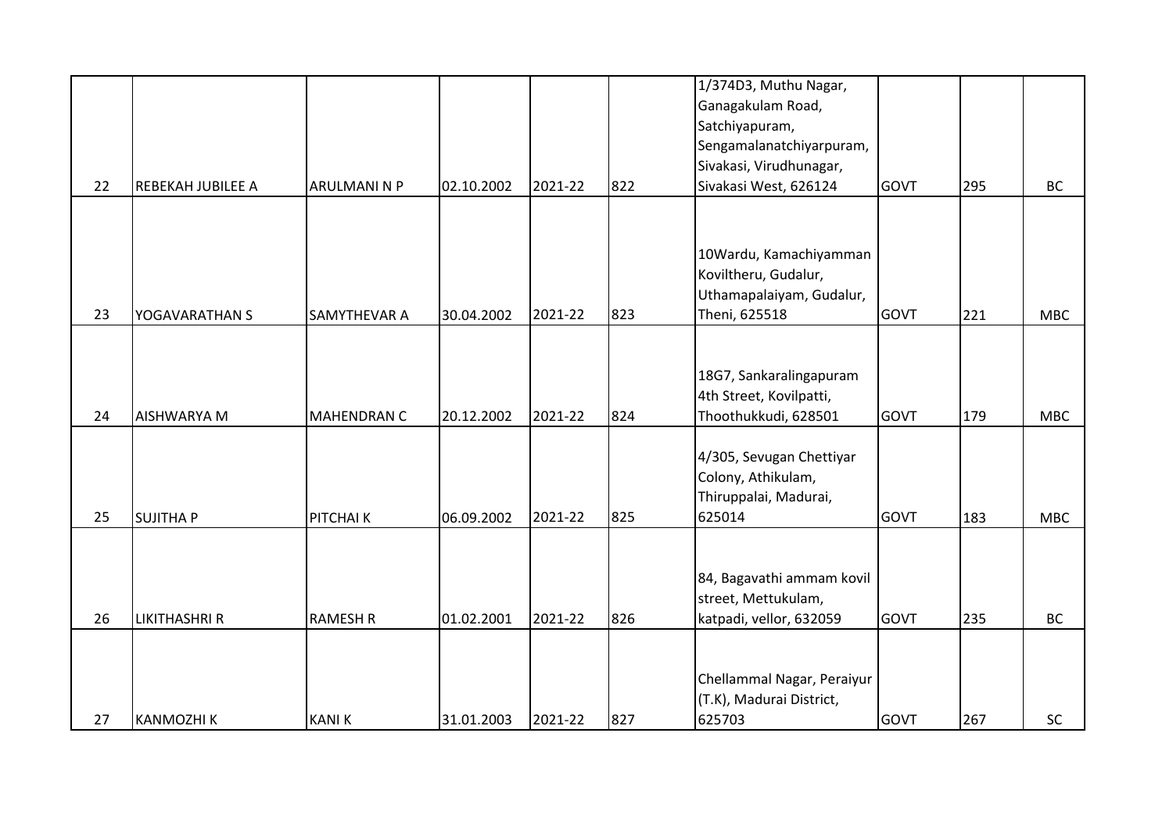|    |                      |                     |            |         |     | 1/374D3, Muthu Nagar,                                  |             |     |            |
|----|----------------------|---------------------|------------|---------|-----|--------------------------------------------------------|-------------|-----|------------|
|    |                      |                     |            |         |     | Ganagakulam Road,                                      |             |     |            |
|    |                      |                     |            |         |     | Satchiyapuram,                                         |             |     |            |
|    |                      |                     |            |         |     | Sengamalanatchiyarpuram,                               |             |     |            |
|    |                      |                     |            |         |     | Sivakasi, Virudhunagar,                                |             |     |            |
| 22 | REBEKAH JUBILEE A    | ARULMANI N P        | 02.10.2002 | 2021-22 | 822 | Sivakasi West, 626124                                  | <b>GOVT</b> | 295 | <b>BC</b>  |
|    |                      |                     |            |         |     |                                                        |             |     |            |
|    |                      |                     |            |         |     |                                                        |             |     |            |
|    |                      |                     |            |         |     | 10Wardu, Kamachiyamman                                 |             |     |            |
|    |                      |                     |            |         |     | Koviltheru, Gudalur,                                   |             |     |            |
|    |                      |                     |            |         |     | Uthamapalaiyam, Gudalur,                               |             |     |            |
| 23 | YOGAVARATHAN S       | <b>SAMYTHEVAR A</b> | 30.04.2002 | 2021-22 | 823 | Theni, 625518                                          | GOVT        | 221 | <b>MBC</b> |
|    |                      |                     |            |         |     |                                                        |             |     |            |
|    |                      |                     |            |         |     |                                                        |             |     |            |
|    |                      |                     |            |         |     | 18G7, Sankaralingapuram                                |             |     |            |
|    |                      |                     |            |         |     | 4th Street, Kovilpatti,                                |             |     |            |
| 24 | <b>AISHWARYA M</b>   | <b>MAHENDRAN C</b>  | 20.12.2002 | 2021-22 | 824 | Thoothukkudi, 628501                                   | GOVT        | 179 | <b>MBC</b> |
|    |                      |                     |            |         |     |                                                        |             |     |            |
|    |                      |                     |            |         |     | 4/305, Sevugan Chettiyar                               |             |     |            |
|    |                      |                     |            |         |     | Colony, Athikulam,                                     |             |     |            |
|    |                      |                     |            |         |     | Thiruppalai, Madurai,                                  |             |     |            |
| 25 | <b>SUJITHA P</b>     | PITCHAI K           | 06.09.2002 | 2021-22 | 825 | 625014                                                 | <b>GOVT</b> | 183 | <b>MBC</b> |
|    |                      |                     |            |         |     |                                                        |             |     |            |
|    |                      |                     |            |         |     |                                                        |             |     |            |
|    |                      |                     |            |         |     | 84, Bagavathi ammam kovil                              |             |     |            |
|    |                      |                     |            |         |     | street, Mettukulam,                                    |             |     |            |
| 26 | <b>LIKITHASHRI R</b> | <b>RAMESH R</b>     | 01.02.2001 | 2021-22 | 826 | katpadi, vellor, 632059                                | <b>GOVT</b> | 235 | <b>BC</b>  |
|    |                      |                     |            |         |     |                                                        |             |     |            |
|    |                      |                     |            |         |     |                                                        |             |     |            |
|    |                      |                     |            |         |     | Chellammal Nagar, Peraiyur<br>(T.K), Madurai District, |             |     |            |
| 27 |                      | <b>KANIK</b>        | 31.01.2003 | 2021-22 | 827 | 625703                                                 | GOVT        |     | SC         |
|    | <b>KANMOZHIK</b>     |                     |            |         |     |                                                        |             | 267 |            |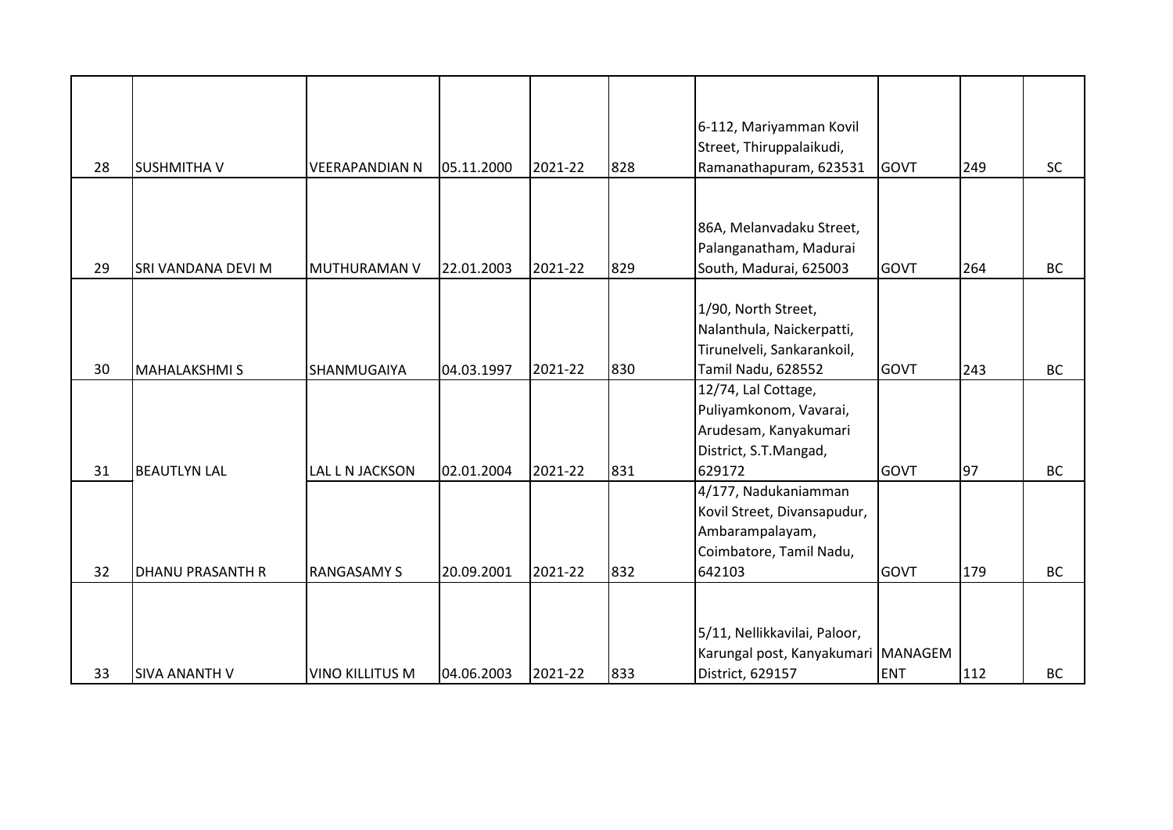| 28 | <b>SUSHMITHA V</b>      | <b>VEERAPANDIAN N</b>  | 05.11.2000 | 2021-22 | 828 | 6-112, Mariyamman Kovil<br>Street, Thiruppalaikudi,<br>Ramanathapuram, 623531                               | <b>GOVT</b> | 249 | <b>SC</b> |
|----|-------------------------|------------------------|------------|---------|-----|-------------------------------------------------------------------------------------------------------------|-------------|-----|-----------|
| 29 | SRI VANDANA DEVI M      | <b>MUTHURAMAN V</b>    | 22.01.2003 | 2021-22 | 829 | 86A, Melanvadaku Street,<br>Palanganatham, Madurai<br>South, Madurai, 625003                                | <b>GOVT</b> | 264 | <b>BC</b> |
| 30 | <b>MAHALAKSHMI S</b>    | SHANMUGAIYA            | 04.03.1997 | 2021-22 | 830 | 1/90, North Street,<br>Nalanthula, Naickerpatti,<br>Tirunelveli, Sankarankoil,<br>Tamil Nadu, 628552        | <b>GOVT</b> | 243 | <b>BC</b> |
| 31 | <b>BEAUTLYN LAL</b>     | LAL L N JACKSON        | 02.01.2004 | 2021-22 | 831 | 12/74, Lal Cottage,<br>Puliyamkonom, Vavarai,<br>Arudesam, Kanyakumari<br>District, S.T.Mangad,<br>629172   | <b>GOVT</b> | 97  | <b>BC</b> |
| 32 | <b>DHANU PRASANTH R</b> | <b>RANGASAMY S</b>     | 20.09.2001 | 2021-22 | 832 | 4/177, Nadukaniamman<br>Kovil Street, Divansapudur,<br>Ambarampalayam,<br>Coimbatore, Tamil Nadu,<br>642103 | <b>GOVT</b> | 179 | <b>BC</b> |
| 33 | <b>SIVA ANANTH V</b>    | <b>VINO KILLITUS M</b> | 04.06.2003 | 2021-22 | 833 | 5/11, Nellikkavilai, Paloor,<br>Karungal post, Kanyakumari MANAGEM<br>District, 629157                      | <b>ENT</b>  | 112 | <b>BC</b> |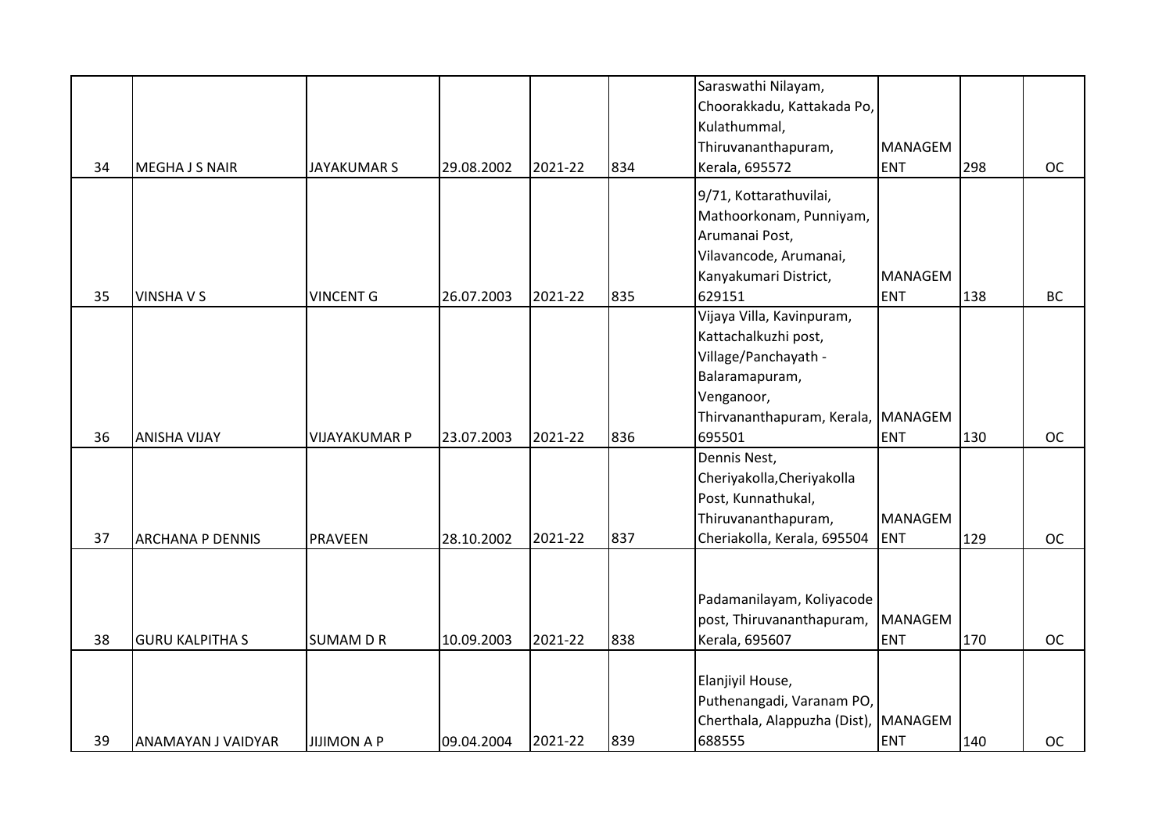|    |                         |                      |            |         |     | Saraswathi Nilayam,<br>Choorakkadu, Kattakada Po, |                |     |           |
|----|-------------------------|----------------------|------------|---------|-----|---------------------------------------------------|----------------|-----|-----------|
|    |                         |                      |            |         |     | Kulathummal,                                      |                |     |           |
|    |                         |                      |            |         |     | Thiruvananthapuram,                               | MANAGEM        |     |           |
| 34 | <b>MEGHA J S NAIR</b>   | <b>JAYAKUMAR S</b>   | 29.08.2002 | 2021-22 | 834 | Kerala, 695572                                    | <b>ENT</b>     | 298 | <b>OC</b> |
|    |                         |                      |            |         |     | 9/71, Kottarathuvilai,                            |                |     |           |
|    |                         |                      |            |         |     | Mathoorkonam, Punniyam,                           |                |     |           |
|    |                         |                      |            |         |     | Arumanai Post,                                    |                |     |           |
|    |                         |                      |            |         |     | Vilavancode, Arumanai,                            |                |     |           |
|    |                         |                      |            |         |     | Kanyakumari District,                             | <b>MANAGEM</b> |     |           |
| 35 | <b>VINSHAVS</b>         | <b>VINCENT G</b>     | 26.07.2003 | 2021-22 | 835 | 629151                                            | <b>ENT</b>     | 138 | <b>BC</b> |
|    |                         |                      |            |         |     | Vijaya Villa, Kavinpuram,                         |                |     |           |
|    |                         |                      |            |         |     | Kattachalkuzhi post,                              |                |     |           |
|    |                         |                      |            |         |     | Village/Panchayath -                              |                |     |           |
|    |                         |                      |            |         |     | Balaramapuram,                                    |                |     |           |
|    |                         |                      |            |         |     | Venganoor,                                        |                |     |           |
|    |                         |                      |            |         |     | Thirvananthapuram, Kerala, MANAGEM                |                |     |           |
| 36 | <b>ANISHA VIJAY</b>     | <b>VIJAYAKUMAR P</b> | 23.07.2003 | 2021-22 | 836 | 695501                                            | <b>ENT</b>     | 130 | <b>OC</b> |
|    |                         |                      |            |         |     | Dennis Nest,                                      |                |     |           |
|    |                         |                      |            |         |     | Cheriyakolla, Cheriyakolla                        |                |     |           |
|    |                         |                      |            |         |     | Post, Kunnathukal,                                |                |     |           |
|    |                         |                      |            |         |     | Thiruvananthapuram,                               | MANAGEM        |     |           |
| 37 | <b>ARCHANA P DENNIS</b> | PRAVEEN              | 28.10.2002 | 2021-22 | 837 | Cheriakolla, Kerala, 695504                       | <b>ENT</b>     | 129 | <b>OC</b> |
|    |                         |                      |            |         |     |                                                   |                |     |           |
|    |                         |                      |            |         |     |                                                   |                |     |           |
|    |                         |                      |            |         |     | Padamanilayam, Koliyacode                         |                |     |           |
|    |                         |                      |            |         |     | post, Thiruvananthapuram,                         | <b>MANAGEM</b> |     |           |
| 38 | <b>GURU KALPITHA S</b>  | <b>SUMAM D R</b>     | 10.09.2003 | 2021-22 | 838 | Kerala, 695607                                    | <b>ENT</b>     | 170 | <b>OC</b> |
|    |                         |                      |            |         |     |                                                   |                |     |           |
|    |                         |                      |            |         |     | Elanjiyil House,                                  |                |     |           |
|    |                         |                      |            |         |     | Puthenangadi, Varanam PO,                         |                |     |           |
|    |                         |                      |            |         |     | Cherthala, Alappuzha (Dist), MANAGEM              |                |     |           |
| 39 | ANAMAYAN J VAIDYAR      | <b>JIJIMON A P</b>   | 09.04.2004 | 2021-22 | 839 | 688555                                            | <b>ENT</b>     | 140 | <b>OC</b> |